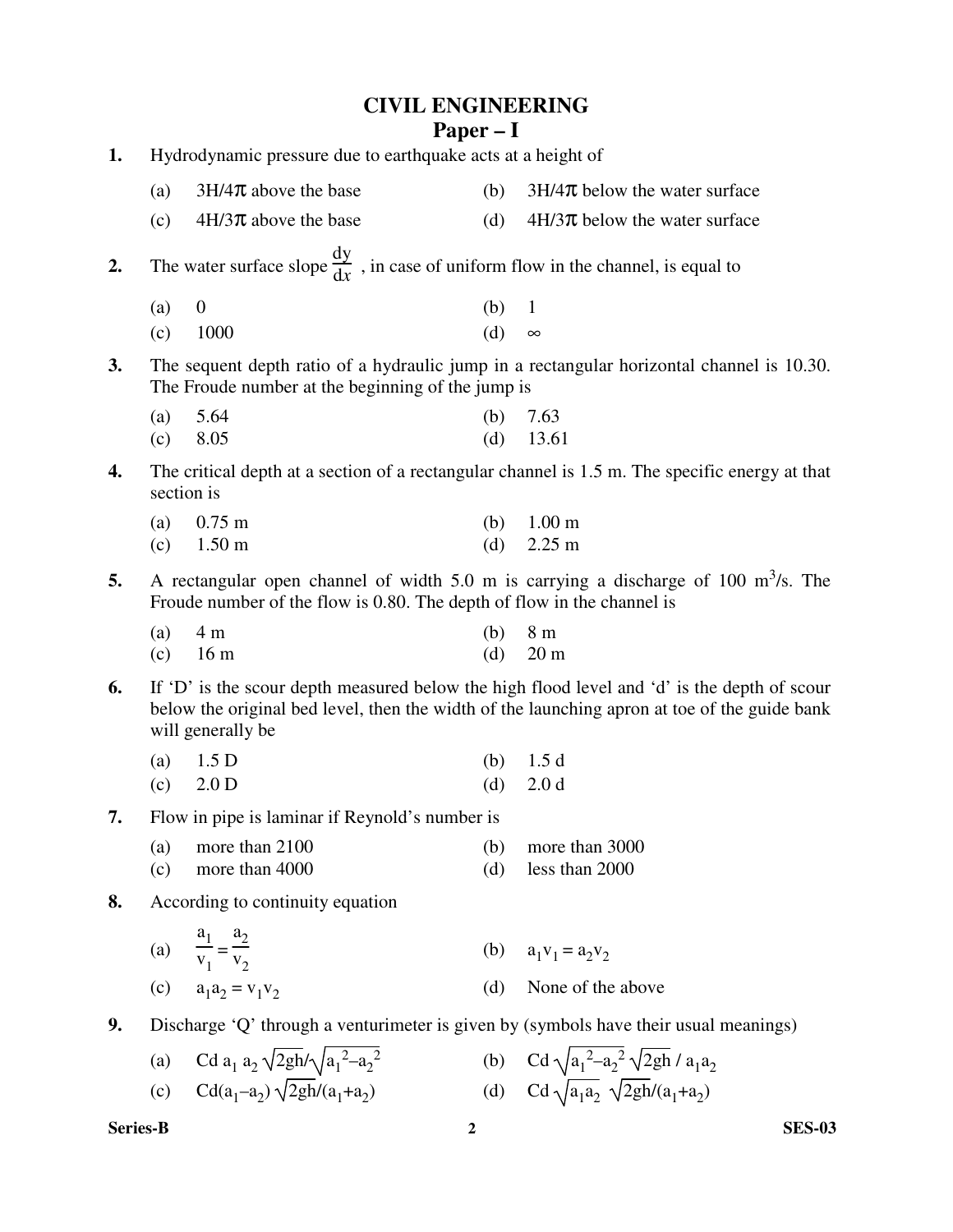| <b>CIVIL ENGINEERING</b> |
|--------------------------|
| $Paper - I$              |

| 1. | Hydrodynamic pressure due to earthquake acts at a height of                                                                                                                                                      |                                                                                               |            |                                                                                                |  |
|----|------------------------------------------------------------------------------------------------------------------------------------------------------------------------------------------------------------------|-----------------------------------------------------------------------------------------------|------------|------------------------------------------------------------------------------------------------|--|
|    | (a)                                                                                                                                                                                                              | $3H/4\pi$ above the base                                                                      | (b)        | $3H/4\pi$ below the water surface                                                              |  |
|    | (c)                                                                                                                                                                                                              | $4H/3\pi$ above the base                                                                      | (d)        | $4H/3\pi$ below the water surface                                                              |  |
| 2. |                                                                                                                                                                                                                  | The water surface slope $\frac{dy}{dx}$ , in case of uniform flow in the channel, is equal to |            |                                                                                                |  |
|    | (a)<br>(c)                                                                                                                                                                                                       | $\boldsymbol{0}$<br>1000                                                                      | (b)<br>(d) | 1<br>$\infty$                                                                                  |  |
| 3. |                                                                                                                                                                                                                  | The Froude number at the beginning of the jump is                                             |            | The sequent depth ratio of a hydraulic jump in a rectangular horizontal channel is 10.30.      |  |
|    | (a)<br>(c)                                                                                                                                                                                                       | 5.64<br>8.05                                                                                  | (b)<br>(d) | 7.63<br>13.61                                                                                  |  |
| 4. |                                                                                                                                                                                                                  | section is                                                                                    |            | The critical depth at a section of a rectangular channel is 1.5 m. The specific energy at that |  |
|    | (a)<br>(c)                                                                                                                                                                                                       | $0.75 \; \mathrm{m}$<br>$1.50 \text{ m}$                                                      | (b)<br>(d) | 1.00 <sub>m</sub><br>$2.25 \text{ m}$                                                          |  |
| 5. |                                                                                                                                                                                                                  | Froude number of the flow is 0.80. The depth of flow in the channel is                        |            | A rectangular open channel of width 5.0 m is carrying a discharge of 100 $\text{m}^3$ /s. The  |  |
|    | (a)<br>(c)                                                                                                                                                                                                       | 4 <sub>m</sub><br>16 <sub>m</sub>                                                             | (b)<br>(d) | 8 <sub>m</sub><br>20 <sub>m</sub>                                                              |  |
| 6. | If 'D' is the scour depth measured below the high flood level and 'd' is the depth of scour<br>below the original bed level, then the width of the launching apron at toe of the guide bank<br>will generally be |                                                                                               |            |                                                                                                |  |
|    | (a)                                                                                                                                                                                                              | 1.5 <sub>D</sub>                                                                              | (b)        | 1.5d                                                                                           |  |
|    | (c)                                                                                                                                                                                                              | 2.0 <sub>D</sub>                                                                              | (d)        | 2.0 <sub>d</sub>                                                                               |  |
| 7. |                                                                                                                                                                                                                  | Flow in pipe is laminar if Reynold's number is                                                |            |                                                                                                |  |
|    | (c)                                                                                                                                                                                                              | (a) more than $2100$<br>more than 4000                                                        | (d)        | (b) more than $3000$<br>less than 2000                                                         |  |
| 8. |                                                                                                                                                                                                                  | According to continuity equation                                                              |            |                                                                                                |  |
|    |                                                                                                                                                                                                                  | (a) $\frac{a_1}{v_1} = \frac{a_2}{v_2}$                                                       |            | (b) $a_1v_1 = a_2v_2$                                                                          |  |
|    |                                                                                                                                                                                                                  | (c) $a_1 a_2 = v_1 v_2$                                                                       |            | (d) None of the above                                                                          |  |
| 9. |                                                                                                                                                                                                                  | Discharge 'Q' through a venturimeter is given by (symbols have their usual meanings)          |            |                                                                                                |  |

(a) Cd  $a_1 a_2 \sqrt{2gh} / \sqrt{a_1^2 - a_2^2}$ (b) Cd  $\sqrt{a_1^2-a_2^2} \sqrt{2gh} / a_1 a_2$ (c)  $\text{Cd}(a_1-a_2)\sqrt{2gh}/(a_1+a_2)$ (d) Cd  $\sqrt{a_1 a_2} \sqrt{2gh/(a_1+a_2)}$ 

**Series-B 2 SES-03**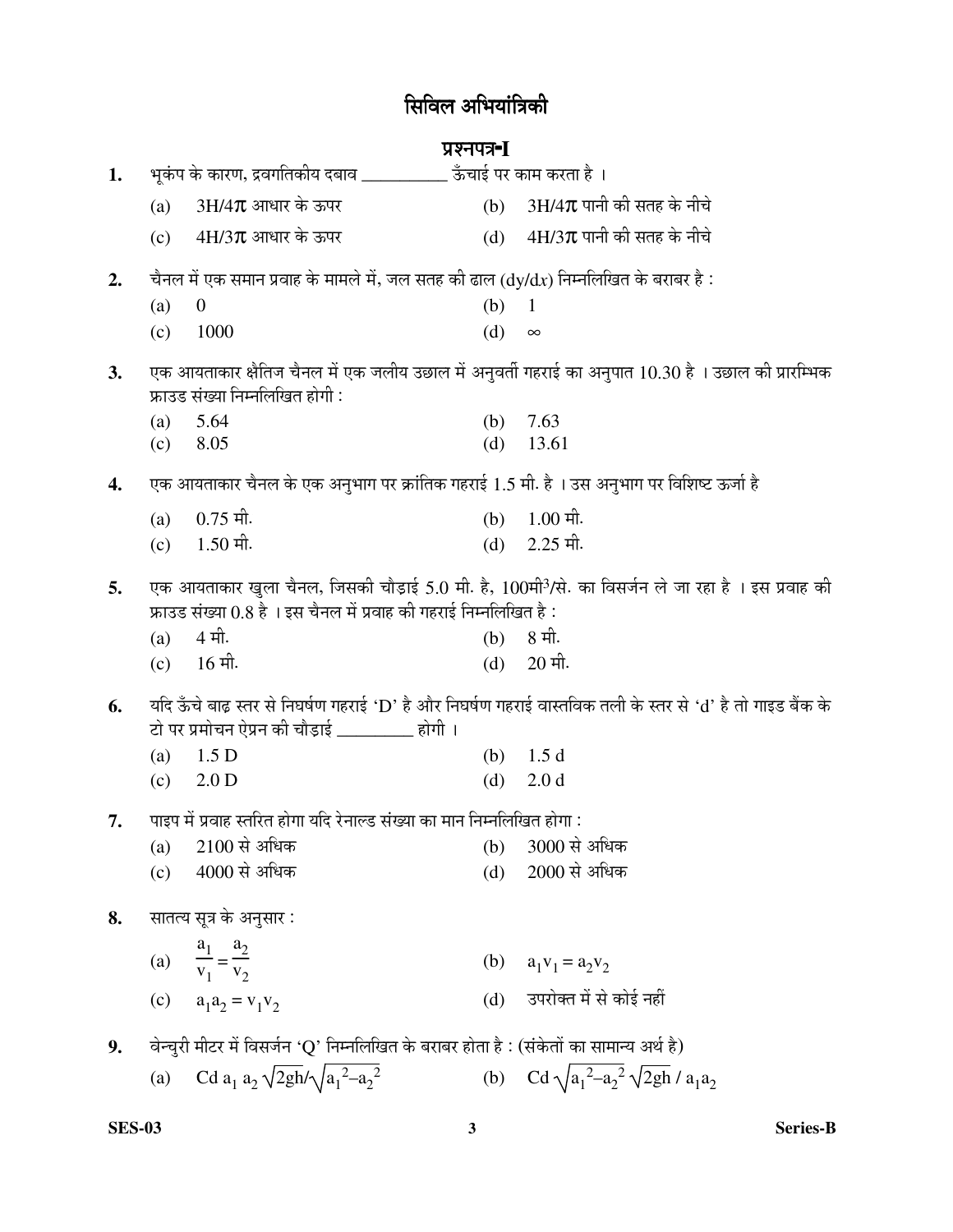# सिविल अभियांत्रिकी

# ¯ÖÏ¿®Ö¯Ö¡Ö-**<sup>I</sup>**

| 1. |     | भूकंप के कारण, द्रवगतिकीय दबाव ___________ ऊँचाई पर काम करता है ।                                              |     |                                                                                                               |
|----|-----|----------------------------------------------------------------------------------------------------------------|-----|---------------------------------------------------------------------------------------------------------------|
|    | (a) | $3H/4\pi$ आधार के ऊपर                                                                                          | (b) | $3H/4\pi$ पानी की सतह के नीचे                                                                                 |
|    | (c) | $4H/3\pi$ आधार के ऊपर                                                                                          | (d) | $4H/3\pi$ पानी की सतह के नीचे                                                                                 |
| 2. |     | चैनल में एक समान प्रवाह के मामले में, जल सतह की ढाल ( $\mathrm{d}$ y/ $\mathrm{d}$ x) निम्नलिखित के बराबर है : |     |                                                                                                               |
|    | (a) | $\overline{0}$                                                                                                 | (b) | $\mathbf{1}$                                                                                                  |
|    | (c) | 1000                                                                                                           | (d) | $\infty$                                                                                                      |
| 3. |     | फ्राउड संख्या निम्नलिखित होगी :                                                                                |     | एक आयताकार क्षैतिज चैनल में एक जलीय उछाल में अनुवर्ती गहराई का अनुपात 10.30 है । उछाल की प्रारम्भिक           |
|    | (a) | 5.64                                                                                                           | (b) | 7.63                                                                                                          |
|    | (c) | 8.05                                                                                                           | (d) | 13.61                                                                                                         |
| 4. |     | एक आयताकार चैनल के एक अनुभाग पर क्रांतिक गहराई 1.5 मी. है । उस अनुभाग पर विशिष्ट ऊर्जा है                      |     |                                                                                                               |
|    | (a) | $0.75$ मी.                                                                                                     | (b) | $1.00$ मी.                                                                                                    |
|    | (c) | $1.50$ मी.                                                                                                     | (d) | $2.25$ मी.                                                                                                    |
| 5. |     | फ्राउड संख्या 0.8 है । इस चैनल में प्रवाह की गहराई निम्नलिखित है :                                             |     | एक आयताकार खुला चैनल, जिसकी चौड़ाई 5.0 मी. है, 100मी <sup>3</sup> /से. का विसर्जन ले जा रहा है । इस प्रवाह की |
|    | (a) | 4 मी.                                                                                                          | (b) | 8 मी.                                                                                                         |
|    | (c) | $16$ मी.                                                                                                       | (d) | $20$ मी.                                                                                                      |
| 6. |     | टो पर प्रमोचन ऐप्रन की चौड़ाई _________ होगी ।                                                                 |     | यदि ऊँचे बाढ़ स्तर से निघर्षण गहराई 'D' है और निघर्षण गहराई वास्तविक तली के स्तर से 'd' है तो गाइड बैंक के    |
|    | (a) | 1.5 <sub>D</sub>                                                                                               | (b) | 1.5d                                                                                                          |
|    | (c) | 2.0 D                                                                                                          | (d) | 2.0 <sub>d</sub>                                                                                              |
| 7. |     | पाइप में प्रवाह स्तरित होगा यदि रेनाल्ड संख्या का मान निम्नलिखित होगा :                                        |     |                                                                                                               |
|    | (a) | $2100$ से अधिक                                                                                                 | (b) | 3000 से अधिक                                                                                                  |
|    | (c) | 4000 से अधिक                                                                                                   | (d) | 2000 से अधिक                                                                                                  |
| 8. |     | सातत्य सूत्र के अनुसार :                                                                                       |     |                                                                                                               |
|    |     | (a) $\frac{a_1}{v_1} = \frac{a_2}{v_2}$                                                                        |     | (b) $a_1v_1 = a_2v_2$                                                                                         |
|    | (c) | $a_1 a_2 = v_1 v_2$                                                                                            |     | (d) उपरोक्त में से कोई नहीं                                                                                   |
| 9. |     | वेन्चुरी मीटर में विसर्जन 'Q' निम्नलिखित के बराबर होता है : (संकेतों का सामान्य अर्थ है)                       |     |                                                                                                               |
|    | (a) | Cd $a_1 a_2 \sqrt{2gh} / \sqrt{a_1^2 - a_2^2}$                                                                 |     | (b) Cd $\sqrt{a_1^2-a_2^2} \sqrt{2gh}/a_1a_2$                                                                 |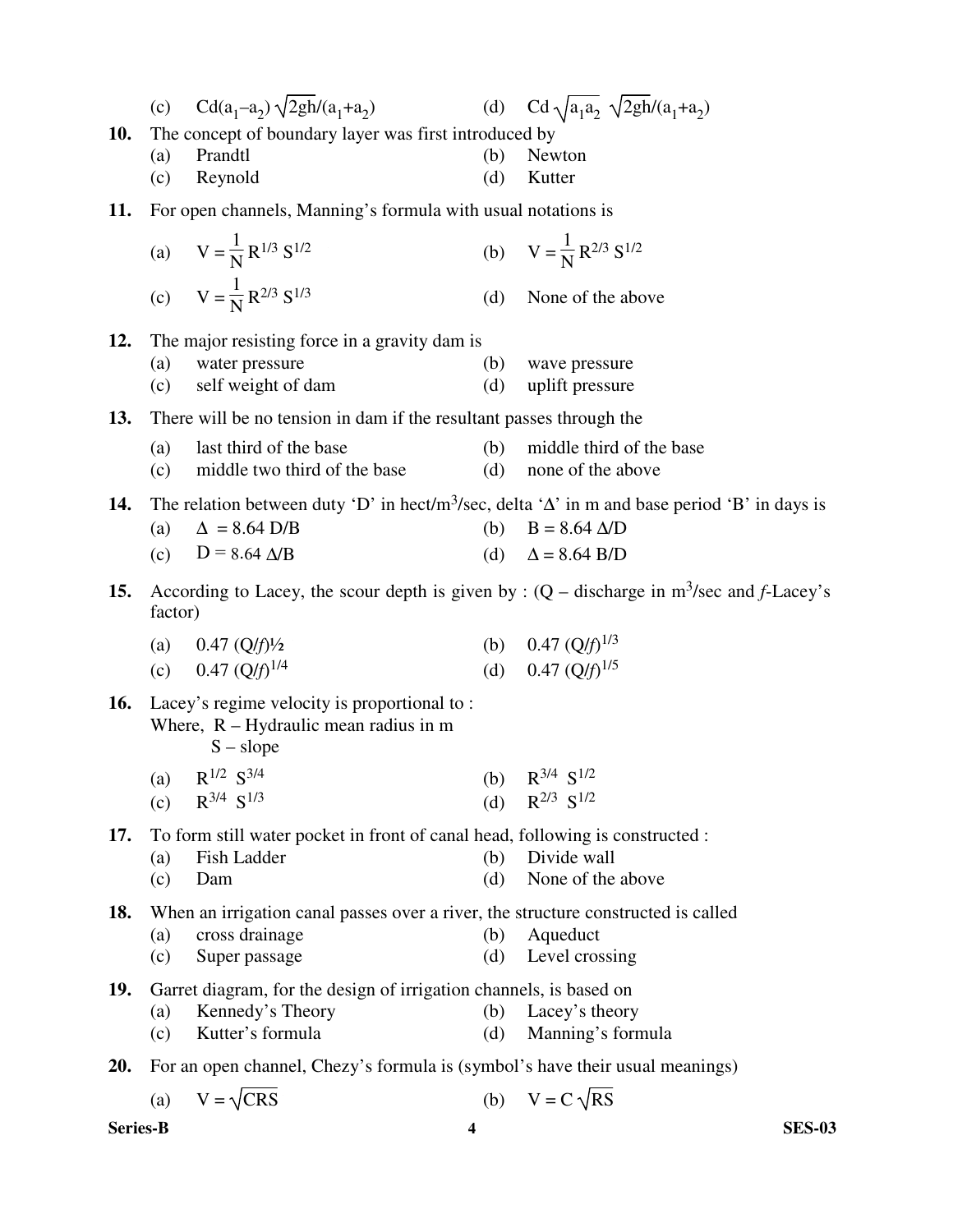|            | (c)                                                   | $Cd(a_1-a_2)\sqrt{2gh/(a_1+a_2)}$                                                                      |     | (d) Cd $\sqrt{a_1 a_2} \sqrt{2gh}/(a_1 + a_2)$                                                                    |  |  |
|------------|-------------------------------------------------------|--------------------------------------------------------------------------------------------------------|-----|-------------------------------------------------------------------------------------------------------------------|--|--|
| <b>10.</b> | The concept of boundary layer was first introduced by |                                                                                                        |     |                                                                                                                   |  |  |
|            | (a)                                                   | Prandtl                                                                                                | (b) | Newton                                                                                                            |  |  |
|            | (c)                                                   | Reynold                                                                                                | (d) | Kutter                                                                                                            |  |  |
| 11.        |                                                       | For open channels, Manning's formula with usual notations is                                           |     |                                                                                                                   |  |  |
|            |                                                       | (a) $V = \frac{1}{N} R^{1/3} S^{1/2}$                                                                  |     | (b) $V = \frac{1}{N} R^{2/3} S^{1/2}$                                                                             |  |  |
|            |                                                       | (c) $V = \frac{1}{N} R^{2/3} S^{1/3}$                                                                  | (d) | None of the above                                                                                                 |  |  |
| 12.        |                                                       | The major resisting force in a gravity dam is                                                          |     |                                                                                                                   |  |  |
|            | (a)                                                   | water pressure                                                                                         | (b) | wave pressure                                                                                                     |  |  |
|            | (c)                                                   | self weight of dam                                                                                     | (d) | uplift pressure                                                                                                   |  |  |
| 13.        |                                                       | There will be no tension in dam if the resultant passes through the                                    |     |                                                                                                                   |  |  |
|            | (a)                                                   | last third of the base                                                                                 | (b) | middle third of the base                                                                                          |  |  |
|            | (c)                                                   | middle two third of the base                                                                           | (d) | none of the above                                                                                                 |  |  |
| 14.        |                                                       |                                                                                                        |     | The relation between duty 'D' in hect/m <sup>3</sup> /sec, delta ' $\Delta$ ' in m and base period 'B' in days is |  |  |
|            | (a)                                                   | $\Delta = 8.64$ D/B                                                                                    |     | (b) $B = 8.64 \Delta/D$                                                                                           |  |  |
|            | (c)                                                   | $D = 8.64 \Delta/B$                                                                                    |     | (d) $\Delta = 8.64$ B/D                                                                                           |  |  |
| 15.        | factor)                                               |                                                                                                        |     | According to Lacey, the scour depth is given by : $(Q - discharge)$ in m <sup>3</sup> /sec and <i>f</i> -Lacey's  |  |  |
|            |                                                       | (a) $0.47 \left( Q/f \right) / 2$                                                                      |     | (b) $0.47 \, (Q/f)^{1/3}$                                                                                         |  |  |
|            |                                                       | (c) 0.47 $(Q/f)^{1/4}$                                                                                 |     | (d) $0.47 \, (Q/f)^{1/5}$                                                                                         |  |  |
| 16.        |                                                       | Lacey's regime velocity is proportional to:<br>Where, $R - Hy$ draulic mean radius in m<br>$S - slope$ |     |                                                                                                                   |  |  |
|            |                                                       | (a) $R^{1/2} S^{3/4}$                                                                                  |     | (b) $R^{3/4} S^{1/2}$                                                                                             |  |  |
|            | (c)                                                   | $R^{3/4} S^{1/3}$                                                                                      | (d) | $R^{2/3} S^{1/2}$                                                                                                 |  |  |
| 17.        |                                                       | To form still water pocket in front of canal head, following is constructed :                          |     |                                                                                                                   |  |  |
|            | (a)                                                   | Fish Ladder                                                                                            | (b) | Divide wall                                                                                                       |  |  |
|            | (c)                                                   | Dam                                                                                                    | (d) | None of the above                                                                                                 |  |  |
| 18.        |                                                       | When an irrigation canal passes over a river, the structure constructed is called                      |     |                                                                                                                   |  |  |
|            | (a)                                                   | cross drainage                                                                                         | (b) | Aqueduct                                                                                                          |  |  |
|            | (c)                                                   | Super passage                                                                                          | (d) | Level crossing                                                                                                    |  |  |
| 19.        |                                                       | Garret diagram, for the design of irrigation channels, is based on                                     |     |                                                                                                                   |  |  |
|            | (a)                                                   | Kennedy's Theory                                                                                       | (b) | Lacey's theory                                                                                                    |  |  |
|            | (c)                                                   | Kutter's formula                                                                                       | (d) | Manning's formula                                                                                                 |  |  |
| 20.        |                                                       | For an open channel, Chezy's formula is (symbol's have their usual meanings)                           |     |                                                                                                                   |  |  |
|            |                                                       |                                                                                                        |     |                                                                                                                   |  |  |

(a)  $V = \sqrt{CRS}$  (b)  $V = C \sqrt{RS}$ 

**Series-B 4 SES-03**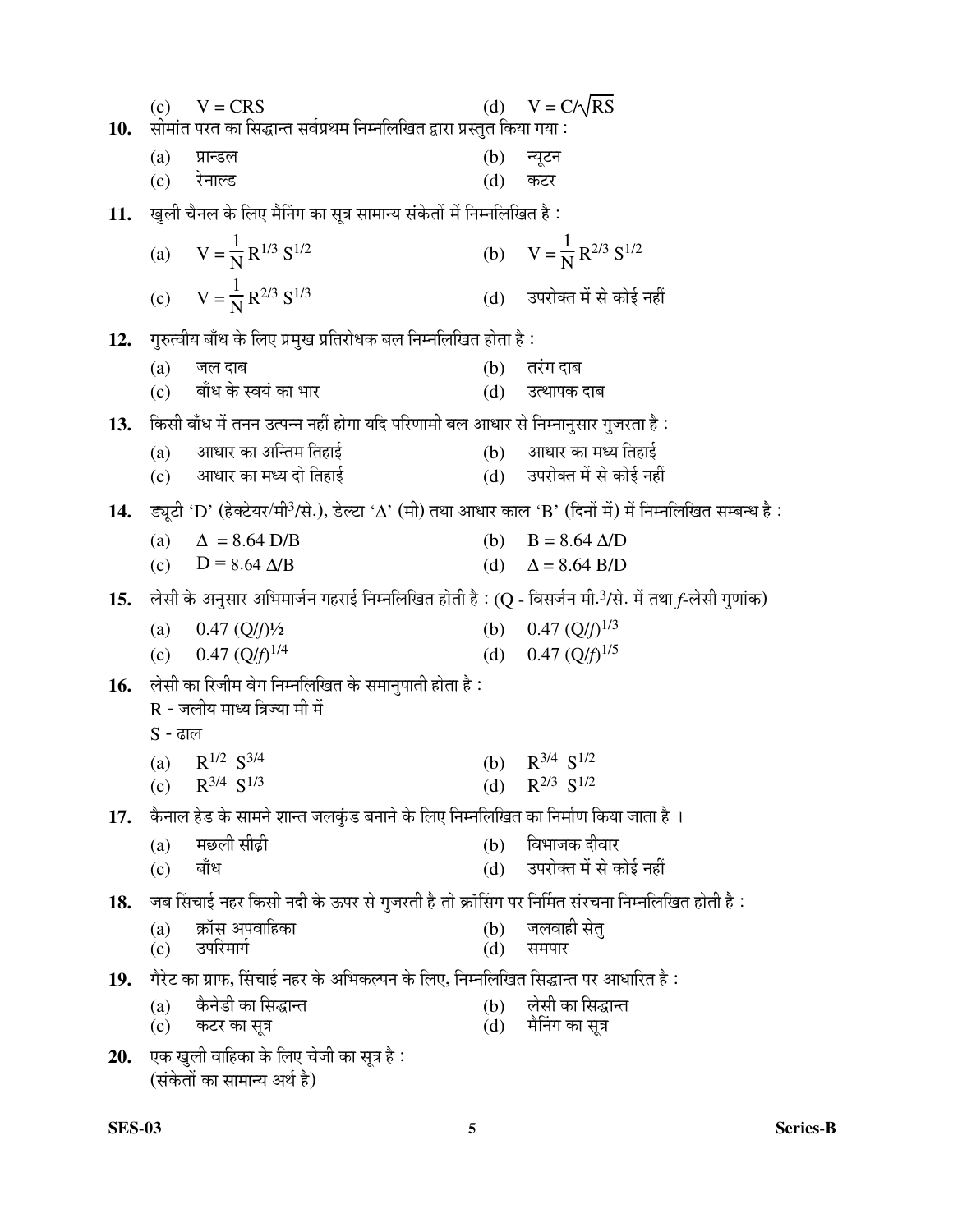| 10. | (c)        | $V = CRS$<br>सीमांत परत का सिद्धान्त सर्वप्रथम निम्नलिखित द्वारा प्रस्तुत किया गया :                                  | (d)        | $V = C/\sqrt{RS}$                     |
|-----|------------|-----------------------------------------------------------------------------------------------------------------------|------------|---------------------------------------|
|     | (a)        | प्रान्डल                                                                                                              |            | (b) न्यूटन                            |
|     |            | (c) रेनाल्ड                                                                                                           | (d)        | कटर                                   |
| 11. |            | खुली चैनल के लिए मैनिंग का सूत्र सामान्य संकेतों में निम्नलिखित है :                                                  |            |                                       |
|     |            | (a) $V = \frac{1}{N} R^{1/3} S^{1/2}$                                                                                 |            | (b) $V = \frac{1}{N} R^{2/3} S^{1/2}$ |
|     |            | (c) $V = \frac{1}{N} R^{2/3} S^{1/3}$                                                                                 |            | (d) उपरोक्त में से कोई नहीं           |
| 12. |            | गुरुत्वीय बाँध के लिए प्रमुख प्रतिरोधक बल निम्नलिखित होता है :                                                        |            |                                       |
|     | (a)        | जल दाब                                                                                                                |            | (b) तरंग दाब                          |
|     |            | (c) बाँध के स्वयं का भार                                                                                              |            | (d) उत्थापक दाब                       |
| 13. |            | किसी बाँध में तनन उत्पन्न नहीं होगा यदि परिणामी बल आधार से निम्नानुसार गुजरता है:                                     |            |                                       |
|     |            | (a) आधार का अन्तिम तिहाई                                                                                              |            | (b) आधार का मध्य तिहाई                |
|     |            | (c) आधार का मध्य दो तिहाई                                                                                             |            | (d) उपरोक्त में से कोई नहीं           |
| 14. |            | उच्चूटी 'D' (हेक्टेयर/मी <sup>3</sup> /से.), डेल्टा 'Δ' (मी) तथा आधार काल 'B' (दिनों में) में निम्नलिखित सम्बन्ध है : |            |                                       |
|     |            | (a) $\Delta = 8.64 \text{ D/B}$                                                                                       |            | (b) $B = 8.64 \Delta/D$               |
|     |            | (c) $D = 8.64 \Delta/B$                                                                                               |            | (d) $\Delta = 8.64$ B/D               |
| 15. |            | लेसी के अनुसार अभिमार्जन गहराई निम्नलिखित होती है : (Q - विसर्जन मी. <sup>3</sup> /से. में तथा f-लेसी गुणांक)         |            |                                       |
|     |            | (a) $0.47 \left(Q/f\right)/2$                                                                                         |            | (b) 0.47 $(Q/f)^{1/3}$                |
|     |            | (c) 0.47 $(Q/f)^{1/4}$                                                                                                |            | (d) 0.47 $(Q/f)^{1/5}$                |
| 16. |            | लेसी का रिजीम वेग निम्नलिखित के समानुपाती होता है :<br>R - जलीय माध्य त्रिज्या मी में                                 |            |                                       |
|     | S - ढाल    |                                                                                                                       |            |                                       |
|     |            | (a) $R^{1/2} S^{3/4}$                                                                                                 |            | (b) $R^{3/4} S^{1/2}$                 |
|     |            | (c) $R^{3/4} S^{1/3}$                                                                                                 |            | (d) $R^{2/3} S^{1/2}$                 |
| 17. |            | कैनाल हेड के सामने शान्त जलकुंड बनाने के लिए निम्नलिखित का निर्माण किया जाता है ।                                     |            |                                       |
|     | (a)        | मछली सीढ़ी                                                                                                            | (b)        | विभाजक दीवार                          |
|     | (c)        | बाँध                                                                                                                  |            | (d) उपरोक्त में से कोई नहीं           |
| 18. |            | : जब सिंचाई नहर किसी नदी के ऊपर से गुजरती है तो क्रॉसिंग पर निर्मित संरचना निम्नलिखित होती है                         |            |                                       |
|     | (a)<br>(c) | क्रॉस अपवाहिका<br>उपरिमार्ग                                                                                           | (b)<br>(d) | जलवाही सेत्<br>समपार                  |
| 19. |            | गैरेट का ग्राफ, सिंचाई नहर के अभिकल्पन के लिए, निम्नलिखित सिद्धान्त पर आधारित है :                                    |            |                                       |
|     | (a)        | कैनेडी का सिद्धान्त                                                                                                   | (b)        | लेसी का सिद्धान्त                     |
|     |            | (c) कटर का सूत्र                                                                                                      | (d)        | मैनिंग का सूत्र                       |
| 20. |            | एक खुली वाहिका के लिए चेजी का सूत्र है :<br>(संकेतों का सामान्य अर्थ है)                                              |            |                                       |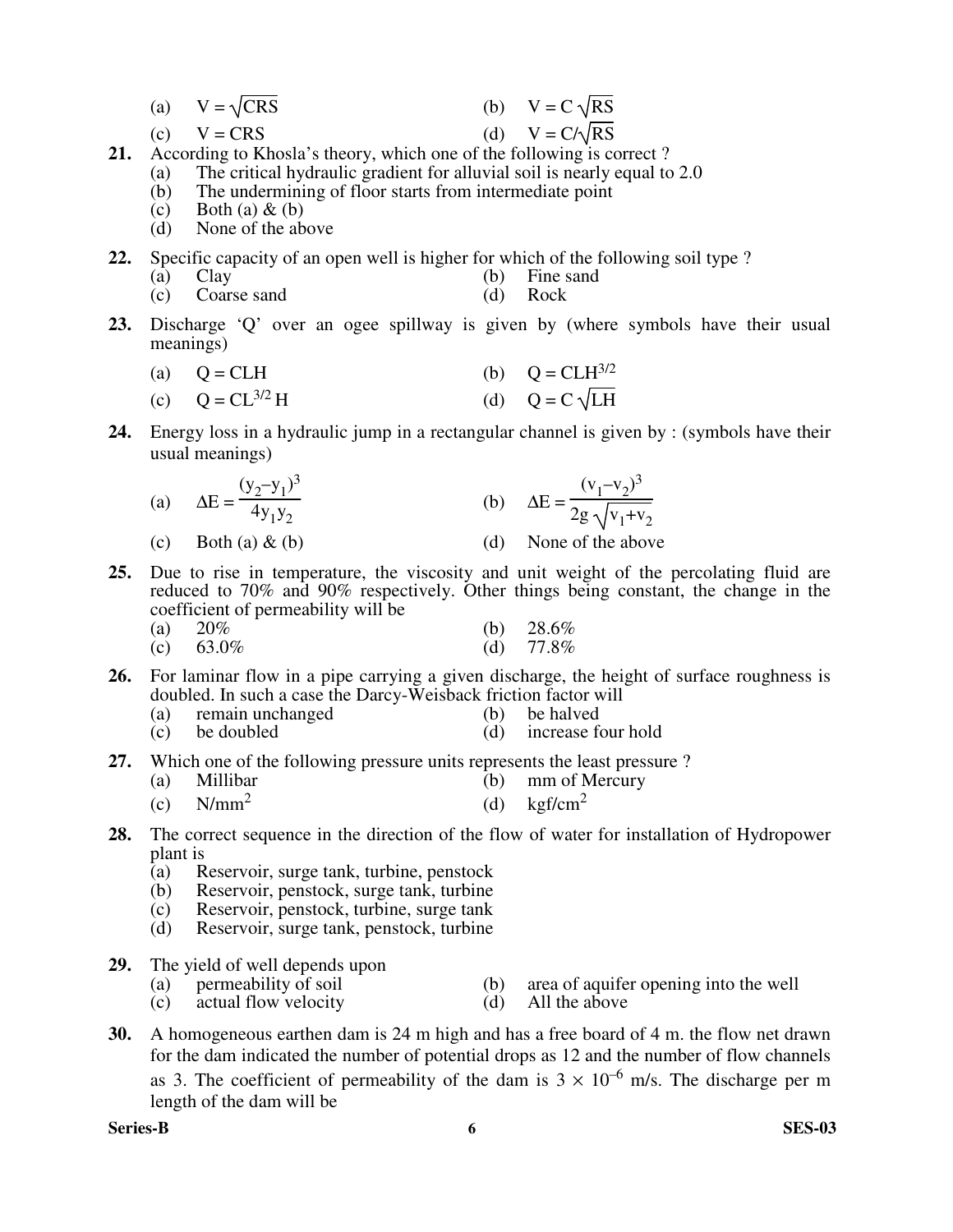| $V = \sqrt{CRS}$ |  | (b) $V = C \sqrt{RS}$ |
|------------------|--|-----------------------|
|------------------|--|-----------------------|

(c)  $V = CRS$  (d)  $V = C/\sqrt{RS}$ 

- 
- **21.** According to Khosla's theory, which one of the following is correct ?
	- (a) The critical hydraulic gradient for alluvial soil is nearly equal to 2.0
	- (b) The undermining of floor starts from intermediate point
	- (c) Both (a)  $\&$  (b)
	- (d) None of the above
- **22.** Specific capacity of an open well is higher for which of the following soil type ?
	- (a) Clay (b) Fine sand
	- (c) Coarse sand (d) Rock
- **23.** Discharge 'Q' over an ogee spillway is given by (where symbols have their usual meanings)

(a) 
$$
Q = CLH
$$
 (b)  $Q = CLH^{3/2}$ 

(c) 
$$
Q = CL^{3/2}H
$$
 (d)  $Q = C\sqrt{LH}$ 

**24.** Energy loss in a hydraulic jump in a rectangular channel is given by : (symbols have their usual meanings)

(a) 
$$
\Delta E = \frac{(y_2 - y_1)^3}{4y_1y_2}
$$
 (b)  $\Delta E = \frac{(v_1 - v_2)^3}{2g\sqrt{v_1 + v_2}}$   
(c) Both (a) & (b)  $\Delta E = \frac{(v_1 - v_2)^3}{2g\sqrt{v_1 + v_2}}$ 

- **25.** Due to rise in temperature, the viscosity and unit weight of the percolating fluid are reduced to 70% and 90% respectively. Other things being constant, the change in the coefficient of permeability will be
- (a)  $20\%$  (b)  $28.6\%$ (c)  $63.0\%$  (d)  $77.8\%$
- **26.** For laminar flow in a pipe carrying a given discharge, the height of surface roughness is
	- doubled. In such a case the Darcy-Weisback friction factor will
	- (a) remain unchanged (b) be halved (c) be doubled (d) increase four hold
	-
- **27.** Which one of the following pressure units represents the least pressure ?
	- (a) Millibar (b) mm of Mercury
	- $(c)$  N/mm<sup>2</sup> (d)  $\text{kgf/cm}^2$
- **28.** The correct sequence in the direction of the flow of water for installation of Hydropower plant is<br>(a)  $\overline{R}$ 
	- Reservoir, surge tank, turbine, penstock
	- (b) Reservoir, penstock, surge tank, turbine<br>(c) Reservoir, penstock, turbine, surge tank
	- Reservoir, penstock, turbine, surge tank
	- (d) Reservoir, surge tank, penstock, turbine
- **29.** The yield of well depends upon<br>(a) permeability of soil
	- (a) permeability of soil (b) area of aquifer opening into the well (c) actual flow velocity (d) All the above
	- actual flow velocity
- **30.** A homogeneous earthen dam is 24 m high and has a free board of 4 m. the flow net drawn for the dam indicated the number of potential drops as 12 and the number of flow channels as 3. The coefficient of permeability of the dam is  $3 \times 10^{-6}$  m/s. The discharge per m length of the dam will be

**Series-B 6 SES-03**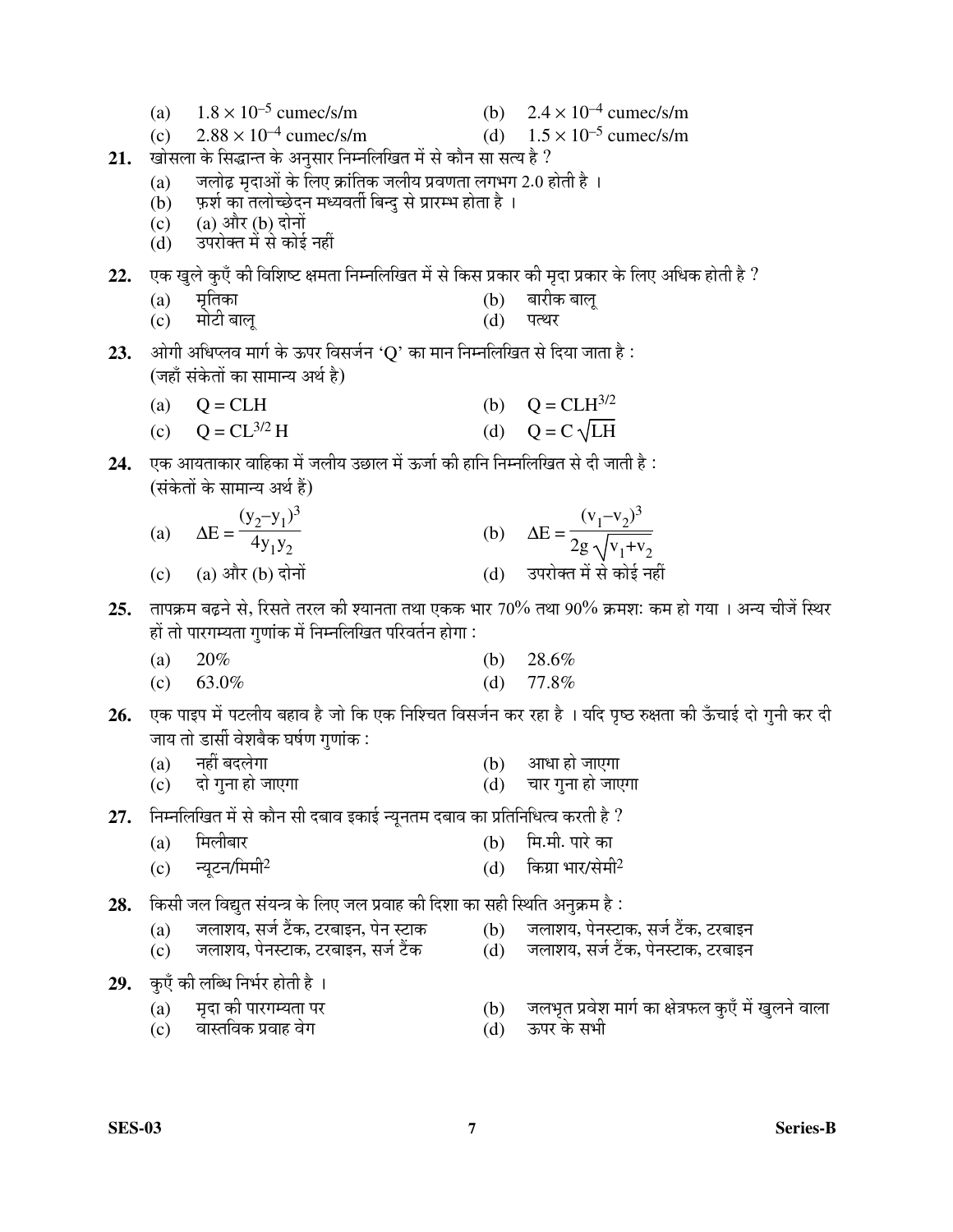- (a)  $1.8 \times 10^{-5}$  cumec/s/m (b)  $2.4 \times 10^{-4}$  cumec/s/m
- $2.88 \times 10^{-4}$  cumec/s/m (d)  $1.5 \times 10^{-5}$  cumec/s/m  $(c)$
- खोसला के सिद्धान्त के अनुसार निम्नलिखित में से कौन सा सत्य है ?  $21.$ 
	- जलोढ़ मृदाओं के लिए क्रांतिक जलीय प्रवणता लगभग 2.0 होती है ।  $(a)$
	- फ़र्श का तलोच्छेदन मध्यवर्ती बिन्दु से प्रारम्भ होता है ।  $(b)$
	- (a) और (b) दोनों  $(c)$
	- (d) उपरोक्त में से कोई नहीं
- 22. एक खुले कुएँ की विशिष्ट क्षमता निम्नलिखित में से किस प्रकार की मृदा प्रकार के लिए अधिक होती है ?
	- मृतिका बारीक बालू  $(a)$  $(b)$
	- मोटी बालू  $(c)$  $(d)$ पत्थर
- ओगी अधिप्लव मार्ग के ऊपर विसर्जन 'Q' का मान निम्नलिखित से दिया जाता है : 23. (जहाँ संकेतों का सामान्य अर्थ है)
	- $Q = CLH$ (b)  $Q = CLH^{3/2}$  $(a)$
	- (c)  $Q = CL^{3/2} H$ (d)  $Q = C \sqrt{LH}$
- 24. एक आयताकार वाहिका में जलीय उछाल में ऊर्जा की हानि निम्नलिखित से दी जाती है : (संकेतों के सामान्य अर्थ हैं)
	- $\Delta E = \frac{(y_2 y_1)^3}{4y_1y_2}$ (b)  $\Delta E = \frac{(v_1 - v_2)^3}{2g \sqrt{v_1 + v_2}}$  $(a)$ (d) उपरोक्त में से कोई नहीं (c)  $(a)$  और  $(b)$  दोनों
- 25. तापक्रम बढ़ने से, रिसते तरल की श्यानता तथा एकक भार 70% तथा 90% क्रमशः कम हो गया । अन्य चीजें स्थिर हों तो पारगम्यता गुणांक में निम्नलिखित परिवर्तन होगा :
	- 20%  $(a)$ (b)  $28.6\%$
	- $(c)$ 63.0% (d)  $77.8\%$
- एक पाइप में पटलीय बहाव है जो कि एक निश्चित विसर्जन कर रहा है । यदि पृष्ठ रुक्षता की ऊँचाई दो गुनी कर दी 26. जाय तो डार्सी वेशबैक घर्षण गणांक :
	- नहीं बदलेगा  $(b)$  आधा हो जाएगा  $(a)$
	- दो गुना हो जाएगा (d) चार गुना हो जाएगा  $(c)$
- निम्नलिखित में से कौन सी दबाव इकाई न्यूनतम दबाव का प्रतिनिधित्व करती है  $\,$ 27.
	- मिलीबार (b) मि.मी. पारे का  $(a)$
	- (d) किग्रा भार/सेमी $^2$ न्युटन/मिमी $^2$  $(c)$

किसी जल विद्युत संयन्त्र के लिए जल प्रवाह की दिशा का सही स्थिति अनुक्रम है : 28.

- जलाशय, सर्ज टैंक, टरबाइन, पेन स्टाक (b) जलाशय, पेनस्टाक, सर्ज टैंक, टरबाइन  $(a)$
- जलाशय, पेनस्टाक, टरबाइन, सर्ज टैंक (d) जलाशय, सर्ज टैंक, पेनस्टाक, टरबाइन  $(c)$
- 29. कुएँ की लब्धि निर्भर होती है ।

- (b) जलभृत प्रवेश मार्ग का क्षेत्रफल कुएँ में खुलने वाला ऊपर के सभी
- वास्तविक प्रवाह वेग  $(c)$

मृदा की पारगम्यता पर

 $(a)$ 

 $(d)$ 

- 
-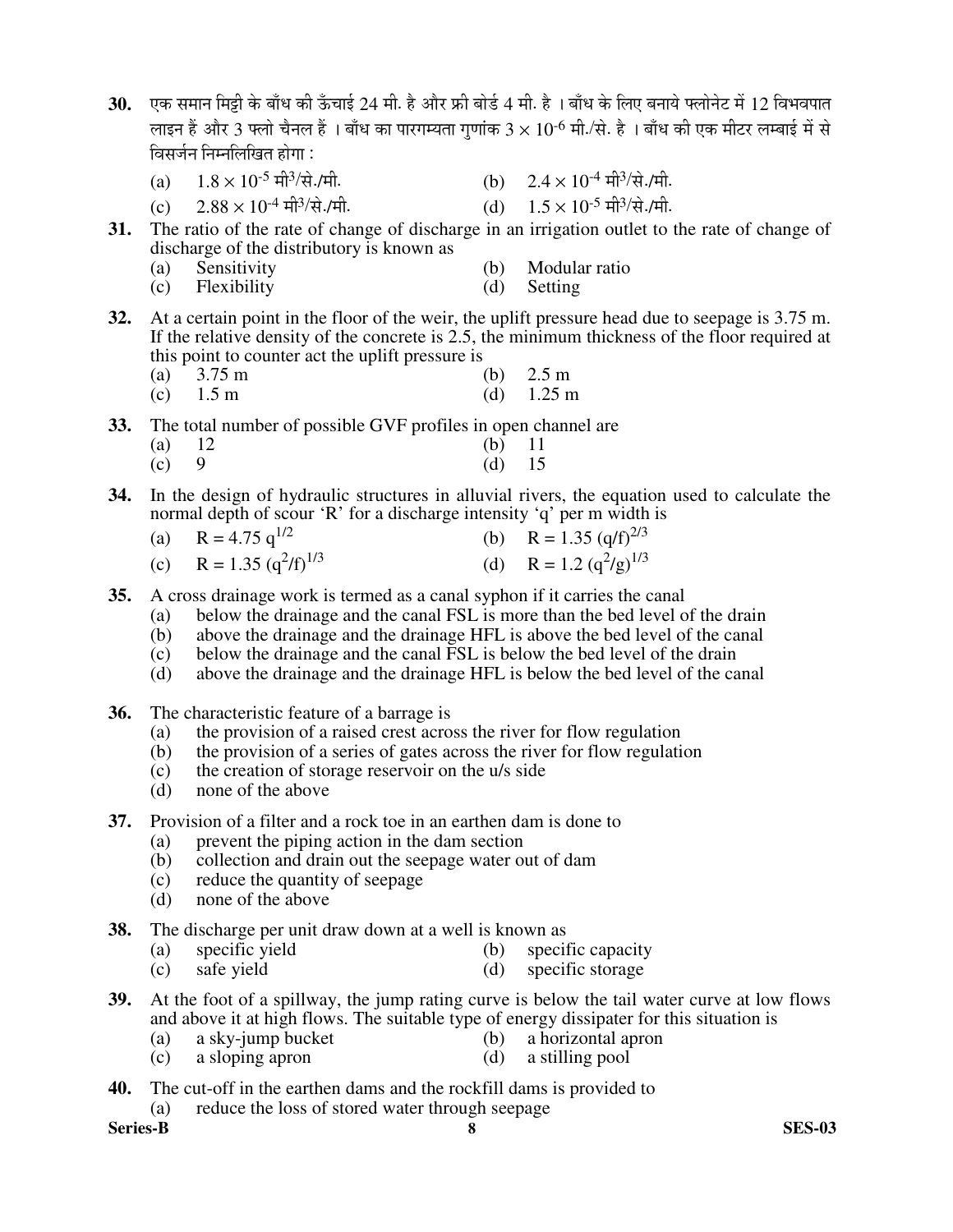- $30.$  एक समान मिट्टी के बाँध की ऊँचाई 24 मी. है और फ्री बोर्ड 4 मी. है । बाँध के लिए बनाये फ्लोनेट में 12 विभवपात लाइन हैं और 3 फ्लो चैनल हैं । बाँध का पारगम्यता गणांक 3  $\times$   $10^{-6}$  मी./से. है । बाँध की एक मीटर लम्बाई में से <u>विसर्जन निम्नलिखित होगा :</u>
	- (a)  $1.8 \times 10^{-5}$  मी<sup>3</sup>/से./मी. /से./मी. (b)  $2.4 \times 10^{-4}$  मी<sup>3</sup>/से./मी.
	- (c)  $2.88 \times 10^{-4}$  मी<sup>3</sup>/से./मी. /से./मी. (d)  $1.5 \times 10^{-5}$  मी<sup>3</sup>/से./मी.
- **31.** The ratio of the rate of change of discharge in an irrigation outlet to the rate of change of discharge of the distributory is known as
	- (a) Sensitivity (b) Modular ratio<br>
	(c) Flexibility (d) Setting
	- (c) Flexibility (d) Setting
- **32.** At a certain point in the floor of the weir, the uplift pressure head due to seepage is 3.75 m. If the relative density of the concrete is 2.5, the minimum thickness of the floor required at this point to counter act the uplift pressure is
- (a) 3.75 m (b) 2.5 m
	- (c)  $1.5 \text{ m}$  (d)  $1.25 \text{ m}$
- **33.** The total number of possible GVF profiles in open channel are
- (a)  $12$  (b)  $11$ <br>(c) 9 (d)  $15$ (c) 9 (d) 15
- **34.** In the design of hydraulic structures in alluvial rivers, the equation used to calculate the normal depth of scour 'R' for a discharge intensity 'q' per m width is
	- (a)  $R = 4.75 \text{ q}^{1/2}$  (b)  $R = 1.35 \text{ (q/f)}^{2/3}$ (c)  $R = 1.35 (q^2/f)^{1/3}$  $(f)^{1/3}$  (d) R = 1.2 (q<sup>2</sup>/g)<sup>1/3</sup>
- **35.** A cross drainage work is termed as a canal syphon if it carries the canal
	- (a) below the drainage and the canal FSL is more than the bed level of the drain (b) above the drainage and the drainage HFL is above the bed level of the canal
	- above the drainage and the drainage HFL is above the bed level of the canal
	- (c) below the drainage and the canal FSL is below the bed level of the drain
	- (d) above the drainage and the drainage HFL is below the bed level of the canal
- **36.** The characteristic feature of a barrage is
	- (a) the provision of a raised crest across the river for flow regulation
	- (b) the provision of a series of gates across the river for flow regulation
	- (c) the creation of storage reservoir on the u/s side
	- (d) none of the above
- **37.** Provision of a filter and a rock toe in an earthen dam is done to
	- (a) prevent the piping action in the dam section
	- (b) collection and drain out the seepage water out of dam
	- (c) reduce the quantity of seepage
	- (d) none of the above
- **38.** The discharge per unit draw down at a well is known as (a) specific yield (b) specific
	- (a) specific yield (b) specific capacity
	- (c) safe yield (d) specific storage
- **39.** At the foot of a spillway, the jump rating curve is below the tail water curve at low flows and above it at high flows. The suitable type of energy dissipater for this situation is
	- (a) a sky-jump bucket (b) a horizontal apron
	- (c) a sloping apron (d) a stilling pool
- **40.** The cut-off in the earthen dams and the rockfill dams is provided to
	- (a) reduce the loss of stored water through seepage
- **Series-B 8 SES-03**
- 
- 
- 
-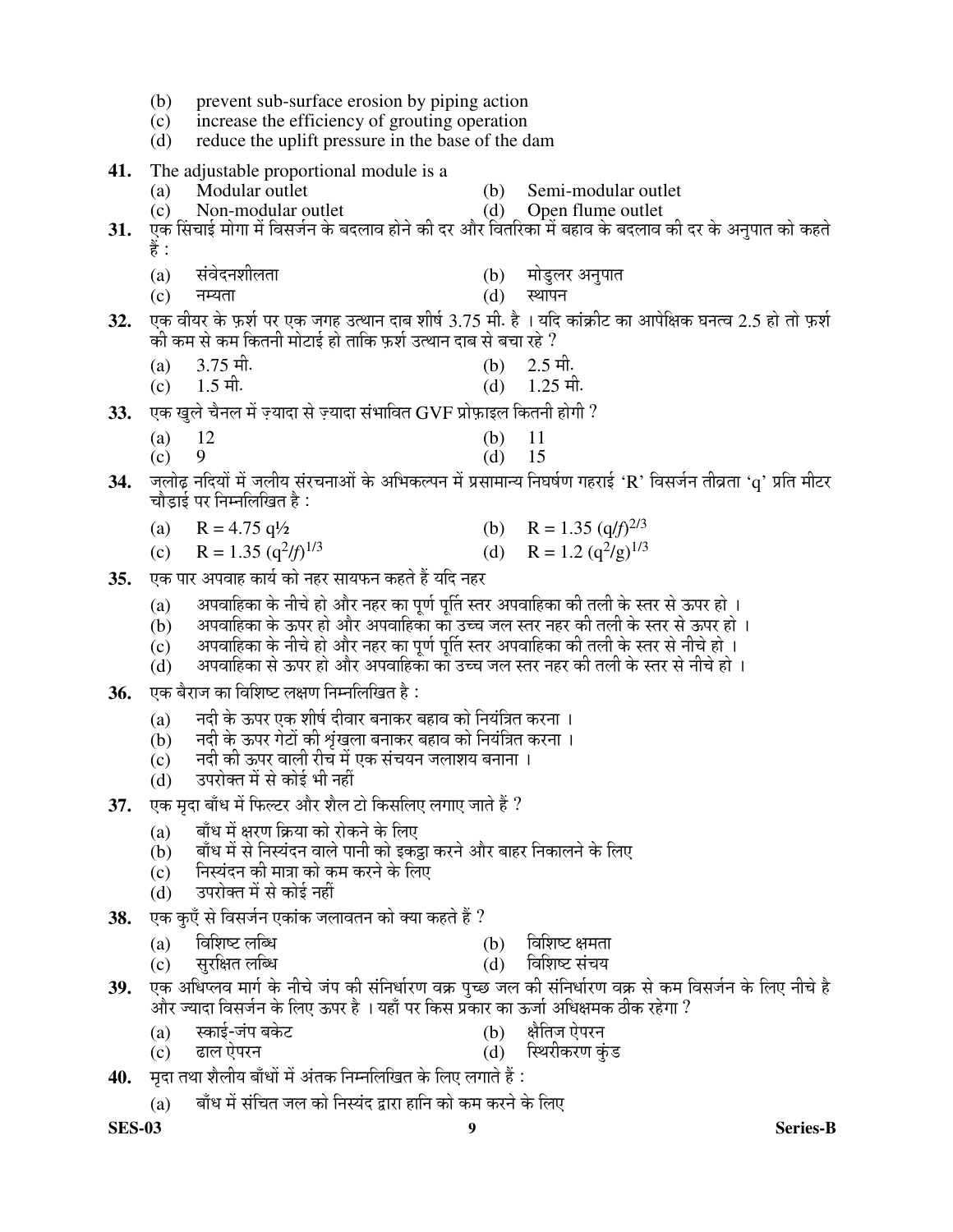- (b) prevent sub-surface erosion by piping action
- (c) increase the efficiency of grouting operation
- (d) reduce the uplift pressure in the base of the dam
- **41.** The adjustable proportional module is a
	- (a) Modular outlet (b) Semi-modular outlet
	- (c) Non-modular outlet (d) Open flume outlet
- 31. ऐक सिंचाई मोगा में विसर्जन के बदलाव होने की दर और वितरिका में बहाव के बदलाव की दर के अनुपात को कहते हैं :
	- (a) संवेदनशीलता (b) मोड्लर अनुपात
- $(c)$  नम्यता  $(d)$  ख्यापन
- 32. एक वीयर के फ़र्श पर एक जगह उत्थान दाब शीर्ष 3.75 मी. है । यदि कांक्रीट का आपेक्षिक घनत्व 2.5 हो तो फ़र्श की कम से कम कितनी मोटाई हो ताकि फ़र्श उत्थान दाब से बचा रहे  $\it ?$
- (a)  $3.75 \text{ H}$ . (b)  $2.5 \text{ H}$ .
	- (c)  $1.5 \text{ H}$ . (d)  $1.25 \text{ H}$ .
- 33. एक खले चैनल में ज़्यादा से ज़्यादा संभावित GVF प्रोफ़ाइल कितनी होगी ?
- (a)  $12$  (b)  $11$
- (c) 9 (d) 15
- 34. जलोढ नदियों में जलीय संरचनाओं के अभिकल्पन में प्रसामान्य निघर्षण गहराई 'R' विसर्जन तीव्रता 'g' प्रति मीटर चौड़ाई पर निम्नलिखित है:
- (a)  $R = 4.75 \frac{q}{2}$  (b)  $R = 1.35 \frac{q}{f}^{2/3}$
- (c)  $R = 1.35 (q^2/f)$ 1/3 (d)  $R = 1.2 (q^2/g)^{1/3}$
- **35.** एक पार अपवाह कार्य को नहर सायफन कहते हैं यदि नहर
	- (a)  $\;$  अपवाहिका के नीचे हो और नहर का पूर्ण पूर्ति स्तर अपवाहिका की तली के स्तर से ऊपर हो ।
	- $\dot{\mathbf{b}}$ ) अपवाहिका के ऊपर हो और अपवाहिका का उच्च जल स्तर नहर की तली के स्तर से ऊपर हो ।
	- $\rm \widetilde{(c)}$  छापवाहिका के नीचे हो और नहर का पूर्ण पूर्ति स्तर अपवाहिका की तली के स्तर से नीचे हो ।
	- $\dot{\mathbf{d}}$ )  $\,$  अपवाहिका से ऊपर हो और अपवाहिका का उच्च जल स्तर नहर की तली के स्तर से नीचे हो ।
- 36. एक बैराज का विशिष्ट लक्षण निम्नलिखित है :
	- $(a)$   $\,$  नदी के ऊपर एक शीर्ष दीवार बनाकर बहाव को नियंत्रित करना ।
	- $\widetilde{a}$  $\widetilde{b}$ ) विंदी के ऊपर गेटों की शृंखला बनाकर बहाव को नियंत्रित करना ।
	- $\dot{\mathbf{c}}$ )  $\qquad$  नदी की ऊपर वाली रीच में एक संचयन जलाशय बनाना ।
	- $(d)$   $\bar{d}$  उपरोक्त में से कोई भी नहीं
- 37. एक मृदा बाँध में फिल्टर और शैल टो किसलिए लगाए जाते हैं ?
	- $(a)$  बाँध में क्षरण क्रिया को रोकने के लिए
	- (b) बाँध में से निस्यंदन वाले पानी को इकट्ठा करने और बाहर निकालने के लिए
	- $\overline{c}$ )  $\overline{c}$  निस्यंदन की मात्रा को कम करने के लिए
	- $\dot{a}$ )  $\dot{a}$  उपरोक्त में से कोई नहीं
- 38. एक कएँ से विसर्जन एकांक जलावतन को क्या कहते हैं ?
	- (a) विशिष्ट लब्धि (b) विशिष्ट क्षमता<br>(c) सरक्षित लब्धि (d) विशिष्ट संचय
	- (c) ÃÖã¸ü×õÖŸÖ »Öײ¬Ö (d) ×¾Ö׿Ö™ü ÃÖÓ"ÖµÖ
- 39. एक अधिप्लव मार्ग के नीचे जंप की संनिर्धारण वक्र पुच्छ जल की संनिर्धारण वक्र से कम विसर्जन के लिए नीचे है और ज्यादा विसर्जन के लिए ऊपर है । यहाँ पर किस प्रकार का ऊर्जा अधिक्षमक ठीक रहेगा ?
	- (a) ÃÛúÖ‡Ô-•ÖÓ¯Ö ²ÖÛêú™ü (b) õÖî×ŸÖ•Ö ‹ê¯Ö¸ü®Ö
	- (c) œüÖ»Ö ‹ê¯Ö¸ü®Ö (d) ×ãָüßÛú¸üÞÖ ÛãÓú›ü
- **40.** पदा तथा शैलीय बाँधों में अंतक निम्नलिखित के लिए लगाते हैं :
	- (a)  $\;$  बाँध में संचित जल को निस्यंद द्वारा हानि को कम करने के लिए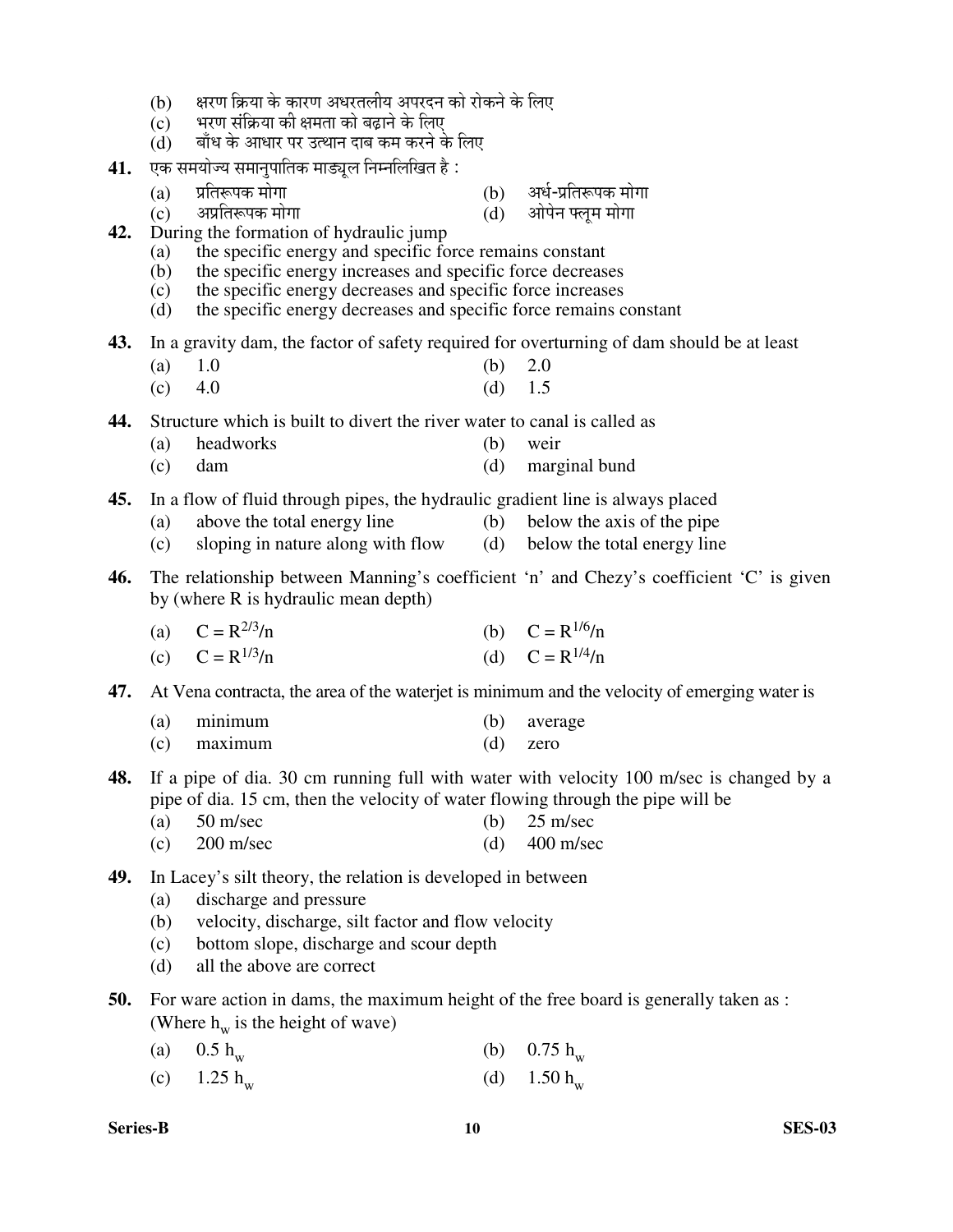- (b) क्षरण क्रिया के कारण अधरतलीय अपरदन को रोकने के लिए
- $\overline{c}$ े भरण संक्रिया की क्षमता को बढाने के लिए
- $(d)$  वाँध के आधार पर उत्थान दाब कम करने के लिए
- **41.** एक समयोज्य समानुपातिक माड्यूल निम्नलिखित है :
	- (a) ¯ÖÏןֺþ¯ÖÛú ´ÖÖêÝÖÖü (b) †¬ÖÔ-¯ÖÏןֺþ¯ÖÛú ´ÖÖêÝÖÖ
	- (c) †¯ÖÏןֺþ¯ÖÛú ´ÖÖêÝÖÖ (d) †Öê¯Öê®Ö °»Öæ´Ö ´ÖÖêÝÖÖ
- -
- **42.** During the formation of hydraulic jump
	- (a) the specific energy and specific force remains constant
	- (b) the specific energy increases and specific force decreases (c) the specific energy decreases and specific force increases
	- the specific energy decreases and specific force increases
	- (d) the specific energy decreases and specific force remains constant
- **43.** In a gravity dam, the factor of safety required for overturning of dam should be at least
- (a)  $1.0$  (b)  $2.0$ 
	- (c)  $4.0$  (d)  $1.5$

**44.** Structure which is built to divert the river water to canal is called as

- (a) headworks (b) weir
- (c) dam (d) marginal bund

**45.** In a flow of fluid through pipes, the hydraulic gradient line is always placed

- (a) above the total energy line (b) below the axis of the pipe
- (c) sloping in nature along with flow (d) below the total energy line
- **46.** The relationship between Manning's coefficient 'n' and Chezy's coefficient 'C' is given by (where R is hydraulic mean depth)

| (a) $C = R^{2/3}/n$ | (b) $C = R^{1/6}/n$ |
|---------------------|---------------------|
| (c) $C = R^{1/3}/n$ | (d) $C = R^{1/4}/n$ |

**47.** At Vena contracta, the area of the waterjet is minimum and the velocity of emerging water is

- (a) minimum (b) average
- (c) maximum (d) zero
- **48.** If a pipe of dia. 30 cm running full with water with velocity 100 m/sec is changed by a pipe of dia. 15 cm, then the velocity of water flowing through the pipe will be
	- (a)  $50 \text{ m/sec}$  (b)  $25 \text{ m/sec}$
	- (c)  $200 \text{ m/sec}$  (d)  $400 \text{ m/sec}$
- **49.** In Lacey's silt theory, the relation is developed in between
	- (a) discharge and pressure
	- (b) velocity, discharge, silt factor and flow velocity
	- (c) bottom slope, discharge and scour depth
	- (d) all the above are correct
- **50.** For ware action in dams, the maximum height of the free board is generally taken as : (Where  $h_w$  is the height of wave)
	- (a)  $0.5 h_w$ (b)  $0.75 h_w$
	- (c)  $1.25 h_w$ (d)  $1.50 h_w$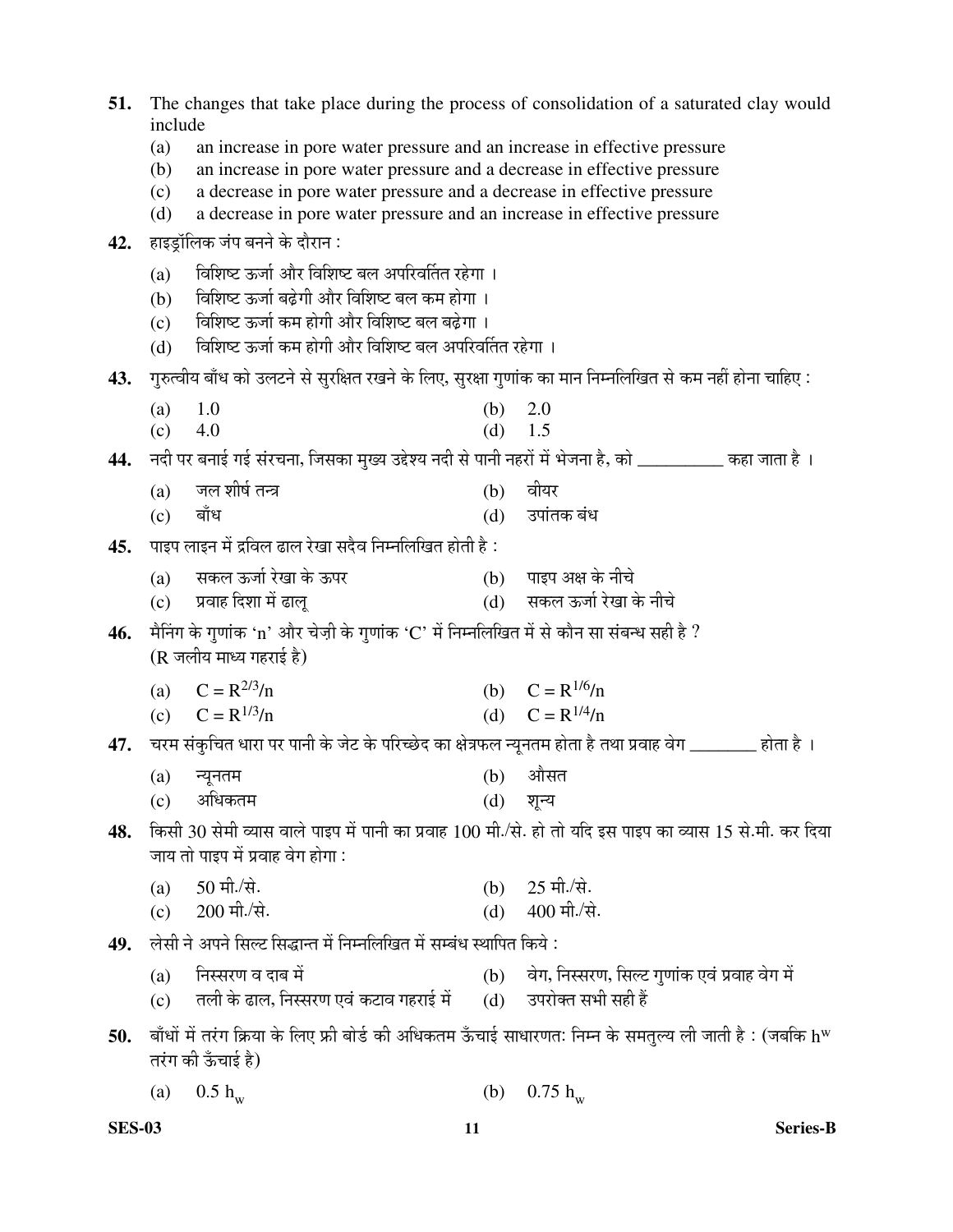| 51. | The changes that take place during the process of consolidation of a saturated clay would<br>include |                                                                                                                     |     |                                                                                                                    |  |  |
|-----|------------------------------------------------------------------------------------------------------|---------------------------------------------------------------------------------------------------------------------|-----|--------------------------------------------------------------------------------------------------------------------|--|--|
|     | (a)<br>an increase in pore water pressure and an increase in effective pressure                      |                                                                                                                     |     |                                                                                                                    |  |  |
|     | an increase in pore water pressure and a decrease in effective pressure<br>(b)                       |                                                                                                                     |     |                                                                                                                    |  |  |
|     | (c)                                                                                                  | a decrease in pore water pressure and a decrease in effective pressure                                              |     |                                                                                                                    |  |  |
|     | (d)                                                                                                  | a decrease in pore water pressure and an increase in effective pressure                                             |     |                                                                                                                    |  |  |
| 42. |                                                                                                      | हाइड्रॉलिक जंप बनने के दौरान :                                                                                      |     |                                                                                                                    |  |  |
|     | (a)                                                                                                  | विशिष्ट ऊर्जा और विशिष्ट बल अपरिवर्तित रहेगा ।                                                                      |     |                                                                                                                    |  |  |
|     | (b)                                                                                                  | विशिष्ट ऊर्जा बढ़ेगी और विशिष्ट बल कम होगा।                                                                         |     |                                                                                                                    |  |  |
|     | (c)                                                                                                  | विशिष्ट ऊर्जा कम होगी और विशिष्ट बल बढ़ेगा ।                                                                        |     |                                                                                                                    |  |  |
|     | (d)                                                                                                  | विशिष्ट ऊर्जा कम होगी और विशिष्ट बल अपरिवर्तित रहेगा ।                                                              |     |                                                                                                                    |  |  |
| 43. |                                                                                                      |                                                                                                                     |     | : गुरुत्वीय बाँध को उलटने से सुरक्षित रखने के लिए, सुरक्षा गुणांक का मान निम्नलिखित से कम नहीं होना चाहिए          |  |  |
|     | (a)                                                                                                  | 1.0                                                                                                                 | (b) | 2.0                                                                                                                |  |  |
|     | (c)                                                                                                  | 4.0                                                                                                                 | (d) | 1.5                                                                                                                |  |  |
| 44. |                                                                                                      |                                                                                                                     |     | नदी पर बनाई गई संरचना, जिसका मुख्य उद्देश्य नदी से पानी नहरों में भेजना है, को __________ कहा जाता है ।            |  |  |
|     | (a)                                                                                                  | जल शीर्ष तन्त्र                                                                                                     | (b) | वीयर                                                                                                               |  |  |
|     | (c)                                                                                                  | बाँध                                                                                                                | (d) | उपांतक बंध                                                                                                         |  |  |
| 45. |                                                                                                      | पाइप लाइन में द्रविल ढाल रेखा सदैव निम्नलिखित होती है :                                                             |     |                                                                                                                    |  |  |
|     | (a)                                                                                                  | सकल ऊर्जा रेखा के ऊपर                                                                                               |     | (b) पाइप अक्ष के नीचे                                                                                              |  |  |
|     |                                                                                                      | (c) प्रवाह दिशा में ढालू                                                                                            |     | (d) सकल ऊर्जा रेखा के नीचे                                                                                         |  |  |
| 46. |                                                                                                      | मैनिंग के गुणांक 'n' और चेज़ी के गुणांक 'C' में निम्नलिखित में से कौन सा संबन्ध सही है ?<br>(R जलीय माध्य गहराई है) |     |                                                                                                                    |  |  |
|     |                                                                                                      | (a) $C = R^{2/3}/n$                                                                                                 |     | (b) $C = R^{1/6}/n$                                                                                                |  |  |
|     |                                                                                                      | (c) $C = R^{1/3}/n$                                                                                                 |     | (d) $C = R^{1/4}/n$                                                                                                |  |  |
| 47. |                                                                                                      |                                                                                                                     |     | ्चरम संकुचित धारा पर पानी के जेट के परिच्छेद का क्षेत्रफल न्यूनतम होता है तथा प्रवाह वेग ________ होता है ।        |  |  |
|     | (a)                                                                                                  | न्यूनतम                                                                                                             | (b) | औसत                                                                                                                |  |  |
|     | (c)                                                                                                  | अधिकतम                                                                                                              | (d) | शून्य                                                                                                              |  |  |
| 48. |                                                                                                      |                                                                                                                     |     | किसी 30 सेमी व्यास वाले पाइप में पानी का प्रवाह 100 मी./से. हो तो यदि इस पाइप का व्यास 15 से.मी. कर दिया           |  |  |
|     |                                                                                                      | जाय तो पाइप में प्रवाह वेग होगा :                                                                                   |     |                                                                                                                    |  |  |
|     | (a)                                                                                                  | 50 मी./से.                                                                                                          | (b) | $25 \pi$ , मी./से.                                                                                                 |  |  |
|     | (c)                                                                                                  | 200 मी./से.                                                                                                         | (d) | $400$ मी./से.                                                                                                      |  |  |
| 49. |                                                                                                      | लेसी ने अपने सिल्ट सिद्धान्त में निम्नलिखित में सम्बंध स्थापित किये :                                               |     |                                                                                                                    |  |  |
|     | (a)                                                                                                  | निस्सरण व दाब में                                                                                                   |     | (b) वेग, निस्सरण, सिल्ट गुणांक एवं प्रवाह वेग में                                                                  |  |  |
|     | (c)                                                                                                  | तली के ढाल, निस्सरण एवं कटाव गहराई में                                                                              |     | (d) उपरोक्त सभी सही हैं                                                                                            |  |  |
| 50. |                                                                                                      | तरंग की ऊँचाई है)                                                                                                   |     | बाँधों में तरंग क्रिया के लिए फ्री बोर्ड की अधिकतम ऊँचाई साधारणत: निम्न के समतुल्य ली जाती है : (जबकि h $^{\rm w}$ |  |  |
|     | $\left( a\right)$                                                                                    | $0.5 h_w$                                                                                                           | (b) | $0.75 h_w$                                                                                                         |  |  |

**SES-03 11 Series-B**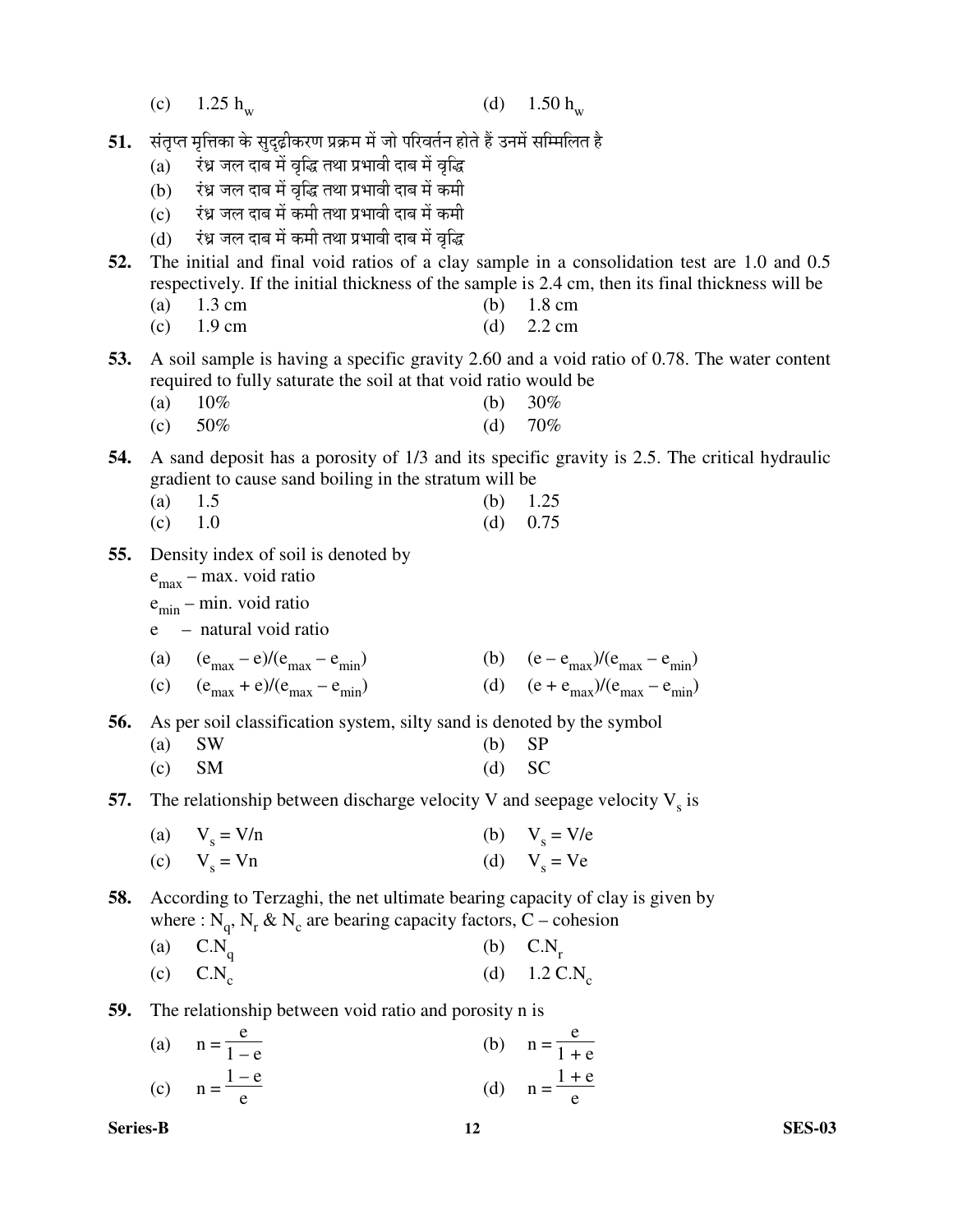|  | (c) 1.25 $h_w$ |  | (d) $1.50 h_w$ |
|--|----------------|--|----------------|
|--|----------------|--|----------------|

- **51.** संतृप्त मृत्तिका के सुदृढ़ीकरण प्रक्रम में जो परिवर्तन होते हैं उनमें सम्मिलित है
	- $(a)$  एंध्र जल दाब में वृद्धि तथा प्रभावी दाब में वृद्धि
	- (b) ¸Óü¬ÖÐ •Ö»Ö ¤üÖ²Ö ´Öë ¾Öéרü ŸÖ£ÖÖ ¯ÖϳÖÖ¾Öß ¤üÖ²Ö ´Öë Ûú´Öß
	- (c) एंध्र जल दाब में कमी तथा प्रभावी दाब में कमी
	- (d) एंध्र जल दाब में कमी तथा प्रभावी दाब में वृद्धि
- **52.** The initial and final void ratios of a clay sample in a consolidation test are 1.0 and 0.5 respectively. If the initial thickness of the sample is 2.4 cm, then its final thickness will be
- (a) 1.3 cm (b) 1.8 cm
- (c)  $1.9 \text{ cm}$  (d)  $2.2 \text{ cm}$
- **53.** A soil sample is having a specific gravity 2.60 and a void ratio of 0.78. The water content required to fully saturate the soil at that void ratio would be
- (a)  $10\%$  (b)  $30\%$
- (c)  $50\%$  (d)  $70\%$
- **54.** A sand deposit has a porosity of 1/3 and its specific gravity is 2.5. The critical hydraulic gradient to cause sand boiling in the stratum will be
- (a)  $1.5$  (b)  $1.25$
- (c)  $1.0$  (d)  $0.75$
- **55.** Density index of soil is denoted by

 $e_{\text{max}}$  – max. void ratio

- $e_{\min}$  min. void ratio
- e natural void ratio

(a) 
$$
(e_{max} - e)/(e_{max} - e_{min})
$$
  
\n(b)  $(e - e_{max})/(e_{max} - e_{min})$   
\n(c)  $(e_{max} + e)/(e_{max} - e_{min})$   
\n(d)  $(e + e_{max})/(e_{max} - e_{min})$ 

**56.** As per soil classification system, silty sand is denoted by the symbol

| (a) $SW$   | $(b)$ SP       |  |
|------------|----------------|--|
| $\sqrt{2}$ | $(1)$ $\alpha$ |  |

- (c) SM (d) SC
- **57.** The relationship between discharge velocity V and seepage velocity  $V_s$  is
	- (a)  $V_s = V/n$  $= V/n$  (b)  $V_s = V/e$

(c) 
$$
V_s = Vn
$$
 (d)  $V_s = Ve$ 

**58.** According to Terzaghi, the net ultimate bearing capacity of clay is given by where :  $N_q$ ,  $N_r$  &  $N_c$  are bearing capacity factors, C – cohesion

- (a)  $C.N_q$ (b)  $C.N_r$
- $\text{C}$ . C.N<sub>c</sub> (d)  $1.2 \text{ C.N}_c$

**59.** The relationship between void ratio and porosity n is

| (a) $n = \frac{e}{1 - e}$ | (b) $n = \frac{e}{1 + e}$ |
|---------------------------|---------------------------|
| (c) $n = \frac{1-e}{e}$   | (d) $n = \frac{1+e}{e}$   |

**Series-B 12 SES-03**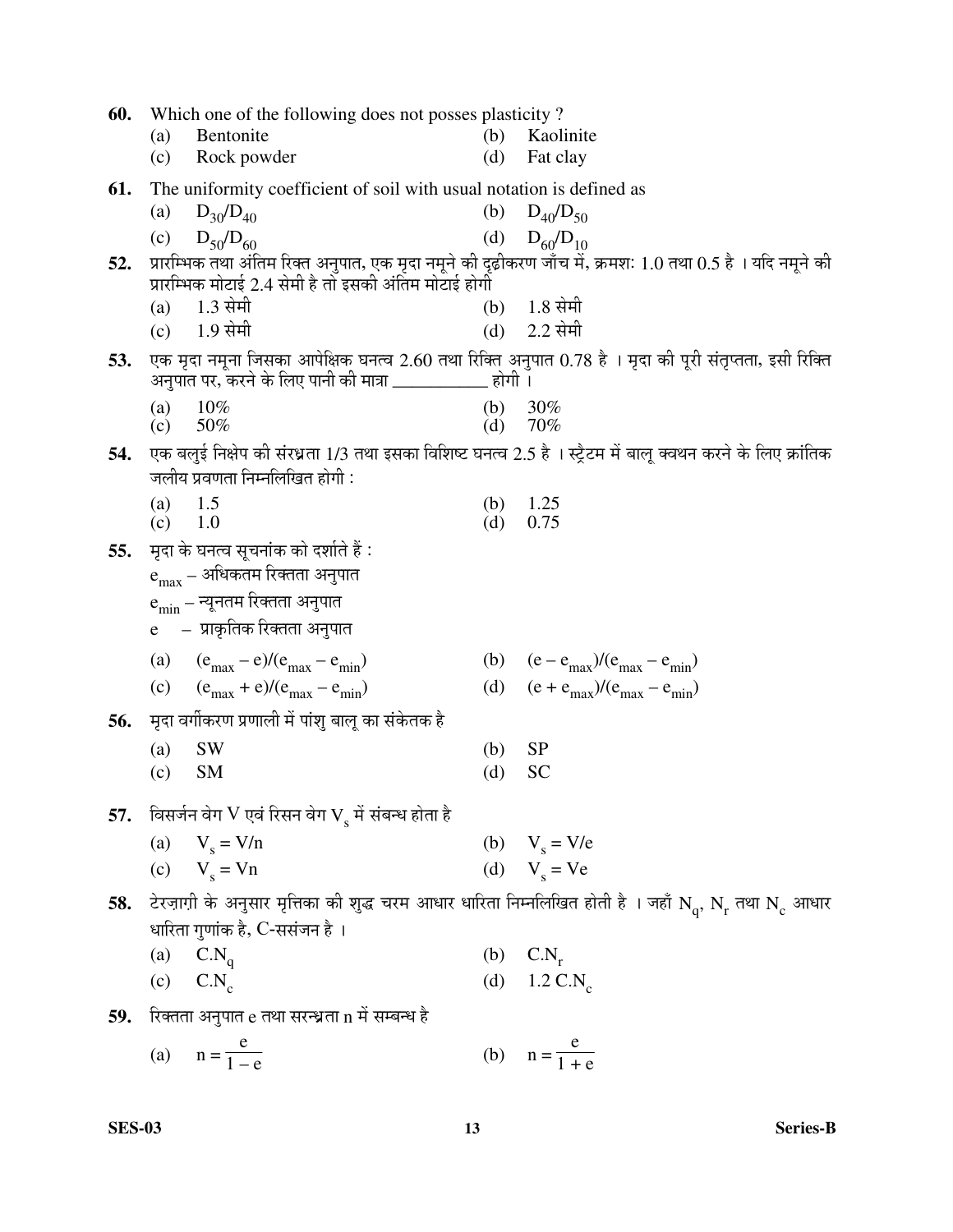| 60. | Which one of the following does not posses plasticity? |                                                                         |            |                                                                                                                                                                           |  |  |
|-----|--------------------------------------------------------|-------------------------------------------------------------------------|------------|---------------------------------------------------------------------------------------------------------------------------------------------------------------------------|--|--|
|     | (a)<br>(c)                                             | Bentonite<br>Rock powder                                                | (b)<br>(d) | Kaolinite<br>Fat clay                                                                                                                                                     |  |  |
| 61. |                                                        | The uniformity coefficient of soil with usual notation is defined as    |            |                                                                                                                                                                           |  |  |
|     | (a)                                                    | $D_{30}/D_{40}$                                                         | (b)        | $D_{40}/D_{50}$                                                                                                                                                           |  |  |
|     | (c)                                                    | $D_{50}/D_{60}$                                                         |            | (d) $D_{60}/D_{10}$                                                                                                                                                       |  |  |
| 52. |                                                        | प्रारम्भिक मोटाई 2.4 सेमी है तो इसकी अंतिम मोटाई होगी                   |            | प्रारम्भिक तथा अंतिम रिक्त अनुपात, एक मृदा नमूने की दृढ़ीकरण जाँच में, क्रमशः 1.0 तथा 0.5 है । यदि नमूने की                                                               |  |  |
|     | (a)                                                    | 1.3 सेमी                                                                |            | $(b)$ 1.8 सेमी                                                                                                                                                            |  |  |
|     |                                                        | (c) 1.9 सेमी                                                            |            | $(d)$ 2.2 सेमी                                                                                                                                                            |  |  |
| 53. |                                                        | अनुपात पर, करने के लिए पानी की मात्रा ____________ होगी ।               |            | एक मृदा नमूना जिसका आपेक्षिक घनत्व 2.60 तथा रिक्ति अनुपात 0.78 है । मृदा की पूरी संतृप्तता, इसी रिक्ति                                                                    |  |  |
|     | (a)<br>(c)                                             | $10\%$<br>50%                                                           | (b)<br>(d) | 30%<br>70%                                                                                                                                                                |  |  |
| 54. |                                                        |                                                                         |            | एक बलुई निक्षेप की संरध्रता 1/3 तथा इसका विशिष्ट घनत्व 2.5 है । स्ट्रैटम में बालू क्वथन करने के लिए क्रांतिक                                                              |  |  |
|     |                                                        | जलीय प्रवणता निम्नलिखित होगी:                                           |            |                                                                                                                                                                           |  |  |
|     | (a)<br>$(c)$ 1.0                                       | 1.5                                                                     | (b)<br>(d) | 1.25<br>0.75                                                                                                                                                              |  |  |
| 55. |                                                        | मृदा के घनत्व सूचनांक को दर्शाते हैं :                                  |            |                                                                                                                                                                           |  |  |
|     |                                                        | $e_{max}$ – अधिकतम रिक्तता अनुपात                                       |            |                                                                                                                                                                           |  |  |
|     |                                                        | ${\rm e}_{\rm min}$ – न्यूनतम रिक्तता अनुपात                            |            |                                                                                                                                                                           |  |  |
|     |                                                        | e – प्राकृतिक रिक्तता अनुपात                                            |            |                                                                                                                                                                           |  |  |
|     |                                                        | (a) $(e_{\text{max}} - e)/(e_{\text{max}} - e_{\text{min}})$            |            | (b) $(e - e_{max})/(e_{max} - e_{min})$                                                                                                                                   |  |  |
|     |                                                        | (c) $(e_{\text{max}} + e)/(e_{\text{max}} - e_{\text{min}})$            |            | (d) $(e + e_{max})/(e_{max} - e_{min})$                                                                                                                                   |  |  |
| 56. |                                                        | मृदा वर्गीकरण प्रणाली में पांशु बालू का संकेतक है                       |            |                                                                                                                                                                           |  |  |
|     | (a)                                                    | <b>SW</b>                                                               | (b)        | <b>SP</b>                                                                                                                                                                 |  |  |
|     | (c)                                                    | <b>SM</b>                                                               | (d)        | <b>SC</b>                                                                                                                                                                 |  |  |
| 57. |                                                        | विसर्जन वेग ${\rm V}$ एवं रिसन वेग ${\rm V}_{\rm s}$ में संबन्ध होता है |            |                                                                                                                                                                           |  |  |
|     |                                                        | (a) $V_s = V/n$                                                         |            | (b) $V_s = V/e$                                                                                                                                                           |  |  |
|     |                                                        | (c) $V_e = Vn$                                                          |            | (d) $Vs = Ve$                                                                                                                                                             |  |  |
|     |                                                        |                                                                         |            | 58. टेरज़ाग़ी के अनुसार मृत्तिका की शुद्ध चरम आधार धारिता निम्नलिखित होती है । जहाँ $\text{N}_{_{\text{q}}}$ , $\text{N}_{_{\text{r}}}$ तथा $\text{N}_{_{\text{c}}}$ आधार |  |  |
|     |                                                        | धारिता गुणांक है, C-ससंजन है ।                                          |            |                                                                                                                                                                           |  |  |
|     | (a)                                                    | $C.N_q$                                                                 |            | (b) $C.N_r$                                                                                                                                                               |  |  |
|     | $\mathbf{C}$ . C.N <sub>c</sub>                        |                                                                         |            | (d) $1.2 \text{ C.N}_c$                                                                                                                                                   |  |  |
| 59. |                                                        | रिक्तता अनुपात e तथा सरन्ध्रता n में सम्बन्ध है                         |            |                                                                                                                                                                           |  |  |
|     |                                                        | (a) $n = \frac{e}{1 - e}$                                               |            | (b) $n = \frac{e}{1 + e}$                                                                                                                                                 |  |  |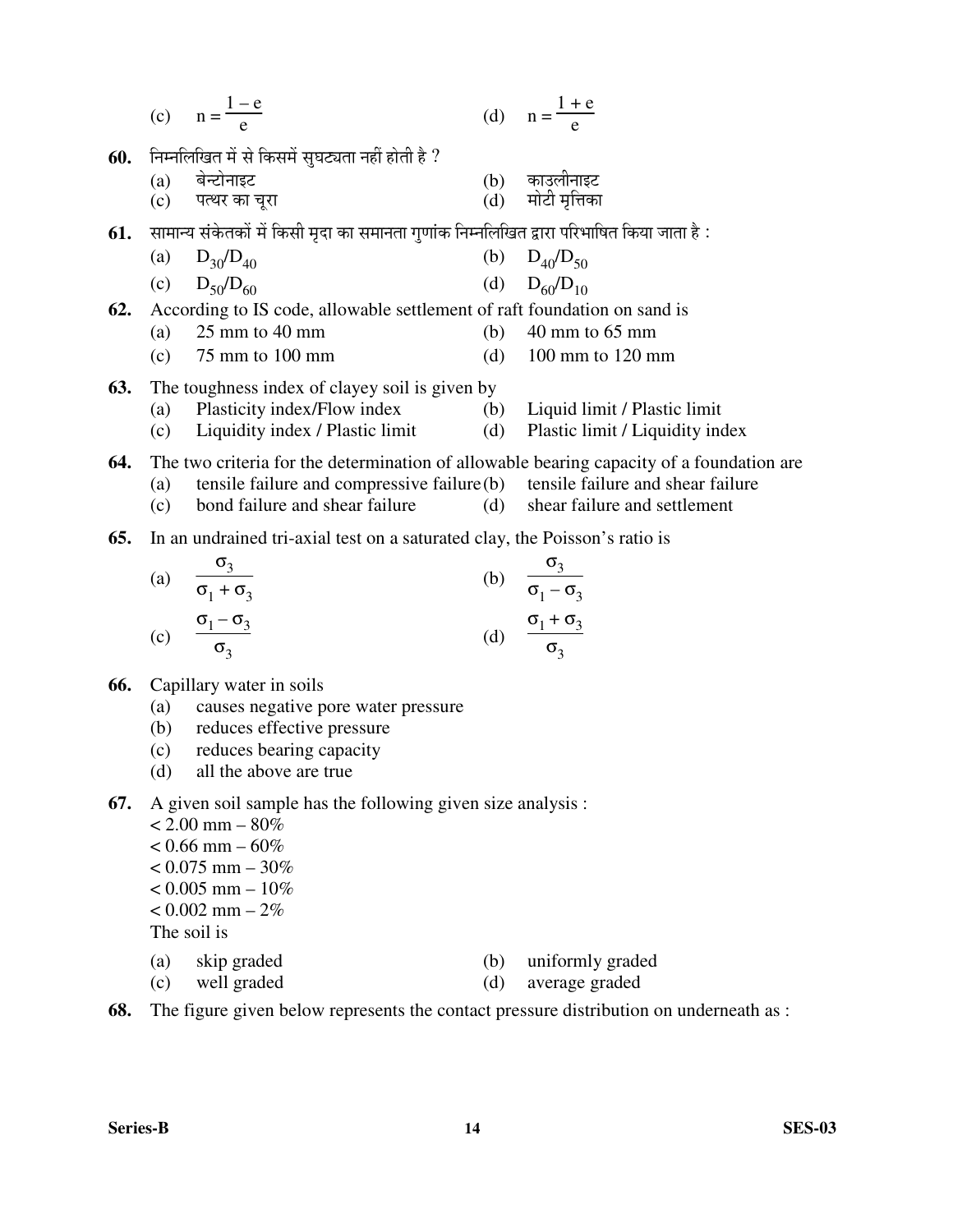(c) 
$$
n = \frac{1-e}{e}
$$
 (d)  $n = \frac{1+e}{e}$ 

60. Fiम्नलिखित में से किसमें सुघट्यता नहीं होती है ?

| (a) बेन्टोनाइट    | (b) काउलीनाइट       |
|-------------------|---------------------|
| (c) पत्थर का चूरा | $(d)$ मोटी मृत्तिका |

- $61.$  KHHIन्य संकेतकों में किसी मृदा का समानता गृणांक निम्नलिखित द्वारा परिभाषित किया जाता है :
- (a)  $D_{30}/D_{40}$  (b)  $D_{40}/D_{50}$ 
	- (c)  $D_{50}/D_{60}$  (d)  $D_{60}/D_{10}$
- **62.** According to IS code, allowable settlement of raft foundation on sand is
	- (a)  $25 \text{ mm}$  to  $40 \text{ mm}$  (b)  $40 \text{ mm}$  to  $65 \text{ mm}$
	- (c)  $75 \text{ mm}$  to  $100 \text{ mm}$  (d)  $100 \text{ mm}$  to  $120 \text{ mm}$
- **63.** The toughness index of clayey soil is given by
	- (a) Plasticity index/Flow index (b) Liquid limit / Plastic limit
	- (c) Liquidity index / Plastic limit (d) Plastic limit / Liquidity index
- **64.** The two criteria for the determination of allowable bearing capacity of a foundation are
	- (a) tensile failure and compressive failure (b) tensile failure and shear failure
	- (c) bond failure and shear failure (d) shear failure and settlement
- **65.** In an undrained tri-axial test on a saturated clay, the Poisson's ratio is

(a) 
$$
\frac{\sigma_3}{\sigma_1 + \sigma_3}
$$
 (b)  $\frac{\sigma_3}{\sigma_1 - \sigma_3}$   
(c)  $\frac{\sigma_1 - \sigma_3}{\sigma_3}$  (d)  $\frac{\sigma_1 + \sigma_3}{\sigma_3}$ 

- **66.** Capillary water in soils
	- (a) causes negative pore water pressure
	- (b) reduces effective pressure
	- (c) reduces bearing capacity
	- (d) all the above are true
- **67.** A given soil sample has the following given size analysis :
	- $< 2.00$  mm  $80\%$  $< 0.66$  mm – 60%  $< 0.075$  mm  $- 30\%$  $< 0.005$  mm  $- 10\%$  $< 0.002$  mm  $- 2\%$ The soil is
	- (a) skip graded (b) uniformly graded
	- (c) well graded (d) average graded
- **68.** The figure given below represents the contact pressure distribution on underneath as :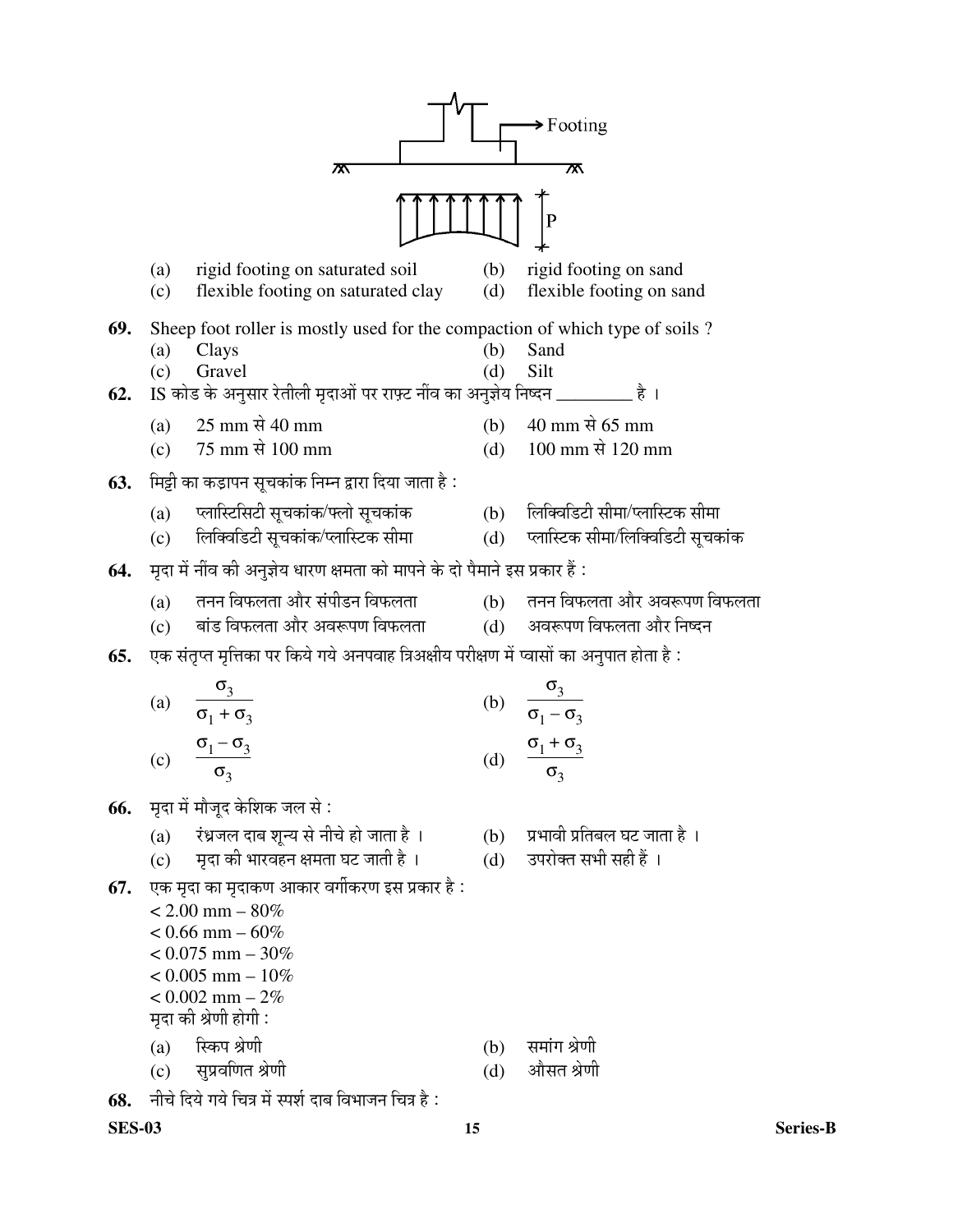

68. नीचे दिये गये चित्र में स्पर्श दाब विभाजन चित्र है: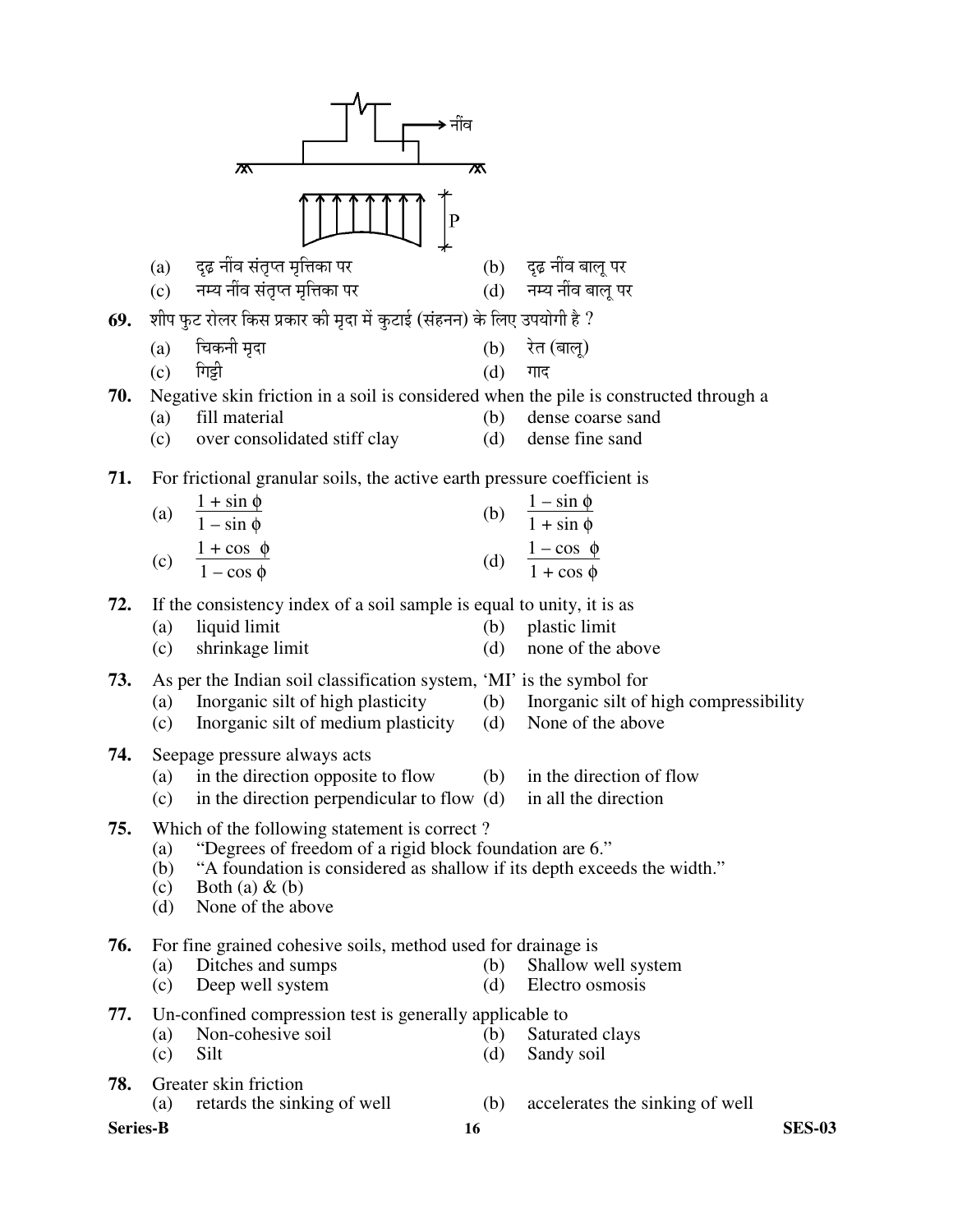|                 |            | ᄍ                                                                                                      | ᅑ          |                                                             |
|-----------------|------------|--------------------------------------------------------------------------------------------------------|------------|-------------------------------------------------------------|
|                 |            |                                                                                                        |            |                                                             |
|                 | (a)        | दृढ़ नींव संतृप्त मृत्तिका पर                                                                          |            | (b) दृढ़ नींव बालू पर                                       |
|                 | (c)        | नम्य नींव संतृप्त मृत्तिका पर                                                                          |            | (d) नम्य नींव बालू पर                                       |
| 69.             |            | शीप फुट रोलर किस प्रकार की मृदा में कुटाई (संहनन) के लिए उपयोगी है ?                                   |            |                                                             |
|                 | (a)        | चिकनी मृदा                                                                                             |            | (b) रेत (बालू)                                              |
|                 | (c)        | गिड़ी                                                                                                  | (d)        | गाद                                                         |
| 70.             |            | Negative skin friction in a soil is considered when the pile is constructed through a<br>fill material |            |                                                             |
|                 | (a)<br>(c) | over consolidated stiff clay                                                                           | (b)<br>(d) | dense coarse sand<br>dense fine sand                        |
|                 |            |                                                                                                        |            |                                                             |
| 71.             |            | For frictional granular soils, the active earth pressure coefficient is                                |            |                                                             |
|                 | (a)        | $\frac{1+\sin \phi}{1-\sin \phi}$                                                                      | (b)        | $\frac{1-\sin \phi}{1+\sin \phi}$                           |
|                 |            |                                                                                                        |            |                                                             |
|                 |            | (c) $\frac{1+\cos \phi}{1-\cos \phi}$                                                                  |            | (d) $\frac{1-\cos \phi}{1+\cos \phi}$                       |
| 72.             |            | If the consistency index of a soil sample is equal to unity, it is as                                  |            |                                                             |
|                 | (a)        | liquid limit                                                                                           | (b)        | plastic limit                                               |
|                 | (c)        | shrinkage limit                                                                                        | (d)        | none of the above                                           |
| 73.             |            | As per the Indian soil classification system, 'MI' is the symbol for                                   |            |                                                             |
|                 | (a)        | Inorganic silt of high plasticity<br>Inorganic silt of medium plasticity                               | (b)        | Inorganic silt of high compressibility<br>None of the above |
|                 | (c)        |                                                                                                        | (d)        |                                                             |
| 74.             | (a)        | Seepage pressure always acts<br>in the direction opposite to flow                                      | (b)        | in the direction of flow                                    |
|                 | (c)        | in the direction perpendicular to flow $(d)$ in all the direction                                      |            |                                                             |
| 75.             |            | Which of the following statement is correct?                                                           |            |                                                             |
|                 | (a)        | "Degrees of freedom of a rigid block foundation are 6."                                                |            |                                                             |
|                 | (b)<br>(c) | "A foundation is considered as shallow if its depth exceeds the width."<br>Both (a) $\&$ (b)           |            |                                                             |
|                 | (d)        | None of the above                                                                                      |            |                                                             |
| 76.             |            | For fine grained cohesive soils, method used for drainage is                                           |            |                                                             |
|                 | (a)        | Ditches and sumps                                                                                      | (b)        | Shallow well system                                         |
|                 | (c)        | Deep well system                                                                                       | (d)        | Electro osmosis                                             |
| 77.             |            | Un-confined compression test is generally applicable to                                                |            |                                                             |
|                 | (a)<br>(c) | Non-cohesive soil<br>Silt                                                                              | (b)<br>(d) | Saturated clays<br>Sandy soil                               |
| 78.             |            | Greater skin friction                                                                                  |            |                                                             |
|                 | (a)        | retards the sinking of well                                                                            | (b)        | accelerates the sinking of well                             |
| <b>Series-B</b> |            | 16                                                                                                     |            | <b>SES-03</b>                                               |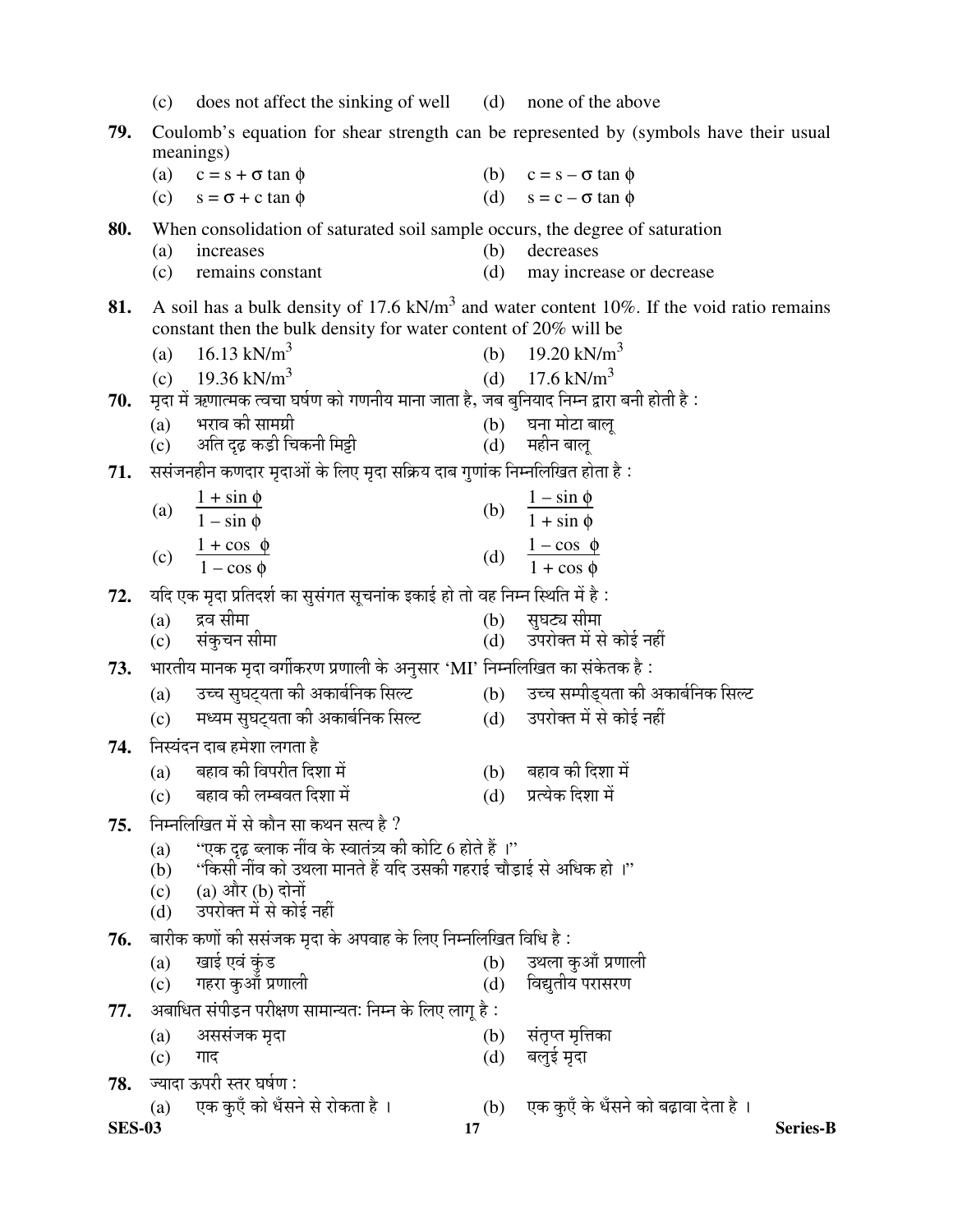|               | (c)        | does not affect the sinking of well (d) none of the above                                                               |            |                                                                                            |
|---------------|------------|-------------------------------------------------------------------------------------------------------------------------|------------|--------------------------------------------------------------------------------------------|
| 79.           |            |                                                                                                                         |            | Coulomb's equation for shear strength can be represented by (symbols have their usual      |
|               |            | meanings)                                                                                                               |            |                                                                                            |
|               | (a)        | $c = s + \sigma \tan \phi$                                                                                              |            | (b) $c = s - \sigma \tan \phi$                                                             |
|               | (c)        | $s = \sigma + c \tan \phi$                                                                                              |            | (d) $s = c - \sigma \tan \phi$                                                             |
| 80.           |            | When consolidation of saturated soil sample occurs, the degree of saturation                                            |            |                                                                                            |
|               | (a)<br>(c) | increases<br>remains constant                                                                                           | (b)<br>(d) | decreases<br>may increase or decrease                                                      |
|               |            |                                                                                                                         |            |                                                                                            |
| 81.           |            |                                                                                                                         |            | A soil has a bulk density of 17.6 $kN/m3$ and water content 10%. If the void ratio remains |
|               |            | constant then the bulk density for water content of 20% will be                                                         |            |                                                                                            |
|               | (a)        | 16.13 kN/m <sup>3</sup>                                                                                                 |            | (b) $19.20 \text{ kN/m}^3$<br>(d) $17.6 \text{ kN/m}^3$                                    |
| 70.           |            | (c) $19.36 \text{ kN/m}^3$<br>मृदा में ऋणात्मक त्वचा घर्षण को गणनीय माना जाता है, जब बुनियाद निम्न द्वारा बनी होती है : |            |                                                                                            |
|               | (a)        | भराव की सामग्री                                                                                                         |            |                                                                                            |
|               |            | (c) अति दृढ़ कड़ी चिकनी मिट्टी                                                                                          |            | (b) घना मोटा बालू<br>(d) महीन बालू                                                         |
| 71.           |            | ससंजनहीन कणदार मृदाओं के लिए मृदा सक्रिय दाब गुणांक निम्नलिखित होता है:                                                 |            |                                                                                            |
|               |            |                                                                                                                         |            |                                                                                            |
|               |            | (a) $\frac{1+\sin \phi}{1-\sin \phi}$                                                                                   |            | (b) $\frac{1-\sin \phi}{1+\sin \phi}$                                                      |
|               |            | (c) $\frac{1 + \cos \phi}{1 - \cos \phi}$                                                                               |            | (d) $\frac{1-\cos \phi}{1+\cos \phi}$                                                      |
|               |            |                                                                                                                         |            |                                                                                            |
| 72.           |            | यदि एक मृदा प्रतिदर्श का सुसंगत सूचनांक इकाई हो तो वह निम्न स्थिति में है :                                             |            |                                                                                            |
|               | (a)<br>(c) | द्रव सीमा<br>संकुचन सीमा                                                                                                |            | (b) सुघट्य सीमा<br>(d) उपरोक्त में से कोई नहीं                                             |
|               |            | भारतीय मानक मृदा वर्गीकरण प्रणाली के अनुसार 'MI' निम्नलिखित का संकेतक है:                                               |            |                                                                                            |
| 73.           |            | (a) उच्च सुघट्यता की अकार्बनिक सिल्ट                                                                                    |            | (b) उच्च सम्पीड्यता की अकार्बनिक सिल्ट                                                     |
|               | (c)        | मध्यम सुघट्यता की अकार्बनिक सिल्ट                                                                                       |            | (d) उपरोक्त में से कोई नहीं                                                                |
|               |            | निस्यंदन दाब हमेशा लगता है                                                                                              |            |                                                                                            |
| 74.           |            | (a) बहाव की विपरीत दिशा में                                                                                             |            | (b) बहाव की दिशा में                                                                       |
|               | (c)        | बहाव की लम्बवत दिशा में                                                                                                 | (d)        | प्रत्येक दिशा में                                                                          |
| 75.           |            | निम्नलिखित में से कौन सा कथन सत्य है ?                                                                                  |            |                                                                                            |
|               | (a)        | ''एक दृढ़ ब्लाक नींव के स्वातंत्र्य की कोटि 6 होते हैं ।''                                                              |            |                                                                                            |
|               | (b)        | ''किसी नींव को उथला मानते हैं यदि उसकी गहराई चौड़ाई से अधिक हो ।''                                                      |            |                                                                                            |
|               | (c)        | (a) और (b) दोनों                                                                                                        |            |                                                                                            |
|               | (d)        | उपरोक्त में से कोई नहीं                                                                                                 |            |                                                                                            |
| 76.           |            | बारीक कणों की ससंजक मृदा के अपवाह के लिए निम्नलिखित विधि है :                                                           |            |                                                                                            |
|               | (a)<br>(c) | खाई एवं कुंड<br>गहरा कुआँ प्रणाली                                                                                       | (b)<br>(d) | उथला कुआँ प्रणाली<br>विद्युतीय परासरण                                                      |
|               |            | अबाधित संपीड़न परीक्षण सामान्यतः निम्न के लिए लागू है :                                                                 |            |                                                                                            |
| 77.           | (a)        | अससंजक मृदा                                                                                                             | (b)        | संतृप्त मृत्तिका                                                                           |
|               | (c)        | गाद                                                                                                                     | (d)        | बलुई मृदा                                                                                  |
| 78.           |            | ज्यादा ऊपरी स्तर घर्षण :                                                                                                |            |                                                                                            |
|               | (a)        | एक कुएँ को धँसने से रोकता है ।                                                                                          | (b)        | एक कुएँ के धँसने को बढ़ावा देता है ।                                                       |
| <b>SES-03</b> |            | 17                                                                                                                      |            | <b>Series-B</b>                                                                            |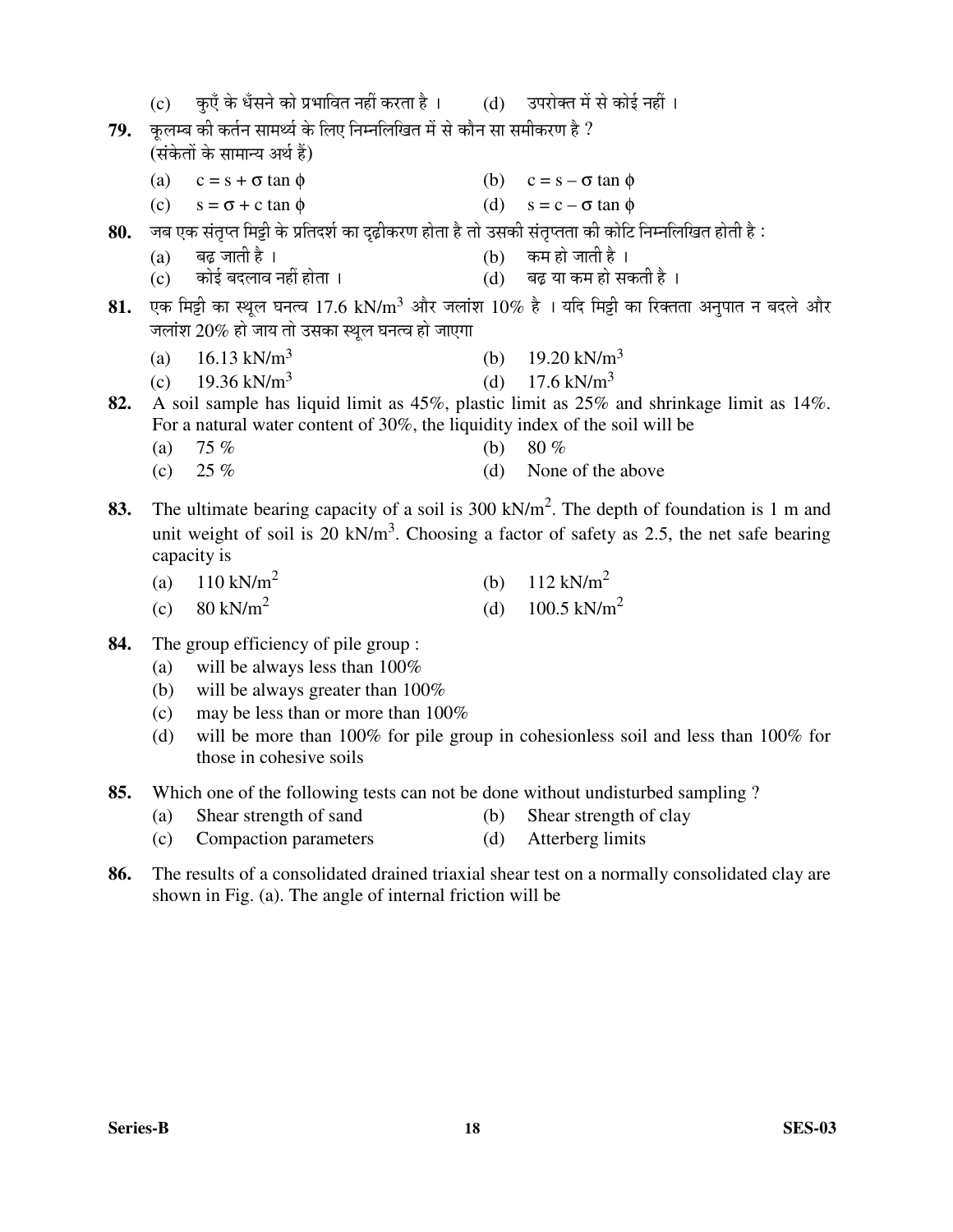|     |     | (c)      कुएँ के धँसने को प्रभावित नहीं करता है ।         (d)     उपरोक्त में से कोई नहीं ।         |     |                                                                                                          |
|-----|-----|-----------------------------------------------------------------------------------------------------|-----|----------------------------------------------------------------------------------------------------------|
| 79. |     | कुलम्ब की कर्तन सामर्थ्य के लिए निम्नलिखित में से कौन सा समीकरण है ?                                |     |                                                                                                          |
|     |     | (संकेतों के सामान्य अर्थ हैं)                                                                       |     |                                                                                                          |
|     |     | (a) $c = s + \sigma \tan \phi$                                                                      |     | (b) $c = s - \sigma \tan \phi$                                                                           |
|     |     | (c) $s = \sigma + c \tan \phi$                                                                      |     | (d) $s = c - \sigma \tan \phi$                                                                           |
| 80. |     | ंजब एक संतृप्त मिट्टी के प्रतिदर्श का दृढ़ीकरण होता है तो उसकी संतृप्तता की कोटि निम्नलिखित होती है |     |                                                                                                          |
|     | (a) | बढ़ जाती है ।                                                                                       |     | (b)     कम हो जाती है ।<br>(d)     बढ़ या कम हो सकती है ।                                                |
|     |     | (c) कोई बदलाव नहीं होता ।                                                                           |     |                                                                                                          |
| 81. |     |                                                                                                     |     | एक मिट्टी का स्थूल घनत्व 17.6 kN/m <sup>3</sup> और जलांश 10% है । यदि मिट्टी का रिक्तता अनुपात न बदले और |
|     |     | जलांश 20% हो जाय तो उसका स्थूल घनत्व हो जाएगा                                                       |     |                                                                                                          |
|     | (a) | 16.13 kN/m <sup>3</sup>                                                                             |     | (b) $19.20 \text{ kN/m}^3$                                                                               |
|     |     | (c) $19.36 \text{ kN/m}^3$                                                                          |     | (d) $17.6 \text{ kN/m}^3$                                                                                |
| 82. |     |                                                                                                     |     | A soil sample has liquid limit as 45%, plastic limit as 25% and shrinkage limit as 14%.                  |
|     |     | For a natural water content of 30%, the liquidity index of the soil will be                         |     |                                                                                                          |
|     | (a) | 75%                                                                                                 | (b) | $80\%$                                                                                                   |
|     | (c) | $25 \%$                                                                                             | (d) | None of the above                                                                                        |
| 83. |     |                                                                                                     |     | The ultimate bearing capacity of a soil is 300 kN/m <sup>2</sup> . The depth of foundation is 1 m and    |
|     |     |                                                                                                     |     | unit weight of soil is 20 kN/m <sup>3</sup> . Choosing a factor of safety as 2.5, the net safe bearing   |
|     |     | capacity is                                                                                         |     |                                                                                                          |
|     |     | (a) $110 \text{ kN/m}^2$                                                                            |     | (b) $112 \text{ kN/m}^2$                                                                                 |
|     |     | (c) $80 \text{ kN/m}^2$                                                                             |     | (d) $100.5 \text{ kN/m}^2$                                                                               |
|     |     |                                                                                                     |     |                                                                                                          |
| 84. |     | The group efficiency of pile group :                                                                |     |                                                                                                          |

- (a) will be always less than  $100\%$ 
	- (b) will be always greater than 100%
	- (c) may be less than or more than 100%
	- (d) will be more than 100% for pile group in cohesionless soil and less than 100% for those in cohesive soils

**85.** Which one of the following tests can not be done without undisturbed sampling ?

- (a) Shear strength of sand (b) Shear strength of clay
- (c) Compaction parameters (d) Atterberg limits
- **86.** The results of a consolidated drained triaxial shear test on a normally consolidated clay are shown in Fig. (a). The angle of internal friction will be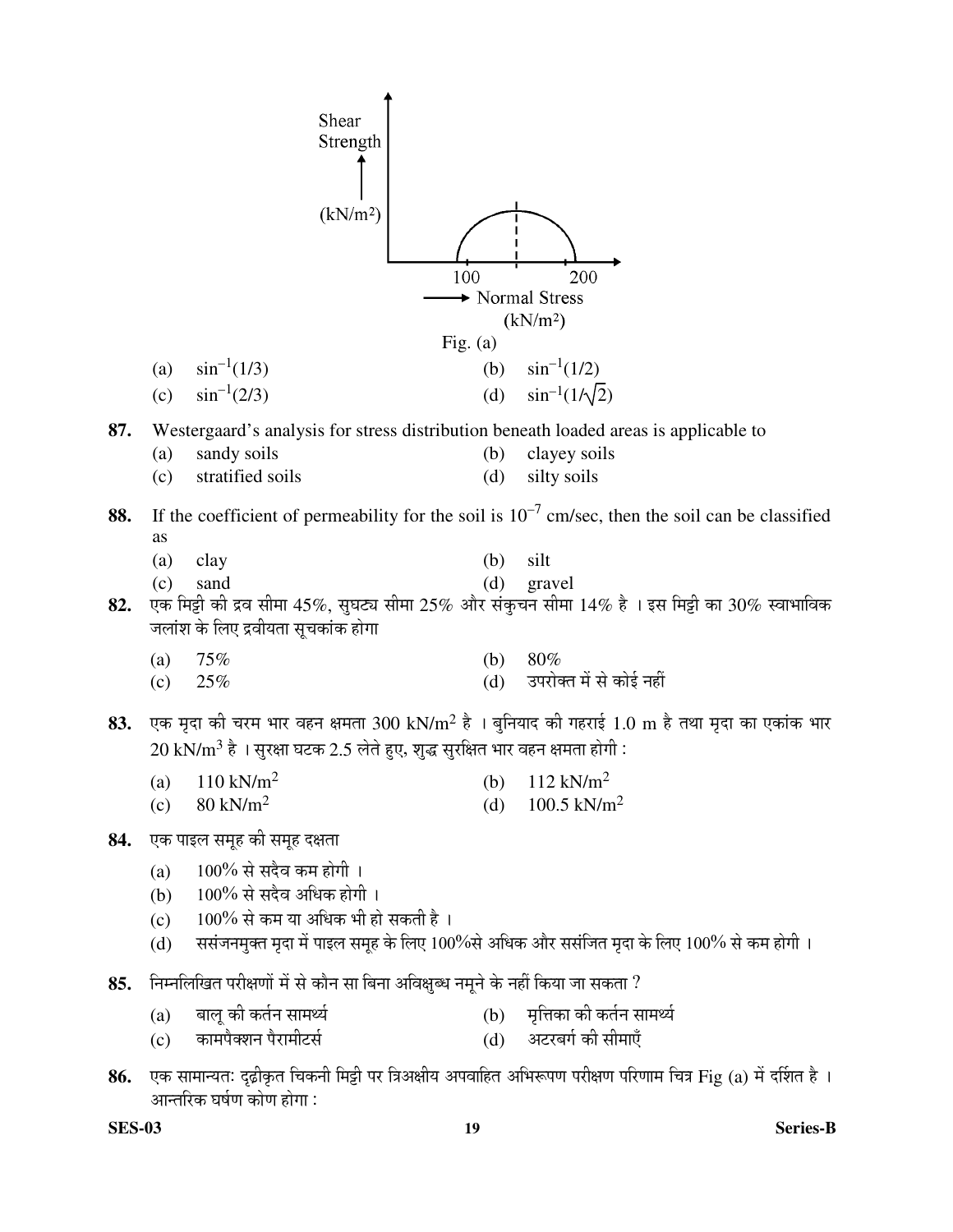|     |     | Shear<br>Strength                                                                     |            |                                                                                                               |
|-----|-----|---------------------------------------------------------------------------------------|------------|---------------------------------------------------------------------------------------------------------------|
|     |     | (kN/m <sup>2</sup> )                                                                  |            |                                                                                                               |
|     |     |                                                                                       | 100        | 200                                                                                                           |
|     |     |                                                                                       |            | Normal Stress<br>(kN/m <sup>2</sup> )                                                                         |
|     |     |                                                                                       | Fig. $(a)$ |                                                                                                               |
|     | (a) | $\sin^{-1}(1/3)$                                                                      | (b)        | $\sin^{-1}(1/2)$                                                                                              |
|     | (c) | $\sin^{-1}(2/3)$                                                                      | (d)        | $\sin^{-1}(1/\sqrt{2})$                                                                                       |
| 87. |     | Westergaard's analysis for stress distribution beneath loaded areas is applicable to  |            |                                                                                                               |
|     | (a) | sandy soils                                                                           | (b)        | clayey soils                                                                                                  |
|     | (c) | stratified soils                                                                      | (d)        | silty soils                                                                                                   |
| 88. |     |                                                                                       |            | If the coefficient of permeability for the soil is $10^{-7}$ cm/sec, then the soil can be classified          |
|     | as  |                                                                                       |            |                                                                                                               |
|     | (a) | clay                                                                                  | (b)        | silt                                                                                                          |
| 82. | (c) | sand                                                                                  | (d)        | gravel<br>एक मिट्टी की द्रव सीमा 45%, सुघट्य सीमा 25% और संकुचन सीमा 14% है । इस मिट्टी का 30% स्वाभाविक      |
|     |     | जलांश के लिए द्रवीयता सूचकांक होगा                                                    |            |                                                                                                               |
|     | (a) | 75%                                                                                   | (b)        | 80%                                                                                                           |
|     | (c) | 25%                                                                                   | (d)        | उपरोक्त में से कोई नहीं                                                                                       |
|     |     |                                                                                       |            |                                                                                                               |
| 83. |     |                                                                                       |            | एक मृदा की चरम भार वहन क्षमता 300 kN/m <sup>2</sup> है । बुनियाद की गहराई 1.0 m है तथा मृदा का एकांक भार      |
|     |     | $20~{\rm kN/m^3}$ है । सुरक्षा घटक 2.5 लेते हुए, शुद्ध सुरक्षित भार वहन क्षमता होगी : |            |                                                                                                               |
|     |     | (a) $110 \text{ kN/m}^2$<br>(b) $112 \text{ kN/m}^2$                                  |            |                                                                                                               |
|     | (c) | $80 \text{ kN/m}^2$                                                                   | (d)        | 100.5 kN/m <sup>2</sup>                                                                                       |
| 84. |     | एक पाइल समूह की समूह दक्षता                                                           |            |                                                                                                               |
|     | (a) | 100% से सदैव कम होगी ।                                                                |            |                                                                                                               |
|     | (b) | 100% से सदैव अधिक होगी ।                                                              |            |                                                                                                               |
|     | (c) | $100\%$ से कम या अधिक भी हो सकती है।                                                  |            |                                                                                                               |
|     | (d) |                                                                                       |            | ससंजनमुक्त मृदा में पाइल समूह के लिए 100%से अधिक और ससंजित मृदा के लिए 100% से कम होगी ।                      |
| 85. |     | निम्नलिखित परीक्षणों में से कौन सा बिना अविक्षुब्ध नमूने के नहीं किया जा सकता ?       |            |                                                                                                               |
|     | (a) | बालू की कर्तन सामर्थ्य                                                                | (b)        | मृत्तिका की कर्तन सामर्थ्य                                                                                    |
|     | (c) | कामपैक्शन पैरामीटर्स                                                                  | (d)        | अटरबर्ग की सीमाएँ                                                                                             |
| 86. |     | आन्तरिक घर्षण कोण होगा :                                                              |            | एक सामान्यतः दृढ़ीकृत चिकनी मिट्टी पर त्रिअक्षीय अपवाहित अभिरूपण परीक्षण परिणाम चित्र Fig (a) में दर्शित है । |

**SES-03 19 Series-B**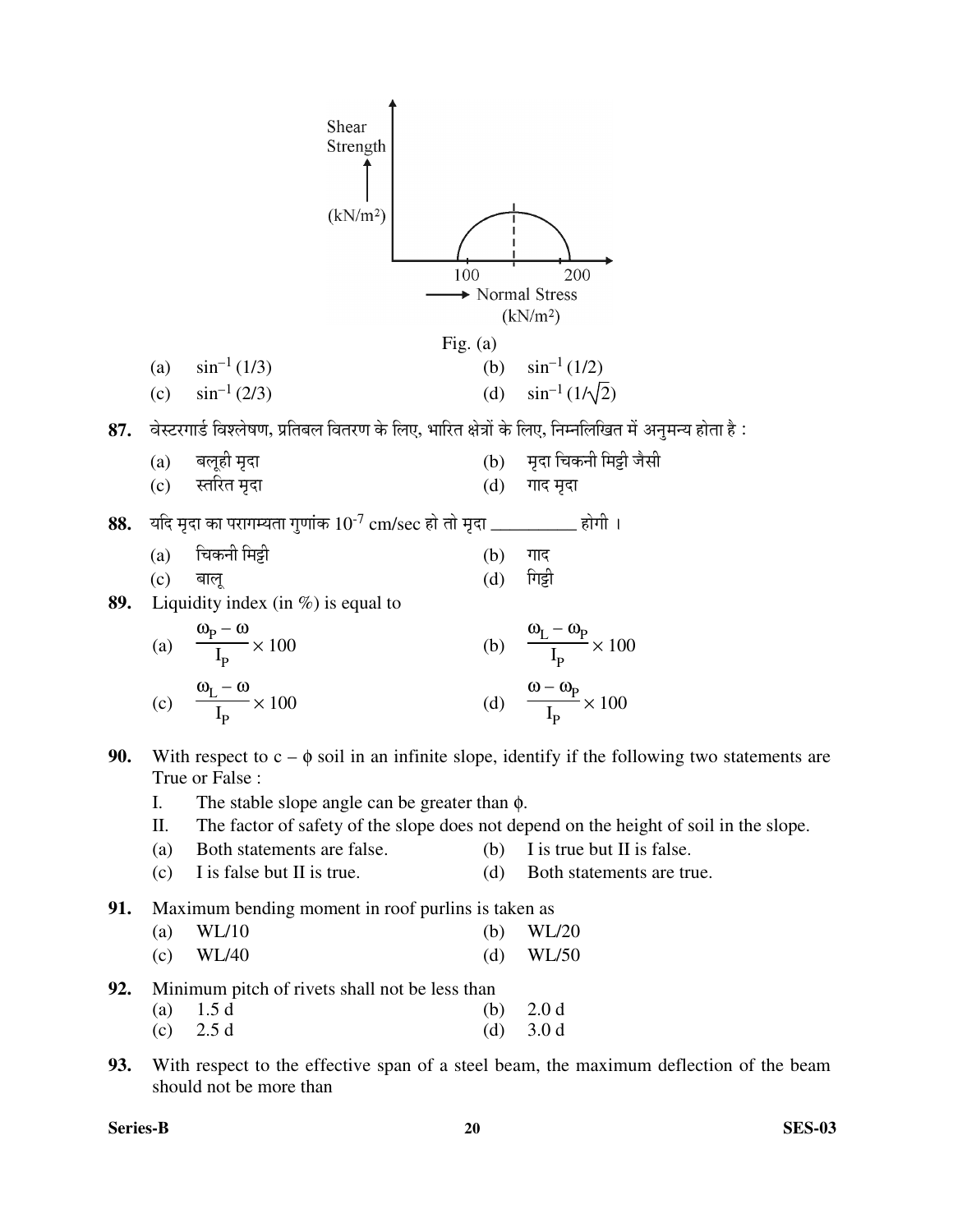

- (a) WL/10 (b) WL/20 (c) WL/40 (d) WL/50
- **92.** Minimum pitch of rivets shall not be less than
- (a)  $1.5 d$  (b)  $2.0 d$
- (c)  $2.5 d$  (d)  $3.0 d$
- **93.** With respect to the effective span of a steel beam, the maximum deflection of the beam should not be more than

**Series-B 20 SES-03**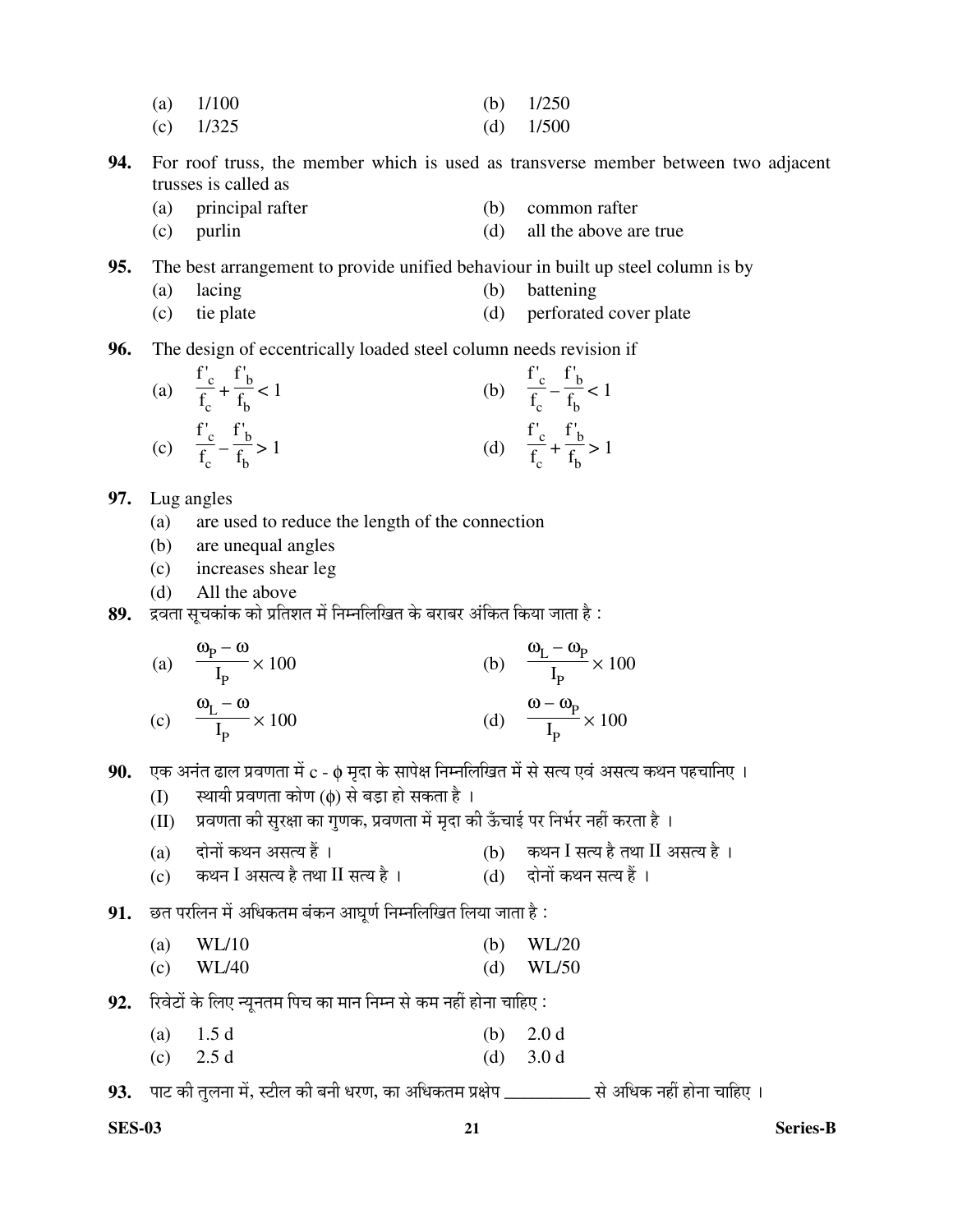- (a)  $1/100$  (b)  $1/250$
- (c) 1/325 (d) 1/500
- **94.** For roof truss, the member which is used as transverse member between two adjacent trusses is called as
	- (a) principal rafter (b) common rafter
	- (c) purlin (d) all the above are true
- **95.** The best arrangement to provide unified behaviour in built up steel column is by
	- (a) lacing (b) battening
	- (c) tie plate (d) perforated cover plate
- **96.** The design of eccentrically loaded steel column needs revision if

(a) 
$$
\frac{f'_c}{f_c} + \frac{f'_b}{f_b} < 1
$$
  
\n(b)  $\frac{f'_c}{f_c} - \frac{f'_b}{f_b} < 1$   
\n(c)  $\frac{f'_c}{f_c} - \frac{f'_b}{f_b} > 1$   
\n(d)  $\frac{f'_c}{f_c} + \frac{f'_b}{f_b} > 1$ 

- **97.** Lug angles
	- (a) are used to reduce the length of the connection
	- (b) are unequal angles
	- (c) increases shear leg
	- (d) All the above
- 89. द्रवता सूचकांक को प्रतिशत में निम्नलिखित के बराबर अंकित किया जाता है :

(a) 
$$
\frac{\omega_{\text{p}} - \omega}{I_{\text{p}}} \times 100
$$
  
\n(b)  $\frac{\omega_{\text{L}} - \omega_{\text{p}}}{I_{\text{p}}} \times 100$   
\n(c)  $\frac{\omega_{\text{L}} - \omega}{I_{\text{p}}} \times 100$   
\n(d)  $\frac{\omega - \omega_{\text{p}}}{I_{\text{p}}} \times 100$ 

- **90.** एक अनंत ढाल प्रवणता में c φ मृदा के सापेक्ष निम्नलिखित में से सत्य एवं असत्य कथन पहचानिए ।
	- $(I)$  स्थायी प्रवणता कोण ( $\phi$ ) से बड़ा हो सकता है ।
	- $\rm(H)$  ग्रवणता की सुरक्षा का गुणक, प्रवणता में मृदा की ऊँचाई पर निर्भर नहीं करता है ।
	- (a) वोनों कथन असत्य हैं । < < (b) कथन I सत्य है तथा II असत्य है ।
	- (c) कथन I असत्य है तथा II सत्य है । (d) दोनों कथन सत्य हैं ।
- $91.$  छत परलिन में अधिकतम बंकन आघूर्ण निम्नलिखित लिया जाता है :
- (a)  $WL/10$  (b)  $WL/20$ (c) WL/40 (d) WL/50
- **92.** रिवेटों के लिए न्यूनतम पिच का मान निम्न से कम नहीं होना चाहिए :
	- (a)  $1.5 d$  (b)  $2.0 d$
	- (c)  $2.5 d$  (d)  $3.0 d$

93. पाट की तुलना में, स्टील की बनी धरण, का अधिकतम प्रक्षेप \_\_\_\_\_\_\_\_\_\_\_ से अधिक नहीं होना चाहिए ।

**SES-03 21 Series-B**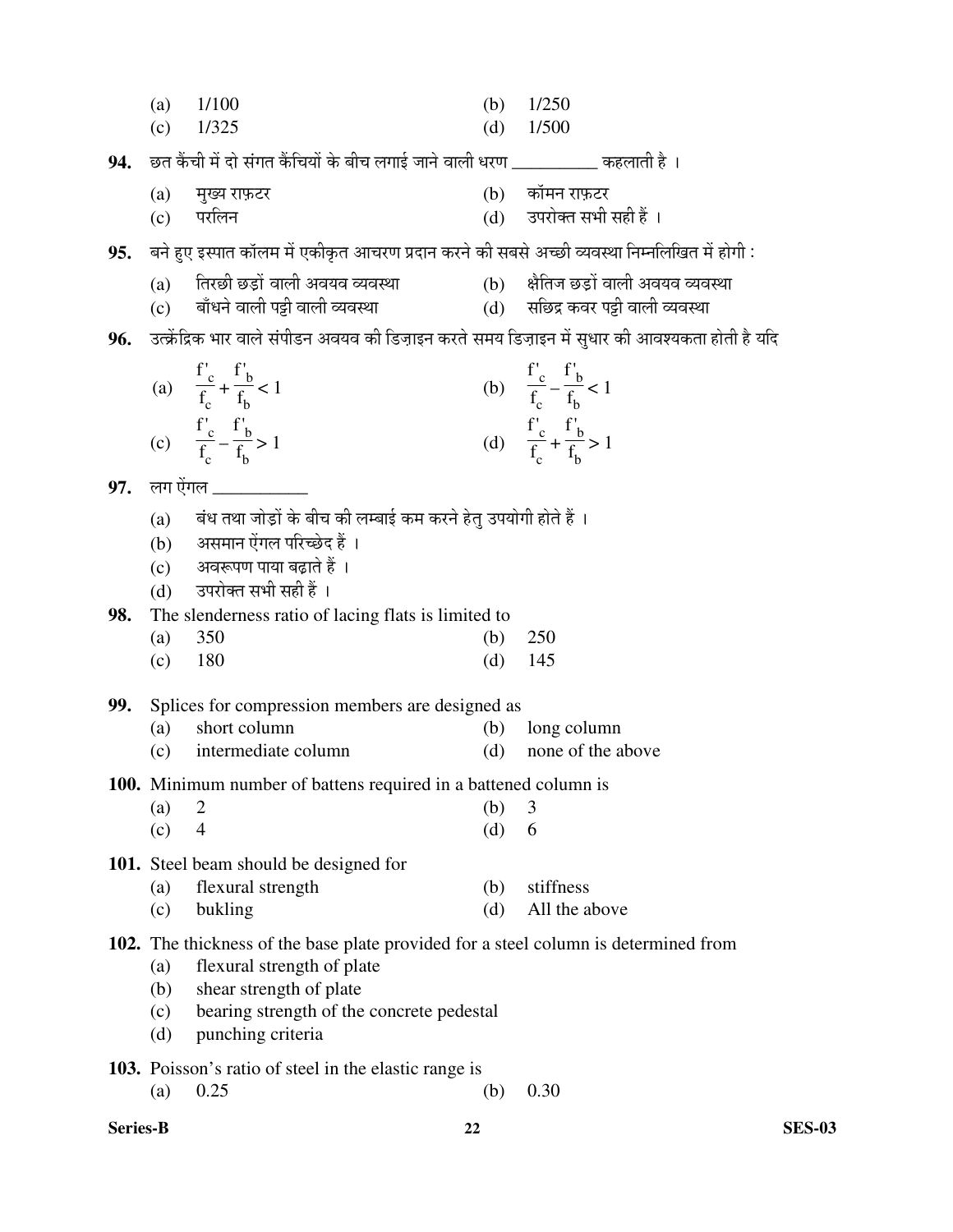|  | (a) $1/100$ |  |  | (b) $1/250$ |
|--|-------------|--|--|-------------|
|--|-------------|--|--|-------------|

(c) 1/325 (d) 1/500

 $94.$   $\,$  छत कैंची में दो संगत कैंचियों के बीच लगाई जाने वाली धरण \_\_\_\_\_\_\_\_\_\_\_ कहलाती है ।

- (a) मुख्य राफ़टर  $(b)$  कॉमन राफ़टर
- (c) ¯Ö¸ü×»Ö®Ö (d) ˆ¯Ö¸üÖêŒŸÖ ÃÖ³Öß ÃÖÆüß Æïü …

 ${\bf 95.} \quad$ बने हुए इस्पात कॉलम में एकीकृत आचरण प्रदान करने की सबसे अच्छी व्यवस्था निम्नलिखित में होगी :

- 
- 
- (a) तिरछी छड़ों वाली अवयव व्यवस्था (b) क्षैतिज छड़ों वाली अवयव व्यवस्था<br>(c) बाँधने वाली पट्टी वाली व्यवस्था (d) सछिद्र कवर पट्टी वाली व्यवस्था  $\overline{\textbf{c}}$ o) बाँधने वाली पट्टी वाली व्यवस्था  $\overline{\textbf{a}}$  and  $\overline{\textbf{a}}$  and  $\overline{\textbf{a}}$  and  $\overline{\textbf{a}}$

# $96.$  उत्क्रेंद्रिक भार वाले संपीडन अवयव की डिज़ाइन करते समय डिज़ाइन में सुधार की आवश्यकता होती है यदि

(a) 
$$
\frac{f'_c}{f_c} + \frac{f'_b}{f_b} < 1
$$
  
\n(b)  $\frac{f'_c}{f_c} - \frac{f'_b}{f_b} < 1$   
\n(c)  $\frac{f'_c}{f_c} - \frac{f'_b}{f_b} > 1$   
\n(d)  $\frac{f'_c}{f_c} + \frac{f'_b}{f_b} > 1$ 

**97.** लग ऐंगल **\_\_\_\_\_**\_

- (a) बंध तथा जोड़ों के बीच की लम्बाई कम करने हेतु उपयोगी होते हैं ।
- (b) असमान ऐंगल परिच्छेद हैं ।
- $(c)$  अवरूपण पाया बढ़ाते हैं ।
- (d) उपरोक्त सभी सही हैं ।

**98.** The slenderness ratio of lacing flats is limited to

- (a) 350 (b) 250
- (c) 180 (d) 145

**99.** Splices for compression members are designed as

- (a) short column (b) long column
- (c) intermediate column (d) none of the above
- **100.** Minimum number of battens required in a battened column is

| $(a)$ 2 | (b) $3$ |  |
|---------|---------|--|
| $(c)$ 4 | (d) 6   |  |

**101.** Steel beam should be designed for

| (a) flexural strength | (b) stiffness     |
|-----------------------|-------------------|
| $(c)$ bukling         | (d) All the above |

## **102.** The thickness of the base plate provided for a steel column is determined from

- (a) flexural strength of plate
- (b) shear strength of plate
- (c) bearing strength of the concrete pedestal
- (d) punching criteria

**103.** Poisson's ratio of steel in the elastic range is

- (a) 0.25 (b) 0.30
- **Series-B 22 SES-03**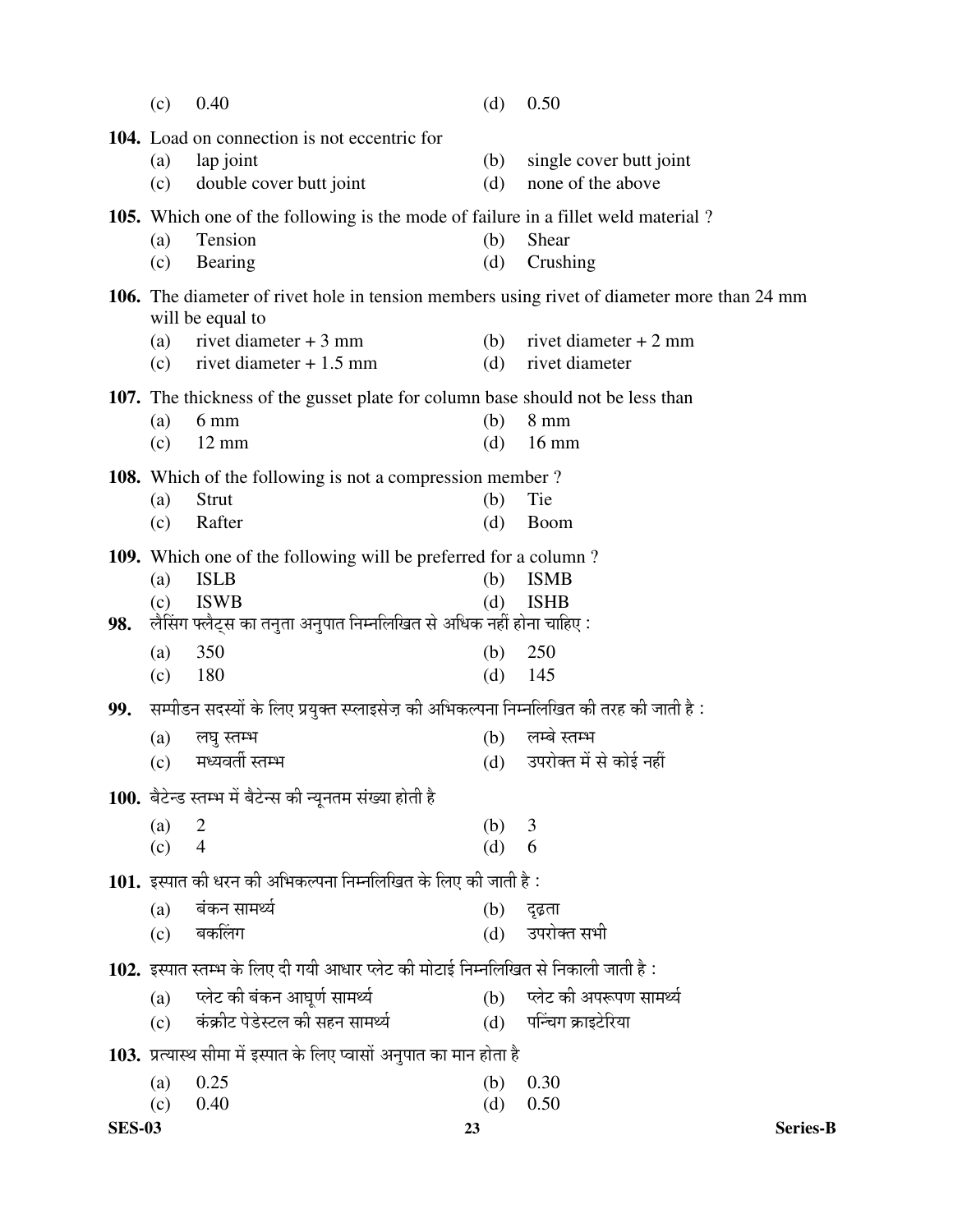|     | (c)        | 0.40                                                                                    | (d)        | 0.50                                                                                       |
|-----|------------|-----------------------------------------------------------------------------------------|------------|--------------------------------------------------------------------------------------------|
|     |            | 104. Load on connection is not eccentric for                                            |            |                                                                                            |
|     | (a)<br>(c) | lap joint<br>double cover butt joint                                                    | (b)<br>(d) | single cover butt joint<br>none of the above                                               |
|     |            | 105. Which one of the following is the mode of failure in a fillet weld material?       |            |                                                                                            |
|     | (a)        | Tension                                                                                 | (b)        | Shear                                                                                      |
|     | (c)        | Bearing                                                                                 | (d)        | Crushing                                                                                   |
|     |            | will be equal to                                                                        |            | 106. The diameter of rivet hole in tension members using rivet of diameter more than 24 mm |
|     | (a)        | rivet diameter $+3$ mm                                                                  | (b)        | rivet diameter $+2$ mm                                                                     |
|     | (c)        | rivet diameter $+1.5$ mm                                                                | (d)        | rivet diameter                                                                             |
|     |            | 107. The thickness of the gusset plate for column base should not be less than          |            |                                                                                            |
|     | (a)        | $6 \text{ mm}$                                                                          | (b)        | $8 \text{ mm}$                                                                             |
|     | (c)        | $12 \text{ mm}$                                                                         | (d)        | $16 \text{ mm}$                                                                            |
|     |            | <b>108.</b> Which of the following is not a compression member?                         |            |                                                                                            |
|     | (a)        | Strut                                                                                   | (b)        | Tie                                                                                        |
|     | (c)        | Rafter                                                                                  | (d)        | <b>Boom</b>                                                                                |
|     |            | <b>109.</b> Which one of the following will be preferred for a column?                  |            |                                                                                            |
|     | (a)        | <b>ISLB</b>                                                                             | (b)        | <b>ISMB</b>                                                                                |
|     | (c)        | <b>ISWB</b>                                                                             | (d)        | <b>ISHB</b>                                                                                |
| 98. |            | लैसिंग फ्लैट्स का तनुता अनुपात निम्नलिखित से अधिक नहीं होना चाहिए :                     |            |                                                                                            |
|     | (a)        | 350                                                                                     | (b)        | 250                                                                                        |
|     | (c)        | 180                                                                                     | (d)        | 145                                                                                        |
| 99. |            | सम्पीडन सदस्यों के लिए प्रयुक्त स्प्लाइसेज़ की अभिकल्पना निम्नलिखित की तरह की जाती है : |            |                                                                                            |
|     | (a)        | लघु स्तम्भ                                                                              | (b)        | लम्बे स्तम्भ                                                                               |
|     | (c)        | मध्यवर्ती स्तम्भ                                                                        | (d)        | उपरोक्त में से कोई नहीं                                                                    |
|     |            | 100. बैटेन्ड स्तम्भ में बैटेन्स की न्यूनतम संख्या होती है                               |            |                                                                                            |
|     | (a)        | 2                                                                                       | (b)        | 3                                                                                          |
|     | (c)        | $\overline{4}$                                                                          | (d)        | 6                                                                                          |
|     |            | <b>101.</b> इस्पात की धरन की अभिकल्पना निम्नलिखित के लिए की जाती है :                   |            |                                                                                            |
|     | (a)        | बंकन सामर्थ्य                                                                           | (b)        | दृढ़ता                                                                                     |
|     | (c)        | बकलिंग                                                                                  | (d)        | उपरोक्त सभी                                                                                |
|     |            | 102. इस्पात स्तम्भ के लिए दी गयी आधार प्लेट की मोटाई निम्नलिखित से निकाली जाती है :     |            |                                                                                            |
|     | (a)        | प्लेट की बंकन आघूर्ण सामर्थ्य                                                           |            | (b) प्लेट की अपरूपण सामर्थ्य                                                               |
|     | (c)        | कंक्रीट पेडेस्टल की सहन सामर्थ्य                                                        |            | (d) पन्चिंग क्राइटेरिया                                                                    |
|     |            | 103. प्रत्यास्थ सीमा में इस्पात के लिए प्वासों अनुपात का मान होता है                    |            |                                                                                            |
|     | (a)        | 0.25                                                                                    | (b)        | 0.30                                                                                       |
|     | (c)        | 0.40                                                                                    | (d)        | 0.50                                                                                       |
|     |            |                                                                                         |            |                                                                                            |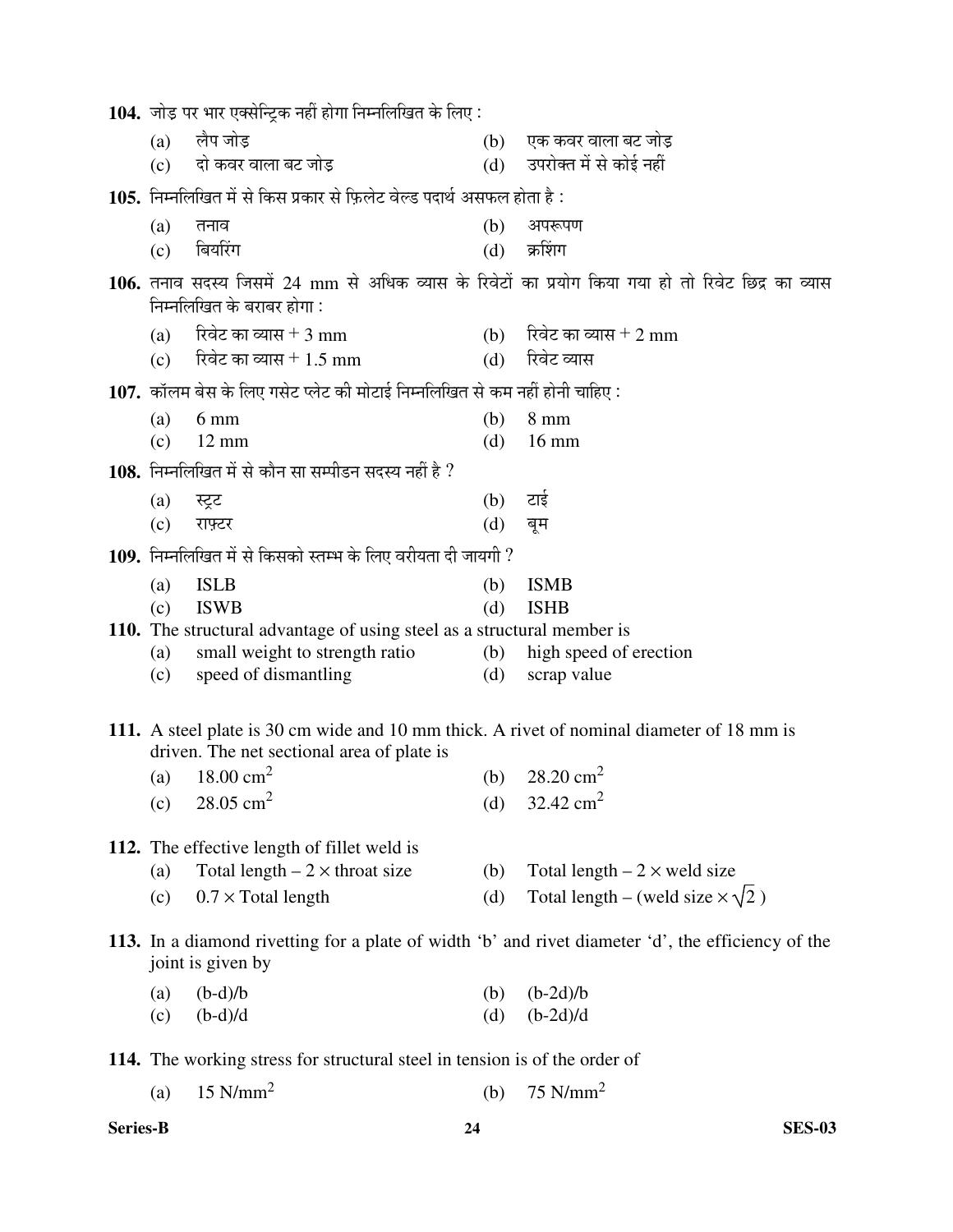|            | <b>104.</b> जोड़ पर भार एक्सेन्ट्रिक नहीं होगा निम्नलिखित के लिए :                                                                      |            |                                                                                                     |
|------------|-----------------------------------------------------------------------------------------------------------------------------------------|------------|-----------------------------------------------------------------------------------------------------|
| (a)        | लैप जोड                                                                                                                                 | (b)        | एक कवर वाला बट जोड़                                                                                 |
|            | (c) दो कवर वाला बट जोड़                                                                                                                 |            | (d) उपरोक्त में से कोई नहीं                                                                         |
|            | <b>105.</b> निम्नलिखित में से किस प्रकार से फ़िलेट वेल्ड पदार्थ असफल होता है :                                                          |            |                                                                                                     |
| (a)        | तनाव                                                                                                                                    | (b)        | अपरूपण                                                                                              |
| (c)        | बियरिंग                                                                                                                                 | (d)        | क्रशिंग                                                                                             |
|            | निम्नलिखित के बराबर होगा :                                                                                                              |            | 106. तनाव सदस्य जिसमें 24 mm से अधिक व्यास के रिवेटों का प्रयोग किया गया हो तो रिवेट छिद्र का व्यास |
| (a)        | रिवेट का व्यास $+3 \text{ mm}$                                                                                                          |            | (b) रिवेट का व्यास + 2 mm                                                                           |
| (c)        | रिवेट का व्यास + 1.5 mm                                                                                                                 | (d)        | रिवेट व्यास                                                                                         |
|            | 107. कॉलम बेस के लिए गसेट प्लेट की मोटाई निम्नलिखित से कम नहीं होनी चाहिए:                                                              |            |                                                                                                     |
| (a)        | $6 \text{ mm}$                                                                                                                          | (b)        | $8 \text{ mm}$                                                                                      |
| (c)        | $12 \text{ mm}$                                                                                                                         | (d)        | $16 \text{ mm}$                                                                                     |
|            | 108. निम्नलिखित में से कौन सा सम्पीडन सदस्य नहीं है ?                                                                                   |            |                                                                                                     |
| (a)        | स्ट्रट                                                                                                                                  | (b)        | टाई                                                                                                 |
| (c)        | राफ़्टर                                                                                                                                 | (d)        | बूम                                                                                                 |
|            | 109. निम्नलिखित में से किसको स्तम्भ के लिए वरीयता दी जायगी ?                                                                            |            |                                                                                                     |
| (a)        | <b>ISLB</b>                                                                                                                             | (b)        | <b>ISMB</b>                                                                                         |
| (c)        | <b>ISWB</b>                                                                                                                             | (d)        | <b>ISHB</b>                                                                                         |
|            | 110. The structural advantage of using steel as a structural member is                                                                  |            |                                                                                                     |
| (a)<br>(c) | small weight to strength ratio<br>speed of dismantling                                                                                  | (b)<br>(d) | high speed of erection<br>scrap value                                                               |
|            |                                                                                                                                         |            |                                                                                                     |
|            | 111. A steel plate is 30 cm wide and 10 mm thick. A rivet of nominal diameter of 18 mm is<br>driven. The net sectional area of plate is |            |                                                                                                     |
| (a)        | 18.00 $\text{cm}^2$                                                                                                                     | (b)        | 28.20 $\text{cm}^2$                                                                                 |
|            | (c) $28.05 \text{ cm}^2$                                                                                                                | (d)        | 32.42 $\text{cm}^2$                                                                                 |
|            | 112. The effective length of fillet weld is                                                                                             |            |                                                                                                     |
| (a)        | Total length $-2 \times$ throat size                                                                                                    | (b)        | Total length $-2 \times$ weld size                                                                  |
| (c)        | $0.7 \times$ Total length                                                                                                               | (d)        | Total length – (weld size $\times \sqrt{2}$ )                                                       |
|            | joint is given by                                                                                                                       |            | 113. In a diamond rivetting for a plate of width 'b' and rivet diameter 'd', the efficiency of the  |
| (a)        | $(b-d)/b$                                                                                                                               | (b)        | $(b-2d)/b$                                                                                          |
| (c)        | $(b-d)/d$                                                                                                                               | (d)        | $(b-2d)/d$                                                                                          |
|            | 114. The working stress for structural steel in tension is of the order of                                                              |            |                                                                                                     |
| (a)        | $15$ N/mm <sup>2</sup>                                                                                                                  | (b)        | $75$ N/mm <sup>2</sup>                                                                              |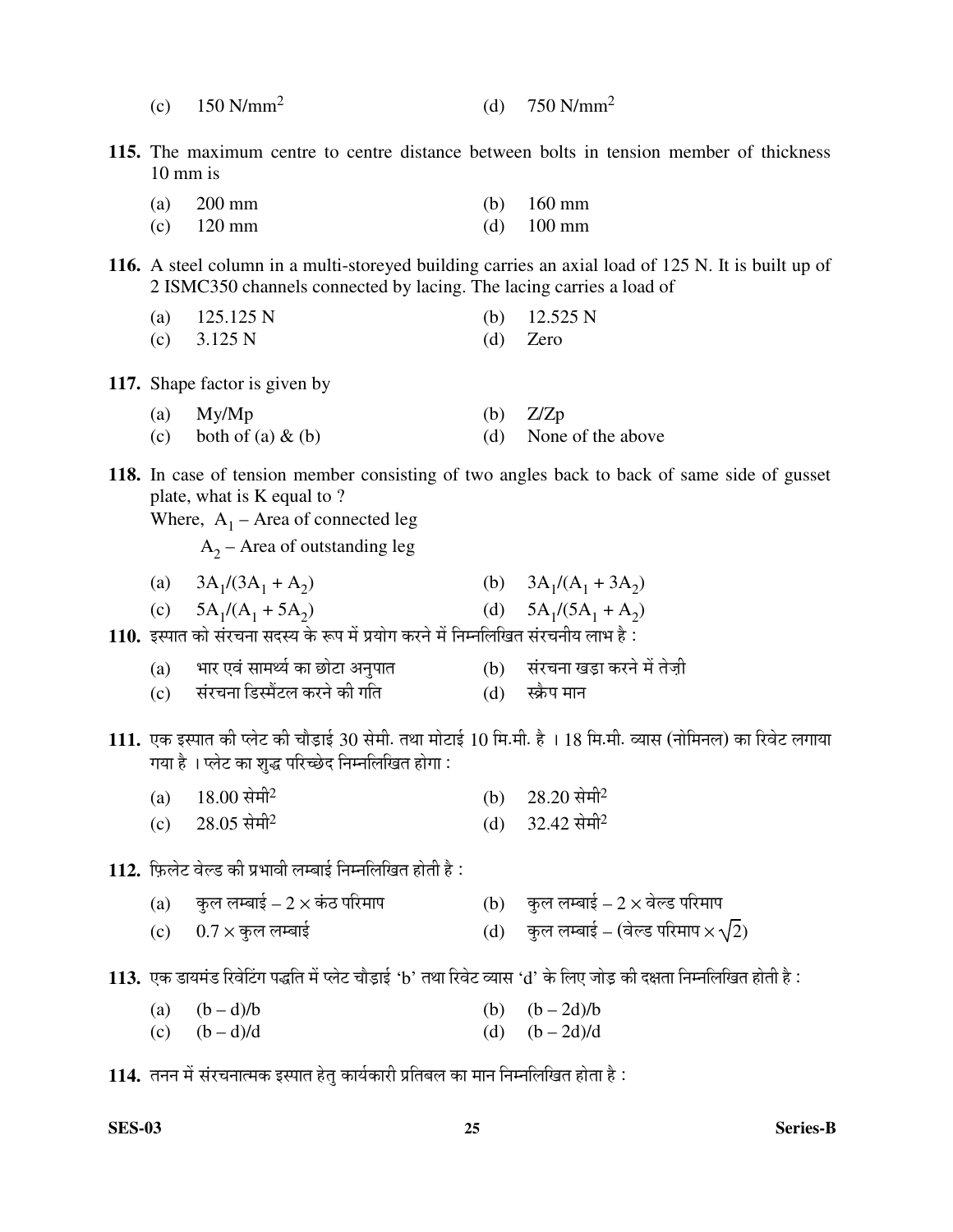- (c)  $150 \text{ N/mm}^2$ (d)  $750 \text{ N/mm}^2$
- **115.** The maximum centre to centre distance between bolts in tension member of thickness 10 mm is
- (a) 200 mm (b) 160 mm (c) 120 mm (d) 100 mm
- **116.** A steel column in a multi-storeyed building carries an axial load of 125 N. It is built up of 2 ISMC350 channels connected by lacing. The lacing carries a load of
	- (a)  $125.125 \text{ N}$  (b)  $12.525 \text{ N}$
	- (c)  $3.125 \text{ N}$  (d) Zero
- **117.** Shape factor is given by
	- (a)  $My/Mp$  (b)  $Z/Zp$ (c) both of (a)  $\&$  (b) (d) None of the above
	-
- **118.** In case of tension member consisting of two angles back to back of same side of gusset plate, what is K equal to ?

Where,  $A_1$  – Area of connected leg

 $A_2$  – Area of outstanding leg

- $(a)$  $/(3A_1 + A_2)$ (b)  $3A_1/(A_1 + 3A_2)$
- $(c)$  $/(A_1 + 5A_2)$ (d)  $5A_1/(5A_1 + A_2)$

110. इस्पात को संरचना सदस्य के रूप में प्रयोग करने में निम्नलिखित संरचनीय लाभ है:

- (a) भार एवं सामर्थ्य का छोटा अनुपात (b) संरचना खड़ा करने में तेज़ी
- (c) संरचना डिस्मैंटल करने की गति (d) स्क्रैप मान
- 111. एक इस्पात की प्लेट की चौड़ाई 30 सेमी. तथा मोटाई 10 मि.मी. है । 18 मि.मी. व्यास (नोमिनल) का रिवेट लगाया गया है । प्लेट का शुद्ध परिच्छेद निम्नलिखित होगा :
	- $(a)$  18.00 सेमी<sup>2</sup> (b)  $28.20 \text{ }\hat{\mathrm{H}}\hat{\mathrm{H}}^2$
	- (c) 28.05 सेमी<sup>2</sup> (d)  $32.42 \text{  $\pi$  m}^2$
- 112. फ़िलेट वेल्ड की प्रभावी लम्बाई निम्नलिखित होती है:
	- (a) कुल लम्बाई 2 × कंठ परिमाप $($  b) कुल लम्बाई 2 × वेल्ड परिमाप
	- (c) 0.7 × Ûãú»Ö »Ö´²ÖÖ‡Ô (d) Ûãú»Ö »Ö´²ÖÖ‡Ô (¾Öê»›ü ¯Ö׸ü´ÖÖ¯Ö × 2)
- 113. एक डायमंड रिवेटिंग पद्धति में प्लेट चौड़ाई 'b' तथा रिवेट व्यास 'd' के लिए जोड़ की दक्षता निम्नलिखित होती है :
	- (a)  $(b d)/b$  (b)  $(b 2d)/b$
	- (c)  $(b-d)/d$  (d)  $(b-2d)/d$

114. तनन में संरचनात्मक इस्पात हेतु कार्यकारी प्रतिबल का मान निम्नलिखित होता है :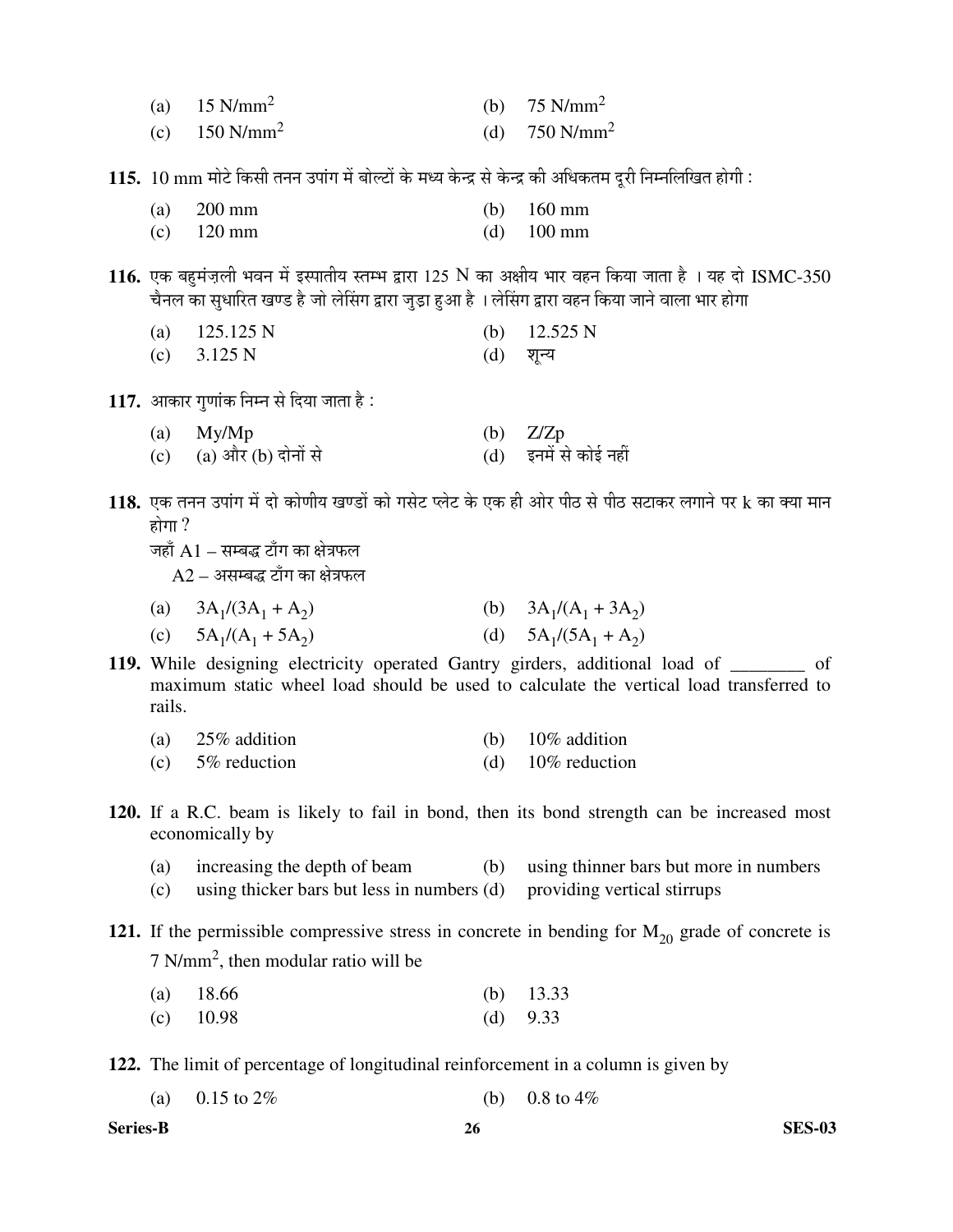|  | (a) $15 \text{ N/mm}^2$ |  | (b) $75 \text{ N/mm}^2$ |
|--|-------------------------|--|-------------------------|
|--|-------------------------|--|-------------------------|

- (c)  $150 \text{ N/mm}^2$ (d)  $750 \text{ N/mm}^2$
- 115. 10 mm मोटे किसी तनन उपांग में बोल्टों के मध्य केन्द्र से केन्द्र की अधिकतम दूरी निम्नलिखित होगी :

| (a) $200 \text{ mm}$ | (b) $160 \text{ mm}$ |
|----------------------|----------------------|
|                      |                      |

- (c) 120 mm (d) 100 mm
- $116$ . एक बहमंज़ली भवन में इस्पातीय स्तम्भ द्वारा 125 N का अक्षीय भार वहन किया जाता है । यह दो ISMC-350 चैनल का सुधारित खण्ड है जो लेसिंग द्वारा जुड़ा हुआ है । लेसिंग द्वारा वहन किया जाने वाला भार होगा

|  | (a) $125.125 \text{ N}$ |  | (b) $12.525 \text{ N}$ |
|--|-------------------------|--|------------------------|
|--|-------------------------|--|------------------------|

- $(c)$  3.125 N  $(d)$  शून्य
- 1**17.** आकार गुणांक निम्न से दिया जाता है :
	- (a) My/Mp (b)  $Z/Zp$ <br>
	(c) (a) और (b) दोनों से (d) इनमें रं (c) (a) और (b) दोनों से ब्लैं कोई नहीं से कोई नहीं है
- $118.$  एक तनन उपांग में दो कोणीय खण्डों को गसेट प्लेट के एक ही ओर पीठ से पीठ सटाकर लगाने पर  $k$  का क्या मान होगा $?$ 
	- जहाँ  ${\rm A}1-$ सम्बद्ध टाँग का क्षेत्रफल

 $A2$  – असम्बद्ध टाँग का क्षेत्रफल

- (a)  $3A_1/(3A_1 + A_2)$ (b)  $3A_1/(A_1 + 3A_2)$
- (c)  $5A_1/(A_1 + 5A_2)$ (d)  $5A_1/(5A_1 + A_2)$
- **119.** While designing electricity operated Gantry girders, additional load of \_\_\_\_\_\_\_\_ of maximum static wheel load should be used to calculate the vertical load transferred to rails.

| 25% addition<br>(a) | (b) $10\%$ addition |  |
|---------------------|---------------------|--|
|---------------------|---------------------|--|

- (c) 5% reduction (d) 10% reduction
- **120.** If a R.C. beam is likely to fail in bond, then its bond strength can be increased most economically by
	- (a) increasing the depth of beam (b) using thinner bars but more in numbers
	- (c) using thicker bars but less in numbers (d) providing vertical stirrups

**121.** If the permissible compressive stress in concrete in bending for  $M_{20}$  grade of concrete is  $7 \text{ N/mm}^2$ , then modular ratio will be

| (a) $18.66$ | (b) $13.33$ |
|-------------|-------------|
| (c) $10.98$ | (d) $9.33$  |

**122.** The limit of percentage of longitudinal reinforcement in a column is given by

| (a) $0.15$ to $2\%$ |  | (b) $0.8 \text{ to } 4\%$ |
|---------------------|--|---------------------------|
|---------------------|--|---------------------------|

**Series-B 26 SES-03**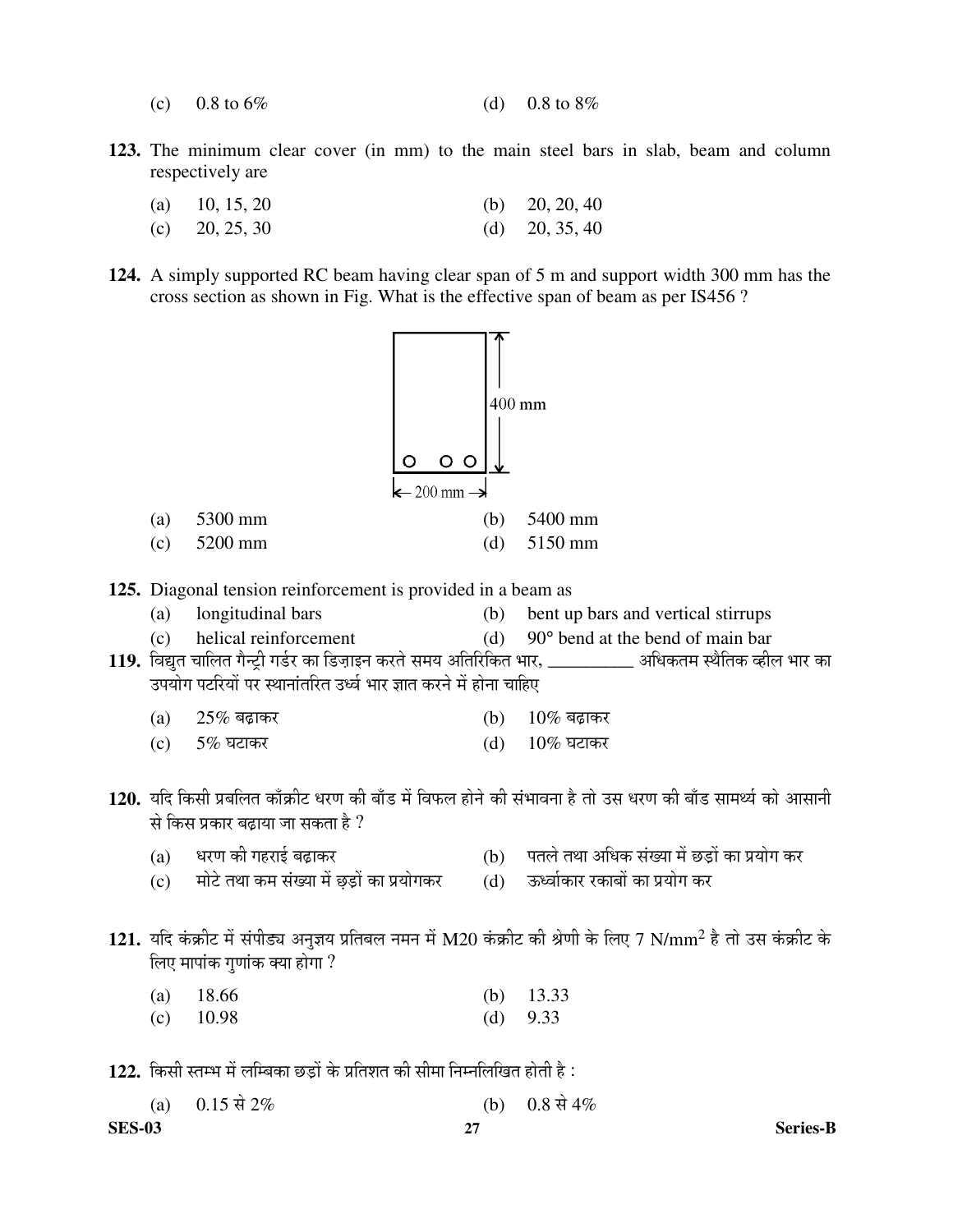- (c)  $0.8 \text{ to } 6\%$  (d)  $0.8 \text{ to } 8\%$
- **123.** The minimum clear cover (in mm) to the main steel bars in slab, beam and column respectively are

| (a) 10, 15, 20   | (b) $20, 20, 40$ |
|------------------|------------------|
| (c) $20, 25, 30$ | (d) $20, 35, 40$ |

**124.** A simply supported RC beam having clear span of 5 m and support width 300 mm has the cross section as shown in Fig. What is the effective span of beam as per IS456 ?



- **125.** Diagonal tension reinforcement is provided in a beam as
	- (a) longitudinal bars (b) bent up bars and vertical stirrups
	- (c) helical reinforcement (d) 90° bend at the bend of main bar

119. विद्युत चालित गैन्ट्री गर्डर का डिज़ाइन करते समय अतिरिकित भार, \_\_\_\_\_\_\_\_\_\_\_ अधिकतम स्थैतिक व्हील भार का उपयोग पटरियों पर स्थानांतरित उर्ध्व भार ज्ञात करने में होना चाहिए

- (a)  $25\%$  बढ़ाकर (b)  $10\%$  बढ़ाकर
- $\text{(c)}$  5% घटाकर  $\text{(d)}$  10% घटाकर
- 120. यदि किसी प्रबलित काँक्रीट धरण की बाँड में विफल होने की संभावना है तो उस धरण की बाँड सामर्थ्य को आसानी से किस प्रकार बढ़ाया जा सकता है ?
	- (a) यरण की गहराई बढ़ाकर (b) पतले तथा अधिक संख्या में छड़ों का प्रयोग कर
	- (c) ^ मोटे तथा कम संख्या में छड़ों का प्रयोगकर ^ (d) ऊर्ध्वाकार रकाबों का प्रयोग कर
- 
- ${\bf 121.}$  यदि कंक्रीट में संपीड्य अनुज्ञय प्रतिबल नमन में M20 कंक्रीट की श्रेणी के लिए 7 N/mm<sup>2</sup> है तो उस कंक्रीट के लिए मापांक गणांक क्या होगा ?

| (a) $18.66$ | (b) $13.33$ |
|-------------|-------------|
| (c) $10.98$ | (d) $9.33$  |

122. किसी स्तम्भ में लम्बिका छड़ों के प्रतिशत की सीमा निम्नलिखित होती है :

|               | (a) 0.15 से 2% | (b) $0.8 \nexists 4\%$ |
|---------------|----------------|------------------------|
| <b>SES-03</b> |                | <b>Series-B</b>        |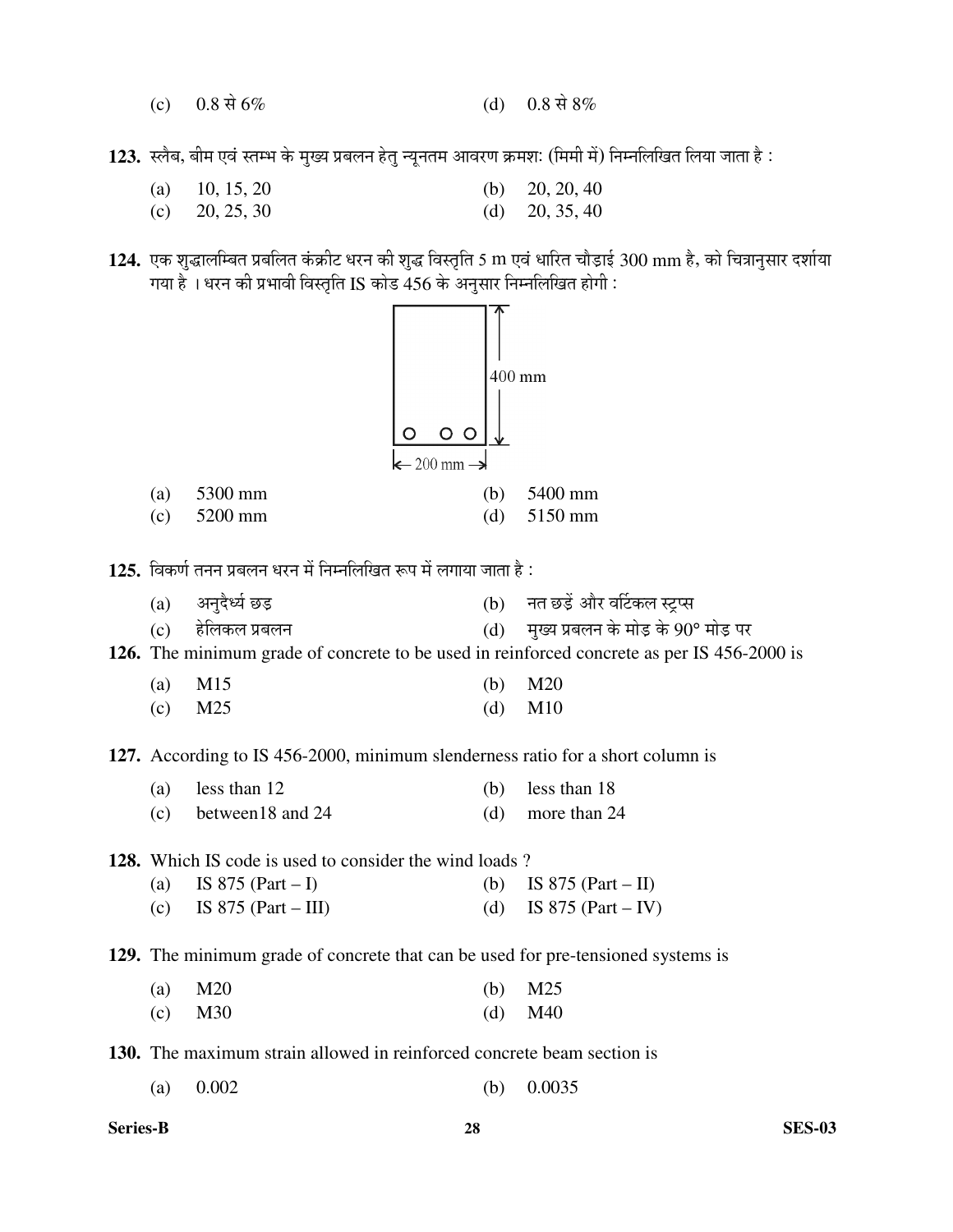(c)  $0.8 \text{ R} \cdot 6\%$  (d)  $0.8 \text{ R} \cdot 8\%$ 

123. स्लैब, बीम एवं स्तम्भ के मुख्य प्रबलन हेतु न्यूनतम आवरण क्रमशः (मिमी में) निम्नलिखित लिया जाता है:

- (a)  $10, 15, 20$  (b)  $20, 20, 40$
- (c)  $20, 25, 30$  (d)  $20, 35, 40$
- 124. एक शुद्धालम्बित प्रबलित कंक्रीट धरन की शुद्ध विस्तृति 5 m एवं धारित चौड़ाई 300 mm है, को चित्रानुसार दर्शाया गया है । धरन की प्रभावी विस्तृति IS कोड 456 के अनुसार निम्नलिखित होगी :



- 125. विकर्ण तनन प्रबलन धरन में निम्नलिखित रूप में लगाया जाता है :
	- (a) †®Öã¤îü¬µÖÔ "û›Ìü (b) ®ÖŸÖ "û›Ìëü †Öî¸ü ¾ÖÙ™üÛú»Ö ÙÒü¯ÃÖ
	- $\rm (c)$  हेलिकल प्रबलन  $\rm (d)$  मुख्य प्रबलन के मोड़ के  $\rm 90^{\circ}$  मोड़ पर

**126.** The minimum grade of concrete to be used in reinforced concrete as per IS 456-2000 is

| (a) $M15$ | (b) $M20$ |
|-----------|-----------|
| $(c)$ M25 | (d) $M10$ |

**127.** According to IS 456-2000, minimum slenderness ratio for a short column is

| (a) less than $12$      | (b) less than $18$ |
|-------------------------|--------------------|
| $(c)$ between 18 and 24 | (d) more than $24$ |

**128.** Which IS code is used to consider the wind loads ?

| (a) IS 875 (Part – I)   | (b) IS 875 (Part – II) |
|-------------------------|------------------------|
| (c) IS 875 (Part – III) | (d) IS 875 (Part – IV) |

**129.** The minimum grade of concrete that can be used for pre-tensioned systems is

| (a) $M20$ | (b) $M25$ |
|-----------|-----------|
| (c) $M30$ | (d) $M40$ |

**130.** The maximum strain allowed in reinforced concrete beam section is

(a)  $0.002$  (b)  $0.0035$ 

**Series-B 28 SES-03**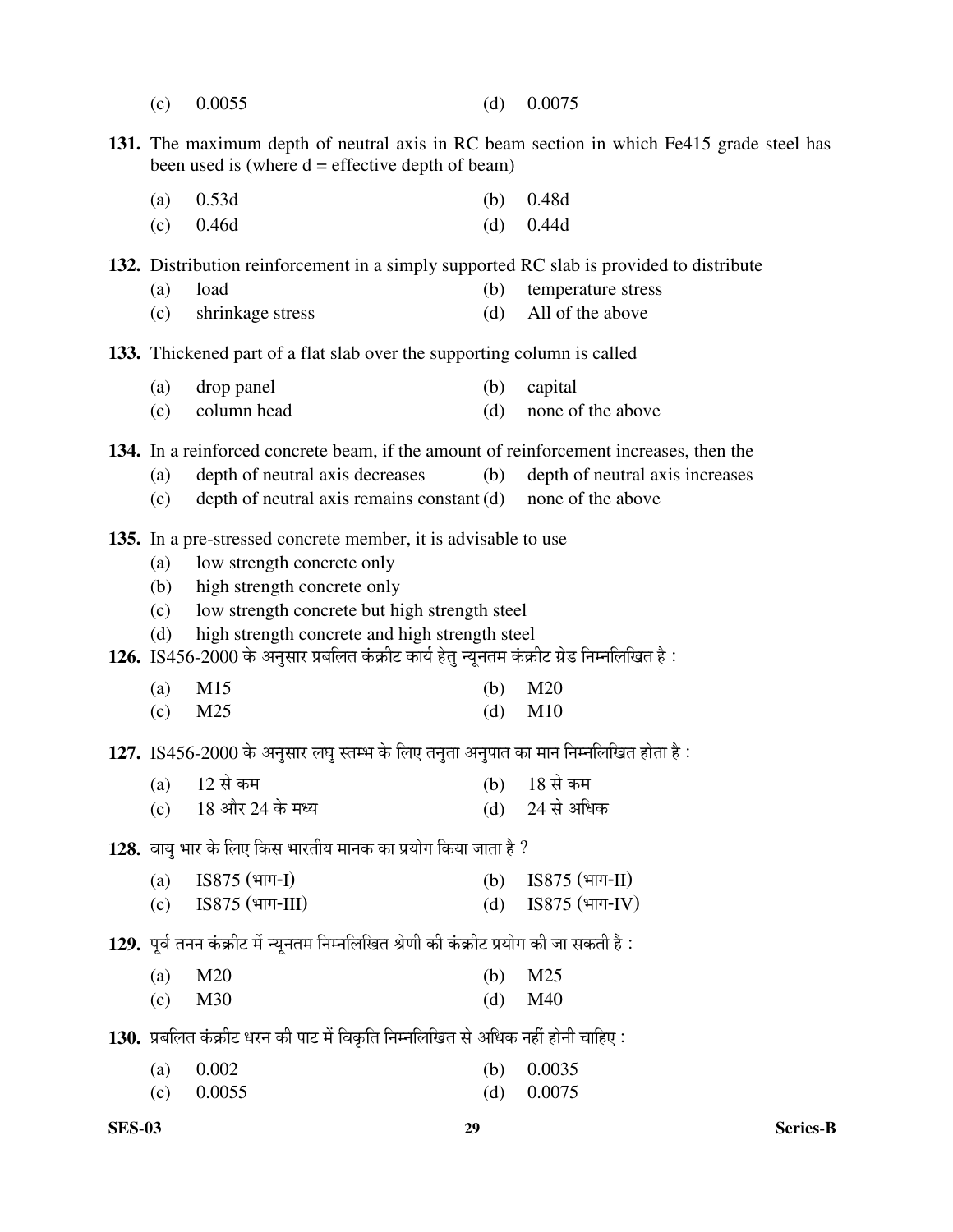- (c) 0.0055 (d) 0.0075
- **131.** The maximum depth of neutral axis in RC beam section in which Fe415 grade steel has been used is (where  $d =$  effective depth of beam)
	- (a)  $0.53d$  (b)  $0.48d$ (c) 0.46d (d) 0.44d

**132.** Distribution reinforcement in a simply supported RC slab is provided to distribute

- (a) load (b) temperature stress
- (c) shrinkage stress (d) All of the above

**133.** Thickened part of a flat slab over the supporting column is called

- (a) drop panel (b) capital
- (c) column head (d) none of the above

**134.** In a reinforced concrete beam, if the amount of reinforcement increases, then the

- (a) depth of neutral axis decreases (b) depth of neutral axis increases
- (c) depth of neutral axis remains constant (d) none of the above
- **135.** In a pre-stressed concrete member, it is advisable to use
	- (a) low strength concrete only
	- (b) high strength concrete only
	- (c) low strength concrete but high strength steel
	- (d) high strength concrete and high strength steel
- 1**26.** IS456-2000 के अनुसार प्रबलित कंक्रीट कार्य हेतू न्यूनतम कंक्रीट ग्रेड निम्नलिखित है:

| (a) $M15$ | (b) $M20$ |
|-----------|-----------|
| (c) $M25$ | (d) $M10$ |

127. IS456-2000 के अनुसार लघु स्तम्भ के लिए तनुता अनुपात का मान निम्नलिखित होता है:

| (a) 12 से कम                                      | (b) 18 से कम                      |
|---------------------------------------------------|-----------------------------------|
| (c) $18 \text{ and } 24 \text{ and } 18 \text{.}$ | (d) $24 \text{ }\mathcal{R}$ अधिक |

128. वायु भार के लिए किस भारतीय मानक का प्रयोग किया जाता है ?

| (a) $ISS75$ (भाग-I)          | (b) $\text{ISS75}}\text{ (4} \text{H} \text{H} \text{-} \text{II})$ |
|------------------------------|---------------------------------------------------------------------|
| (c) $\text{ISS75}$ (भाग-III) | (d) IS875 $(\text{4} \text{H} \cdot \text{H})$                      |

129. पूर्व तनन कंक्रीट में न्यूनतम निम्नलिखित श्रेणी की कंक्रीट प्रयोग की जा सकती है :

| (a) $M20$    | (b) $M25$ |
|--------------|-----------|
| $\alpha$ M30 | (d) $M40$ |

130. प्रबलित कंक्रीट धरन की पाट में विकृति निम्नलिखित से अधिक नहीं होनी चाहिए :

| (a) $0.002$  | (b) $0.0035$ |
|--------------|--------------|
| (c) $0.0055$ | (d) $0.0075$ |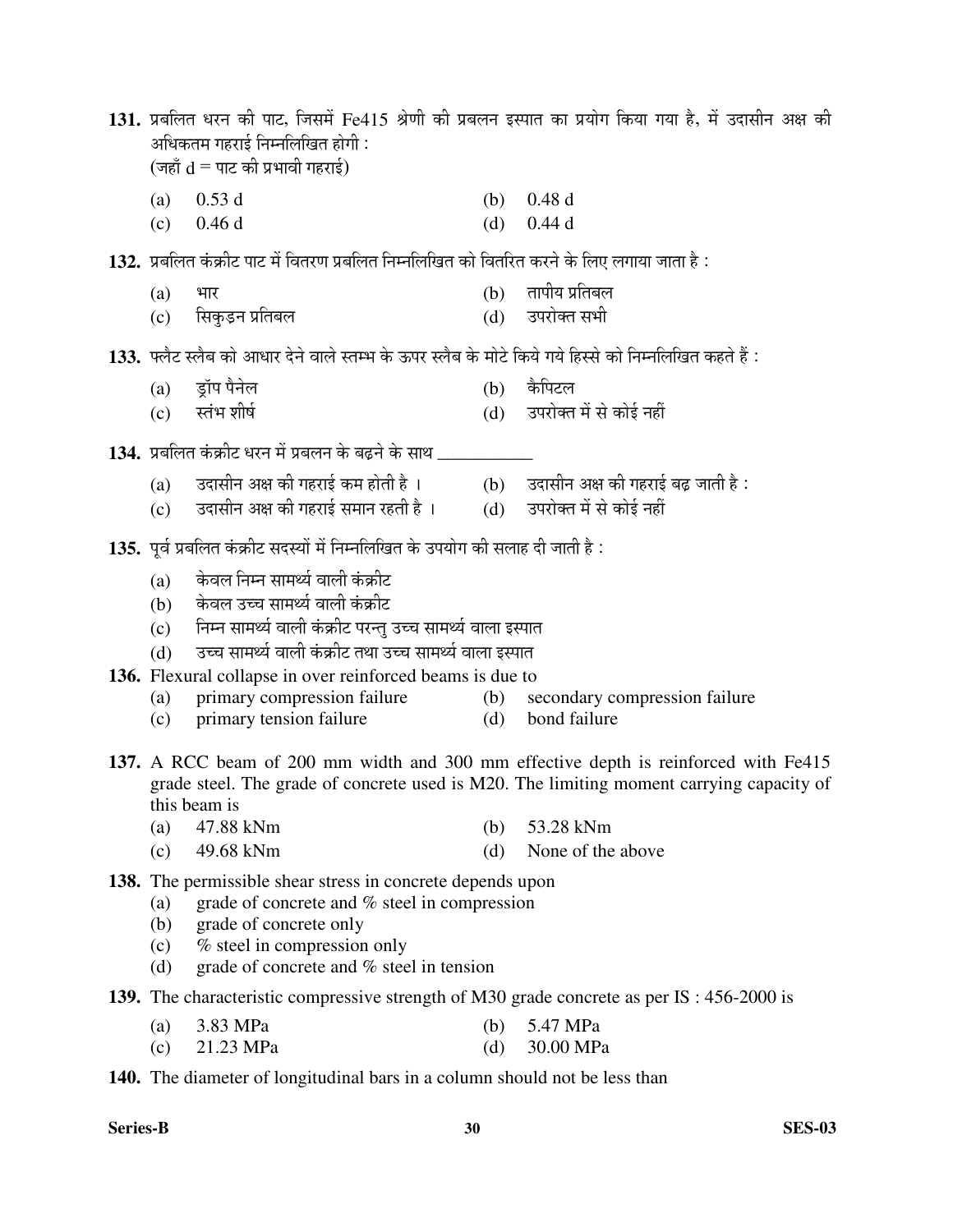131. प्रबलित धरन की पाट, जिसमें Fe415 श्रेणी की प्रबलन इस्पात का प्रयोग किया गया है, में उदासीन अक्ष की अधिकतम गहराई निम्नलिखित होगी :  $(\bar{\mathfrak{m}}\tilde{\mathfrak{m}}\,d = \bar{\mathfrak{m}}\,E\,d$  अभावी गहराई)

- (a)  $0.53 \text{ d}$  (b)  $0.48 \text{ d}$
- (c)  $0.46 \text{ d}$  (d)  $0.44 \text{ d}$

132. प्रबलित कंक्रीट पाट में वितरण प्रबलित निम्नलिखित को वितरित करने के लिए लगाया जाता है :

- $(a)$  भार (b) तापीय प्रतिबल
- (c) ×ÃÖÛãú›Ìü®Ö ¯ÖÏןֲֻÖ (d) ˆ¯Ö¸üÖêŒŸÖ ÃÖ³Öß

133. फ्लैट स्लैब को आधार देने वाले स्तम्भ के ऊपर स्लैब के मोटे किये गये हिस्से को निम्नलिखित कहते हैं :

- (a) ड्रॉप पैनेल (b) कैपिटल
- (c) ßÖÓ³Ö ¿ÖßÂÖÔ (d) ˆ¯Ö¸üÖêŒŸÖ ´Öë ÃÖê ÛúÖê‡Ô ®ÖÆüà
- 1**34.** प्रबलित कंक्रीट धरन में प्रबलन के बढ़ने के साथ \_\_\_\_
	- (a) उदासीन अक्ष की गहराई कम होती है । (b) उदासीन अक्ष की गहराई बढ़ जाती है :<br>(c) उदासीन अक्ष की गहराई समान रहती है । (d) उपरोक्त में से कोई नहीं
	- (c) ठिंदासीन अक्ष की गहराई समान रहती है ।
- 135. पर्व प्रबलित कंक्रीट सदस्यों में निम्नलिखित के उपयोग की सलाह दी जाती है :
	- $(a)$  केवल निम्न सामर्थ्य वाली कंक्रीट
	- (b) केवल उच्च सामर्थ्य वाली कंक्रीट
	- $\rm\check{C}$ ें निम्न सामर्थ्य वाली कंक्रीट परन्तु उच्च सामर्थ्य वाला इस्पात
	- (d) दच्च सामर्थ्य वाली कंक्रीट तथा उच्च सामर्थ्य वाला इस्पात
- **136.** Flexural collapse in over reinforced beams is due to
	- (a) primary compression failure (b) secondary compression failure
	- (c) primary tension failure (d) bond failure
- **137.** A RCC beam of 200 mm width and 300 mm effective depth is reinforced with Fe415 grade steel. The grade of concrete used is M20. The limiting moment carrying capacity of this beam is
	- (a) 47.88 kNmü (b) 53.28 kNm
	- (c) 49.68 kNm (d) None of the above

**138.** The permissible shear stress in concrete depends upon

- (a) grade of concrete and  $%$  steel in compression
- (b) grade of concrete only
- (c) % steel in compression only
- (d) grade of concrete and % steel in tension
- **139.** The characteristic compressive strength of M30 grade concrete as per IS : 456-2000 is
	- (a) 3.83 MPa (b) 5.47 MPa
	- (c)  $21.23 \text{ MPa}$  (d)  $30.00 \text{ MPa}$

**140.** The diameter of longitudinal bars in a column should not be less than

**Series-B 30 SES-03**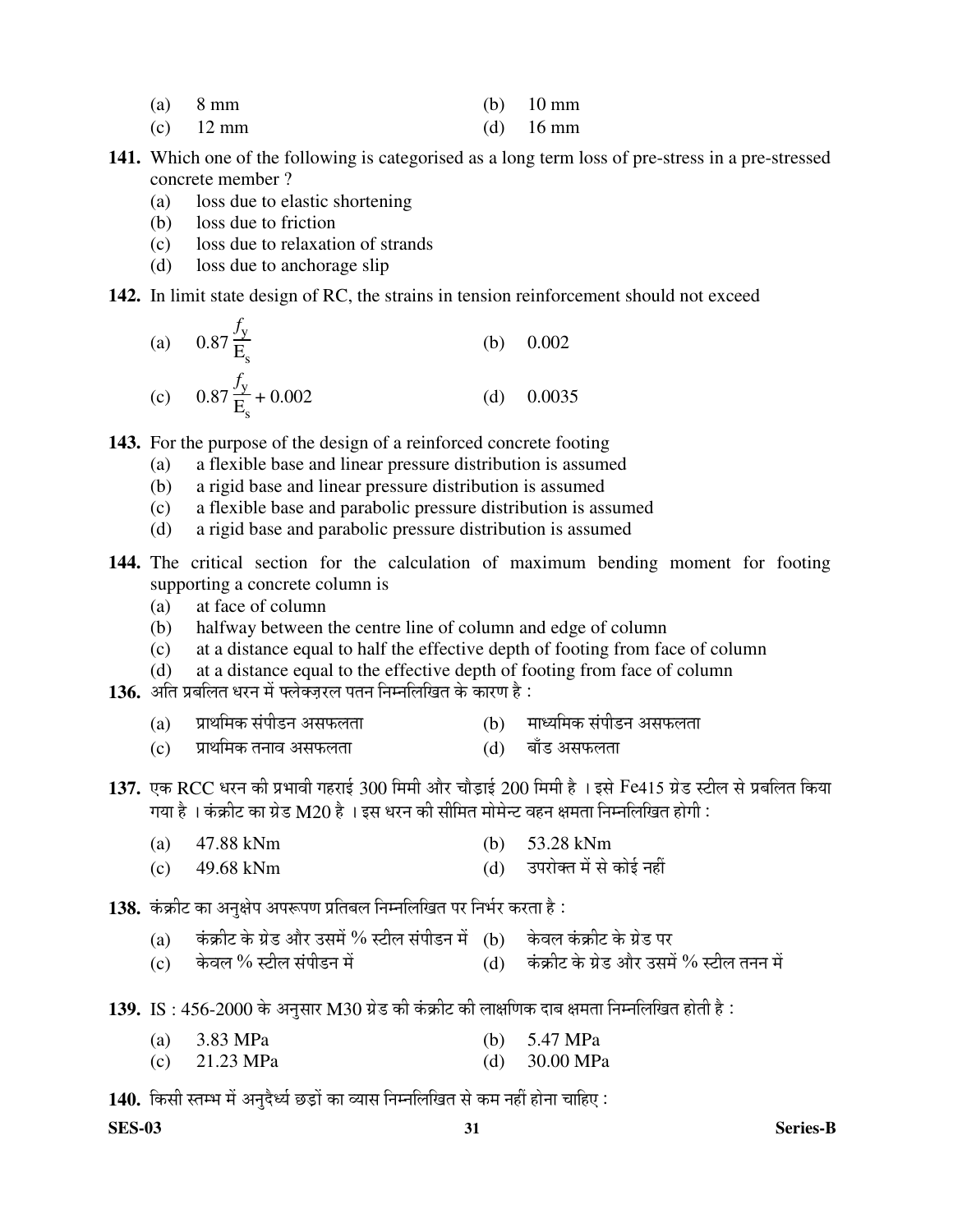- (a)  $8 \text{ mm}$  (b)  $10 \text{ mm}$
- (c) 12 mm (d) 16 mm
- **141.** Which one of the following is categorised as a long term loss of pre-stress in a pre-stressed concrete member ?
	- (a) loss due to elastic shortening
	- (b) loss due to friction
	- (c) loss due to relaxation of strands
	- (d) loss due to anchorage slip

### **142.** In limit state design of RC, the strains in tension reinforcement should not exceed

(a) 
$$
0.87 \frac{f_y}{E_s}
$$
 (b) 0.002  
(c)  $0.87 \frac{f_y}{E_s} + 0.002$  (d) 0.0035

**143.** For the purpose of the design of a reinforced concrete footing

- (a) a flexible base and linear pressure distribution is assumed
- (b) a rigid base and linear pressure distribution is assumed
- (c) a flexible base and parabolic pressure distribution is assumed
- (d) a rigid base and parabolic pressure distribution is assumed
- **144.** The critical section for the calculation of maximum bending moment for footing supporting a concrete column is
	- (a) at face of column
	- (b) halfway between the centre line of column and edge of column
	- (c) at a distance equal to half the effective depth of footing from face of column
	- (d) at a distance equal to the effective depth of footing from face of column
- 136. अति प्रबलित धरन में फ्लेक्ज़रल पतन निम्नलिखित के कारण है:
	- (a) प्राथमिक संपीडन असफलता (b) माध्यमिक संपीडन असफलता<br>(c) प्राथमिक तनाव असफलता (d) बाँड असफलता
	- $(c)$  प्राथमिक तनाव असफलता ।
- $137.$  एक RCC धरन की प्रभावी गहराई 300 मिमी और चौड़ाई 200 मिमी है । इसे Fe415 ग्रेड स्टील से प्रबलित किया गया है । कंक्रीट का ग्रेड M20 है । इस धरन की सीमित मोमेन्ट वहन क्षमता निम्नलिखित होगी :
	- (a) 47.88 kNmü (b) 53.28 kNm
	- $\text{(c)} \quad 49.68 \text{ kNm}$   $\text{(d)} \quad$  उपरोक्त में से कोई नहीं
- 1**38.** कंक्रीट का अनक्षेप अपरूपण प्रतिबल निम्नलिखित पर निर्भर करता है:
	- (a) बिंक्रीट के ग्रेड और उसमें % स्टील संपीडन में (b) केवल कंक्रीट के ग्रेड पर<br>(c) केवल % स्टील संपीडन में (d) कंकीट के ग्रेड और उसमे
	- (c) केवल % स्टील संपीडन में (d) कंक्रीट के ग्रेड और उसमें % स्टील तनन में
- 139. IS : 456-2000 के अनुसार M30 ग्रेड की कंक्रीट की लाक्षणिक दाब क्षमता निम्नलिखित होती है :
	- (a) 3.83 MPa (b) 5.47 MPa
	- (c) 21.23 MPa (d) 30.00 MPa

140. किसी स्तम्भ में अनुदैर्ध्य छड़ों का व्यास निम्नलिखित से कम नहीं होना चाहिए :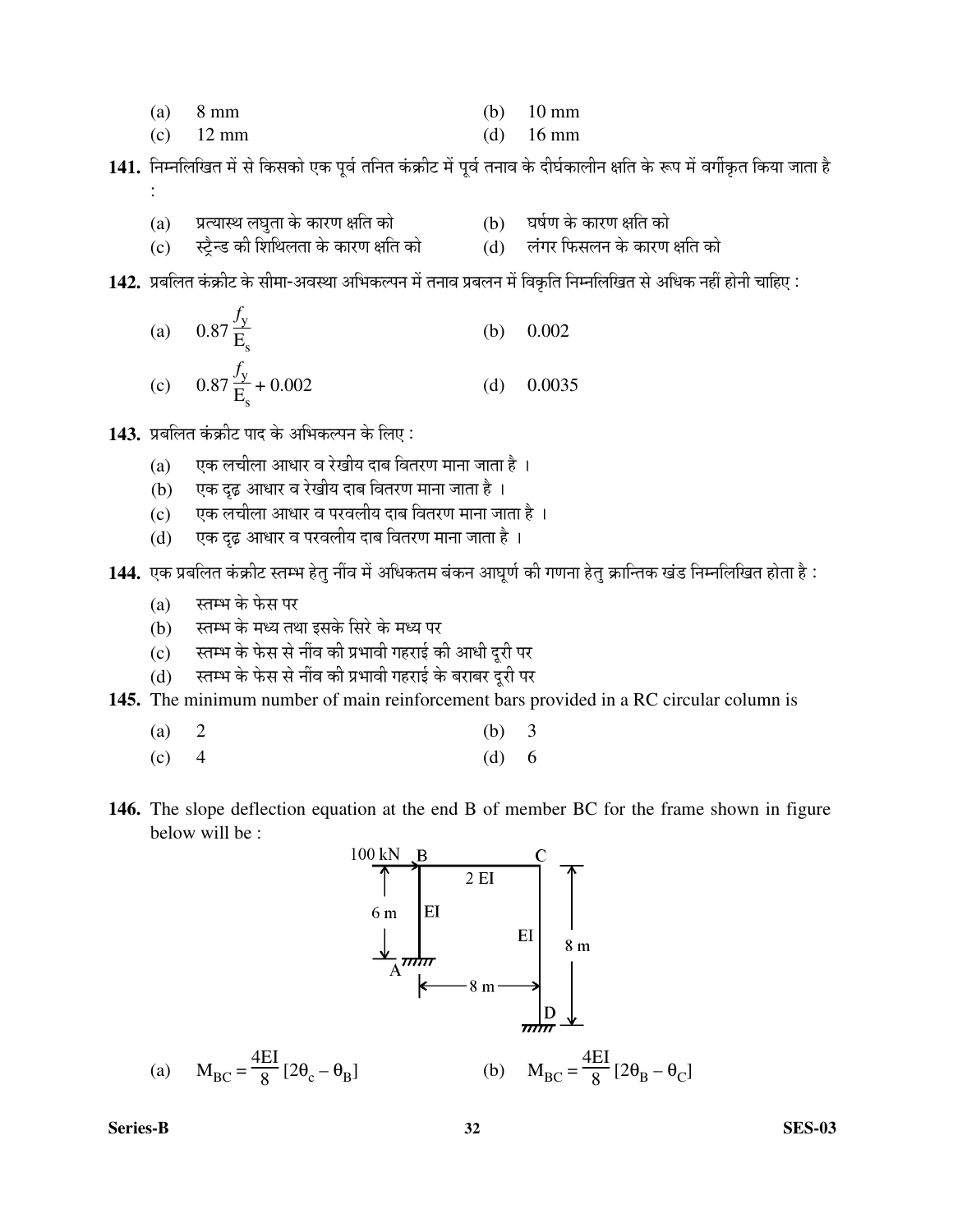- (a)  $8 \text{ mm}$  (b)  $10 \text{ mm}$
- (c) 12 mm (d) 16 mm
- 141. निम्नलिखित में से किसको एक पूर्व तनित कंक्रीट में पूर्व तनाव के दीर्घकालीन क्षति के रूप में वर्गीकृत किया जाता है :
- (a)  $\:$  प्रत्यास्थ लघुता के कारण क्षति को  $\hspace{1.6cm}$  (b)  $\:$  घर्षण के कारण क्षति को (c) स्ट्रैन्ड की शिथिलता के कारण क्षति को (d) लंगर फिसलन के कारण क्षति को
- 142. प्रबलित कंक्रीट के सीमा-अवस्था अभिकल्पन में तनाव प्रबलन में विकृति निम्नलिखित से अधिक नहीं होनी चाहिए :

(a) 
$$
0.87 \frac{f_y}{E_s}
$$
 (b) 0.002  
(c)  $0.87 \frac{f_y}{E_s} + 0.002$  (d) 0.0035

1**43.** प्रबलित कंक्रीट पाद के अभिकल्पन के लिए :

- $(a)$  एक लचीला आधार व रेखीय दाब वितरण माना जाता है ।
- (b) एक दृढ़ आधार व रेखीय दाब वितरण माना जाता है ।
- $(c)$  एक लचीला आधार व परवलीय दाब वितरण माना जाता है ।
- $(d)$  एक दृढ़ आधार व परवलीय दाब वितरण माना जाता है ।
- 144. एक प्रबलित कंक्रीट स्तम्भ हेतु नींव में अधिकतम बंकन आघूर्ण की गणना हेतु क्रान्तिक खंड निम्नलिखित होता है :
	- $(a)$  स्तम्भ के फेस पर
	- (b) स्तम्भ के मध्य तथा इसके सिरे के मध्य पर
	- (c) स्तम्भ के फेस से नींव की प्रभावी गहराई की आधी दूरी पर
	- (d) स्तम्भ के फेस से नींव की प्रभावी गहराई के बराबर दुरी पर
- **145.** The minimum number of main reinforcement bars provided in a RC circular column is

$$
(a) 2 \t\t (b) 3
$$

- (c)  $4$  (d) 6
- **146.** The slope deflection equation at the end B of member BC for the frame shown in figure below will be :



**Series-B 32 SES-03**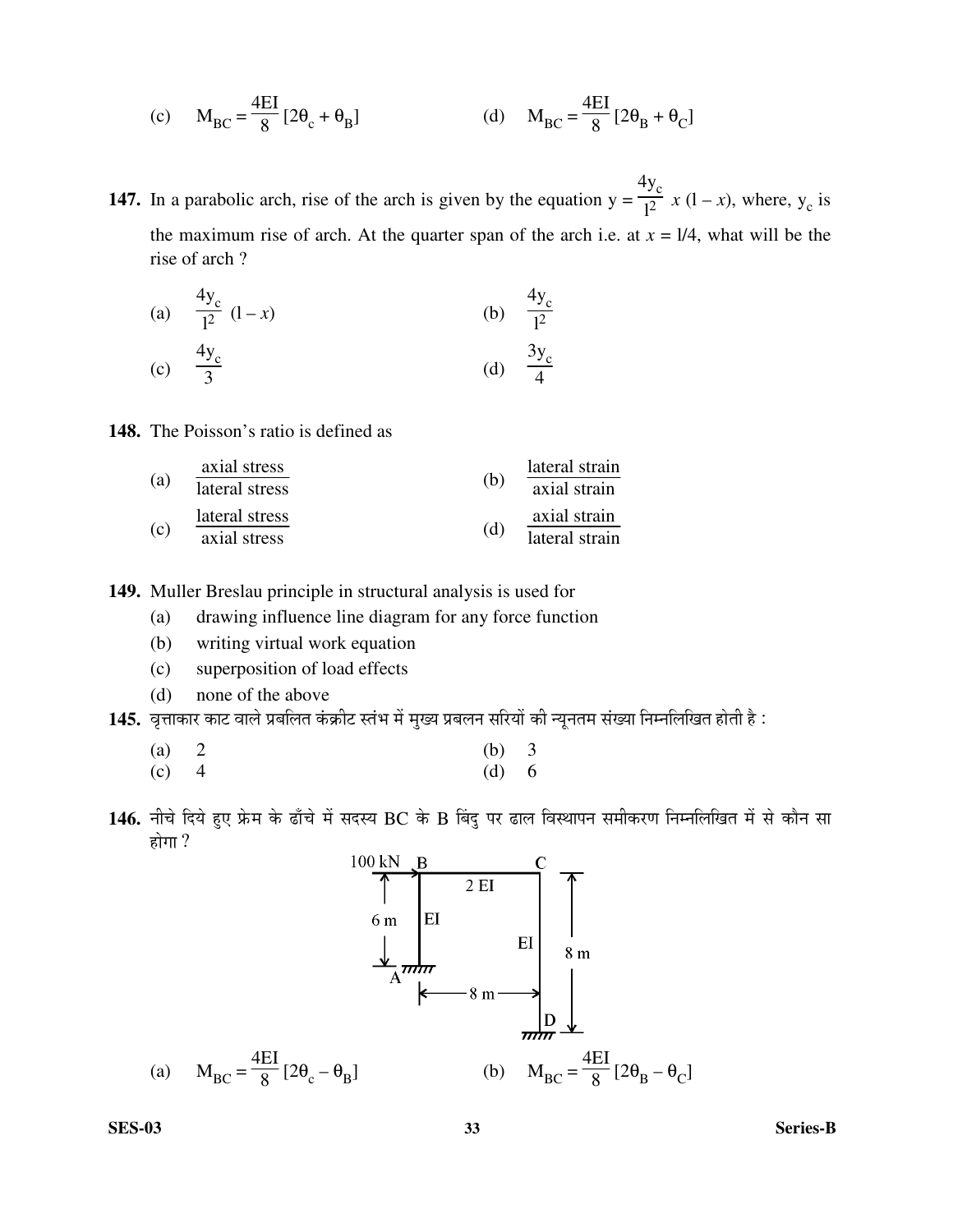(c) 
$$
M_{BC} = \frac{4EI}{8} [2\theta_c + \theta_B]
$$
 (d)  $M_{BC} = \frac{4EI}{8} [2\theta_B + \theta_C]$ 

**147.** In a parabolic arch, rise of the arch is given by the equation  $y = \frac{4y_c}{l^2} x (l - x)$ , where,  $y_c$  is the maximum rise of arch. At the quarter span of the arch i.e. at  $x = 1/4$ , what will be the rise of arch?

(a) 
$$
\frac{4y_c}{l^2} (l-x)
$$
 (b)  $\frac{4y_c}{l^2}$ 

(c) 
$$
\frac{4y_c}{3}
$$
 (d)  $\frac{3y_c}{4}$ 

**148.** The Poisson's ratio is defined as

| (a) | axial stress   |     | lateral strain |  |
|-----|----------------|-----|----------------|--|
|     | lateral stress | (b) | axial strain   |  |
|     | lateral stress |     | axial strain   |  |
| (c) | axial stress   | (d) | lateral strain |  |

149. Muller Breslau principle in structural analysis is used for

- drawing influence line diagram for any force function  $(a)$
- $(b)$ writing virtual work equation
- $(c)$ superposition of load effects
- $(d)$ none of the above
- 145. वृत्ताकार काट वाले प्रबलित कंक्रीट स्तंभ में मुख्य प्रबलन सरियों की न्यूनतम संख्या निम्नलिखित होती है :

146. नीचे दिये हुए फ्रेम के ढाँचे में सदस्य BC के B बिंदु पर ढाल विस्थापन समीकरण निम्नलिखित में से कौन सा होगा ?



**SES-03**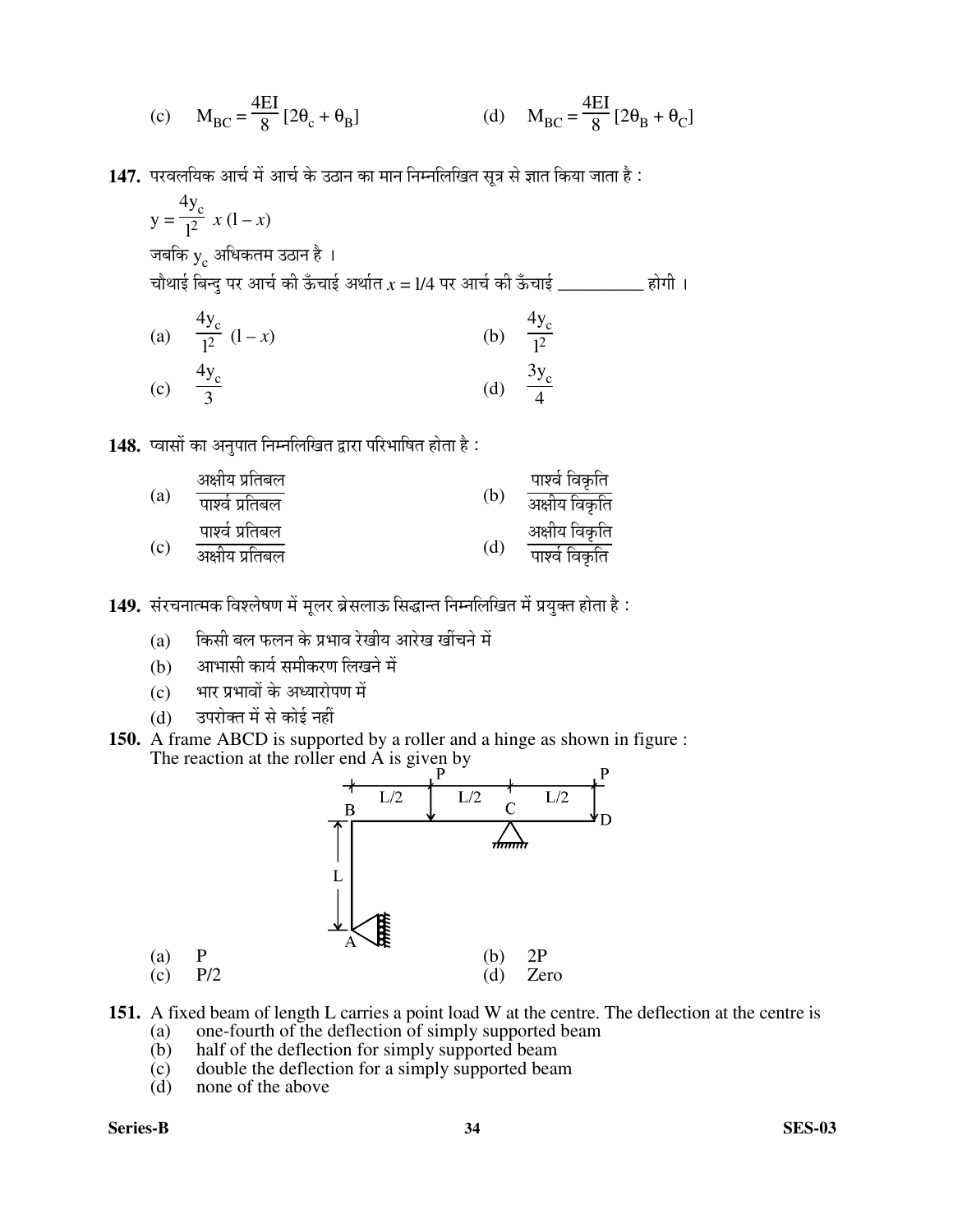(c) 
$$
M_{BC} = \frac{4EI}{8} [2\theta_c + \theta_B]
$$
 (d)  $M_{BC} = \frac{4EI}{8} [2\theta_B + \theta_C]$ 

147. परवलयिक आर्च में आर्च के उठान का मान निम्नलिखित सूत्र से ज्ञात किया जाता है :

$$
y = \frac{4y_c}{l^2} x (l - x)
$$
  
जबकि y<sub>c</sub> अधिकतम उठान है 1  
चौथाई बिन्दु पर आर्च की कँचाई अर्थात *x* = 1/4 पर आर्च की कँचाई \_\_\_\_\_\_\_ होगी 1  
(a)  $\frac{4y_c}{l^2} (l - x)$   
(b)  $\frac{4y_c}{l^2}$   
(c)  $\frac{4y_c}{3}$   
(d)  $\frac{3y_c}{4}$ 

148. प्वासों का अनुपात निम्नलिखित द्वारा परिभाषित होता है:

|     | अक्षीय प्रतिबल  |     | पार्श्व विकृति |
|-----|-----------------|-----|----------------|
| (a) | पार्श्व प्रतिबल | (b) | अक्षीय विकृति  |
|     | पार्श्व प्रतिबल |     | अक्षीय विकृति  |
| (c) | अक्षीय प्रतिबल  | (d) | पार्श्व विकृति |

149. संरचनात्मक विश्लेषण में मूलर ब्रेसलाऊ सिद्धान्त निम्नलिखित में प्रयुक्त होता है :

- (a) किसी बल फलन के प्रभाव रेखीय आरेख खींचने में
- (b) आभासी कार्य समीकरण लिखने में
- (c) भार प्रभावों के अध्यारोपण में
- (d) उपरोक्त में से कोई नहीं
- **150.** A frame ABCD is supported by a roller and a hinge as shown in figure : The reaction at the roller end  $\overrightarrow{A}$  is given by



- **151.** A fixed beam of length L carries a point load W at the centre. The deflection at the centre is
	- (a) one-fourth of the deflection of simply supported beam
	- (b) half of the deflection for simply supported beam
	- (c) double the deflection for a simply supported beam<br>(d) none of the above
	- none of the above

**Series-B 34 SES-03**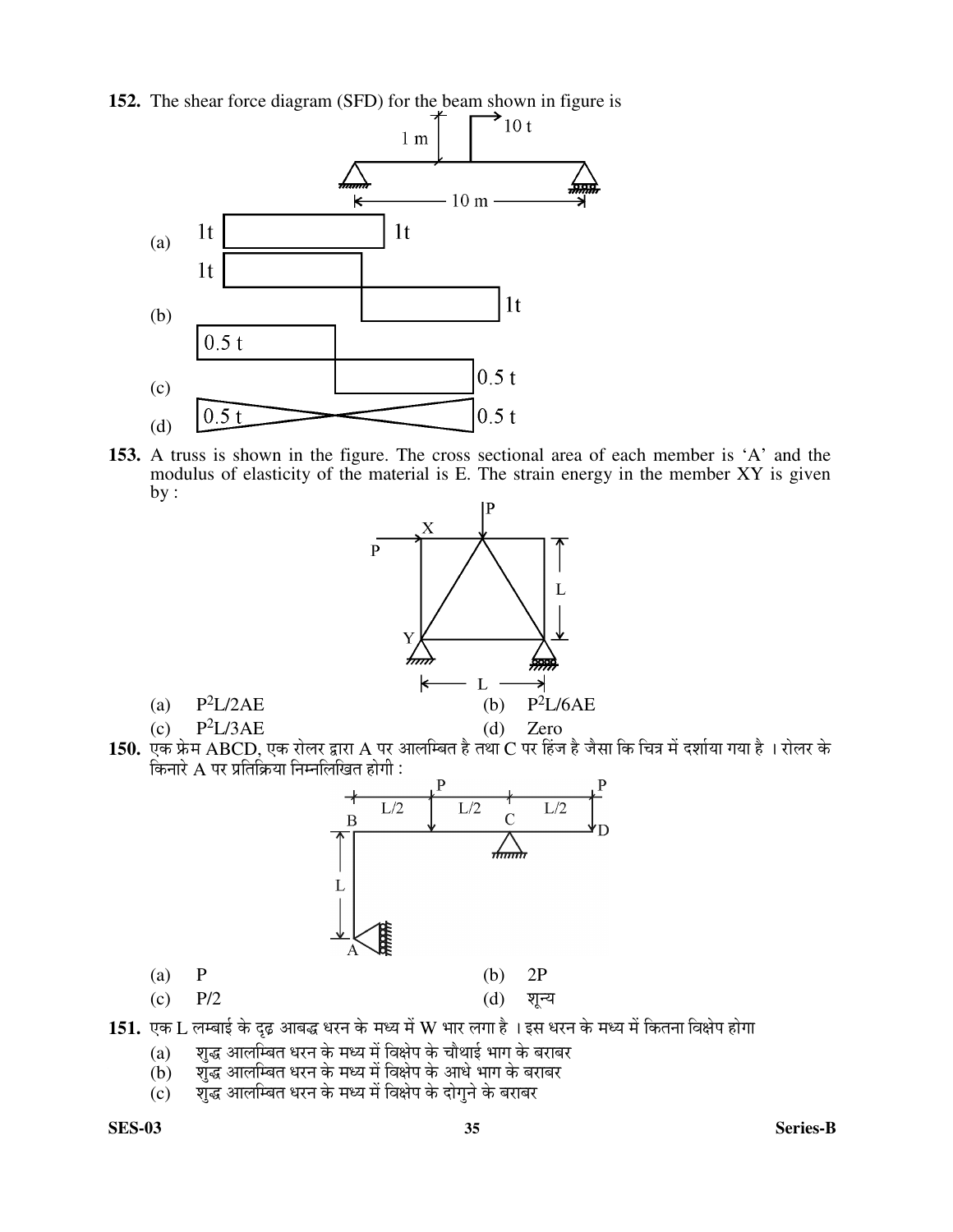

**152.** The shear force diagram (SFD) for the beam shown in figure is  $\uparrow$   $\uparrow$  10 t

**153.** A truss is shown in the figure. The cross sectional area of each member is 'A' and the modulus of elasticity of the material is E. The strain energy in the member XY is given by :



 ${\bf 150.}$  एक फ्रेम  ${\rm ABCD,}$  एक रोलर द्वारा  ${\rm A}$  पर आलम्बित है तथा  ${\rm C}$  पर हिंज है जैसा कि चित्र में दर्शाया गया है । रोलर के किनारे  ${\bf A}$  पर प्रतिक्रिया निम्नलिखित होगी :



 $(c)$  P/2 (d) शून्य

151. एक L लम्बाई के दृढ़ आबद्ध धरन के मध्य में W भार लगा है । इस धरन के मध्य में कितना विक्षेप होगा

- (a) शुद्ध आलम्बित धरन के मध्य में विक्षेप के चौथाई भाग के बराबर
- $\overline{\mathbf{b}}$ ) सुद्ध आलम्बित धरन के मध्य में विक्षेप के आधे भाग के बराबर
- $\overrightarrow{c}$ ) शुद्ध आलम्बित धरन के मध्य में विक्षेप के दोगुने के बराबर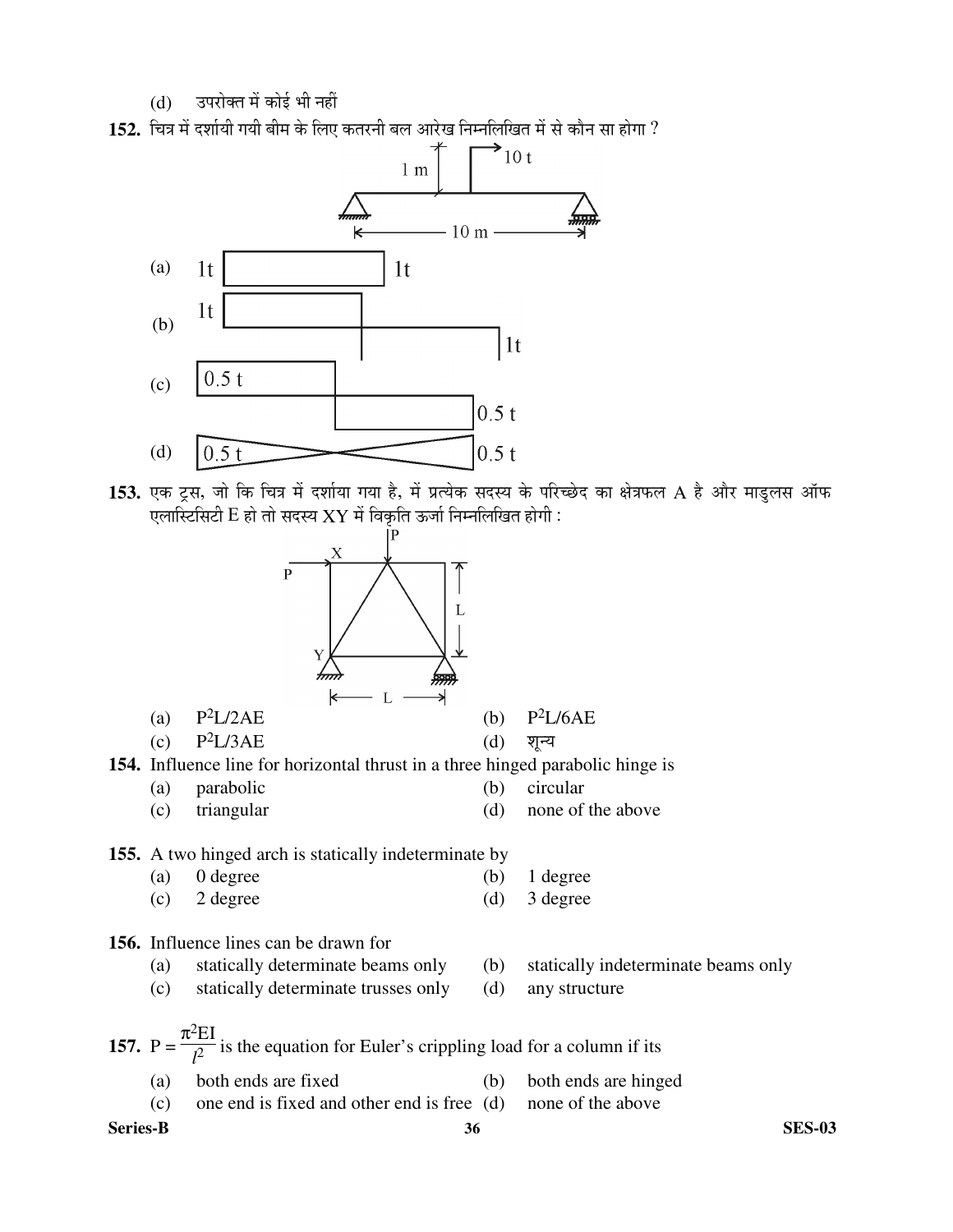(d) उपरोक्त में कोई भी नहीं





153. एक ट्रस, जो कि चित्र में दर्शाया गया है, में प्रत्येक सदस्य के परिच्छेद का क्षेत्रफल A है और माडुलस ऑफ एलास्टिसिटी  $E$  हो तो सदस्य  $XY$  में विकृति ऊर्जा निम्नलिखित होगी :

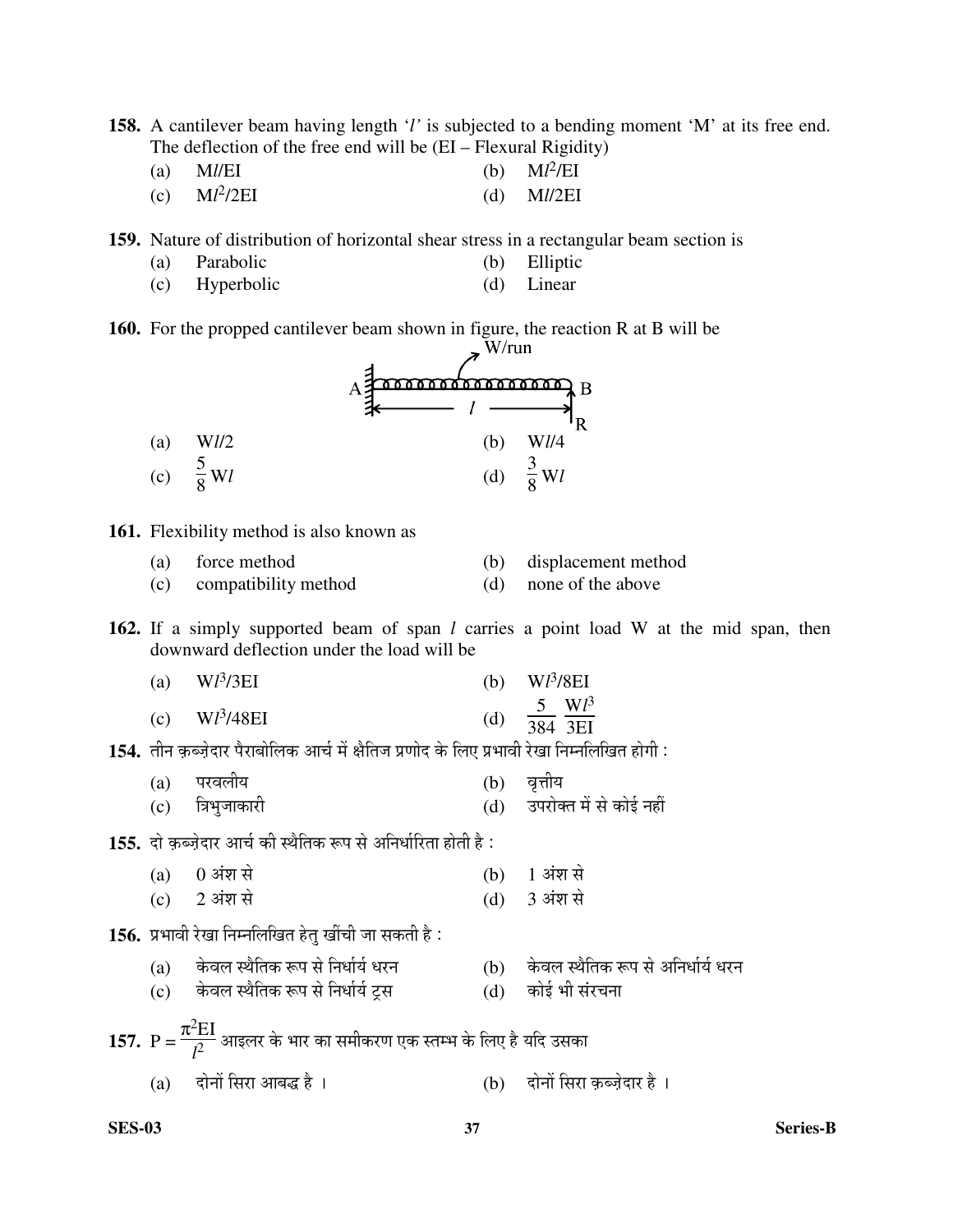**158.** A cantilever beam having length '*l'* is subjected to a bending moment 'M' at its free end. The deflection of the free end will be (EI – Flexural Rigidity)

| (a) $M/\text{EI}$            | (b) $\text{M}l^2/\text{EI}$ |
|------------------------------|-----------------------------|
| (c) $\text{M}l^2/2\text{EI}$ | (d) $Ml/2EI$                |

**159.** Nature of distribution of horizontal shear stress in a rectangular beam section is

- (a) Parabolic (b) Elliptic
- (c) Hyperbolic (d) Linear

**160.** For the propped cantilever beam shown in figure, the reaction R at B will be W/run



#### **161.** Flexibility method is also known as

 (a) force method (b) displacement method (c) compatibility method (d) none of the above

**162.** If a simply supported beam of span *l* carries a point load W at the mid span, then downward deflection under the load will be

| (a) $Wl^3/3EI$  |     | (b) $Wl^3/8EI$                 |
|-----------------|-----|--------------------------------|
| (c) $Wl^3/48EI$ | (d) | $rac{5}{384} \frac{Wl^3}{3EI}$ |

<u>154. तीन कब्जेदार पैराबोलिक आर्च में क्षैतिज प्रणोद के लिए प्रभावी रेखा निम्नलिखित होगी :</u>

| (a) परवलीय       | $(b)$ वृत्तीय               |
|------------------|-----------------------------|
| (c) त्रिभुजाकारी | (d) उपरोक्त में से कोई नहीं |

155. दो कब्जेदार आर्च की स्थैतिक रूप से अनिर्धारिता होती है :

| $(a)$ 0 अंश से      | (b) 1 अंश से   |
|---------------------|----------------|
| (c) $2 \sin \theta$ | $(d)$ 3 अंश से |

156. प्रभावी रेखा निम्नलिखित हेतु खींची जा सकती है:

(c) केवल स्थैतिक रूप से निर्धार्य ट्रस (d) कोई भी संरचना

|  |                                           | 157. P = $\frac{\pi^2 EI}{l^2}$ आइलर के भार का समीकरण एक स्तम्भ के लिए है यदि उसका |                             |  |
|--|-------------------------------------------|------------------------------------------------------------------------------------|-----------------------------|--|
|  | $\sim$ $\sim$ $\sim$ $\sim$ $\sim$ $\sim$ |                                                                                    | $\sim$ $\sim$ $\sim$ $\sim$ |  |

(a) ¤üÖê®ÖÖë ×ÃÖ¸üÖ †Ö²Ö¨ü Æîü ü… (b) ¤üÖê®ÖÖë ×ÃÖ¸üÖ ÛÌú²•ÖÌê¤üÖ¸ü Æîü …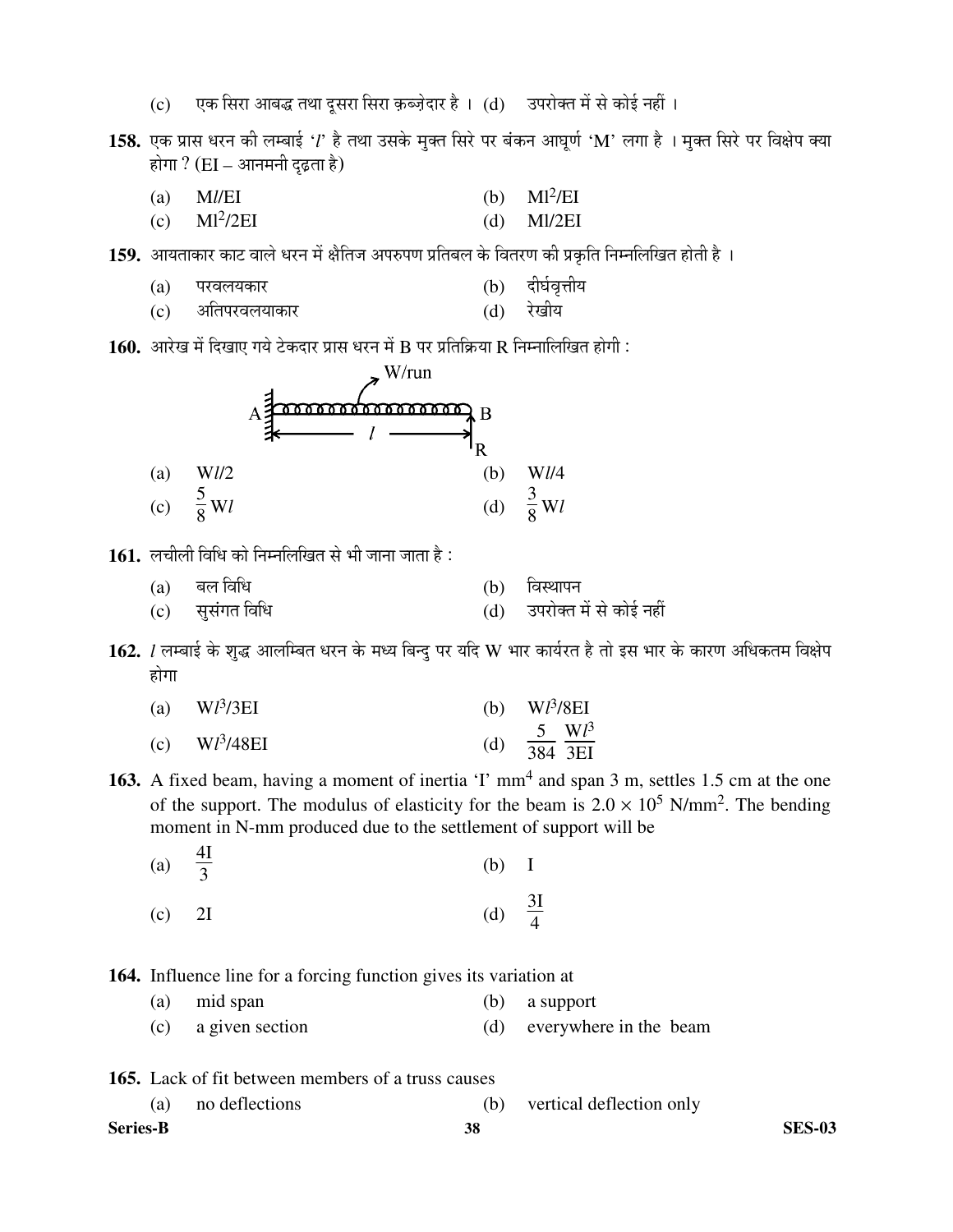(c) एक सिरा आबद्ध तथा दूसरा सिरा क़ब्ज़ेदार है । (d) उपरोक्त में से कोई नहीं ।

158. एक प्रास धरन की लम्बाई *'l*' है तथा उसके मुक्त सिरे पर बंकन आघूर्ण 'M' लगा है । मुक्त सिरे पर विक्षेप क्या होगा ?  $(EI - \hat{S}H)$  दृढ़ता है)

 (a) M*l*/EI (b) Ml<sup>2</sup> /EI  $(c)$  Ml<sup>2</sup>/2EI /2EI (d) Ml/2EI

159. आयताकार काट वाले धरन में क्षैतिज अपरुपण प्रतिबल के वितरण की प्रकृति निम्नलिखित होती है ।

- (a) परवलयकार<br>(c) अतिपरवलयाकार (d) रेखीय
- (c) अतिपरवलयाकार

 $160.$  आरेख में दिखाए गये टेकदार प्रास धरन में B पर प्रतिक्रिया R निम्नालिखित होगी :



1**61.** लचीली विधि को निम्नलिखित से भी जाना जाता है:

 $(a)$  बल विधि  $(b)$  विस्थापन  $\overleftrightarrow{c}$ Ó $\overleftrightarrow{d}$ )  $\overleftrightarrow{c}$   $\overleftrightarrow{d}$   $\overleftrightarrow{d}$   $\overleftrightarrow{d}$   $\overleftrightarrow{d}$   $\overleftrightarrow{e}$   $\overleftrightarrow{d}$   $\overleftrightarrow{e}$ 

 $162.$  *l* लम्बाई के शुद्ध आलम्बित धरन के मध्य बिन्दु पर यदि W भार कार्यरत है तो इस भार के कारण अधिकतम विक्षेप होगा

| (a) $Wl^3/3EI$  |     | (b) $Wl^3/8EI$                 |
|-----------------|-----|--------------------------------|
| (c) $Wl^3/48EI$ | (d) | $rac{5}{384} \frac{Wl^3}{3EI}$ |

163. A fixed beam, having a moment of inertia 'I' mm<sup>4</sup> and span 3 m, settles 1.5 cm at the one of the support. The modulus of elasticity for the beam is  $2.0 \times 10^5$  N/mm<sup>2</sup>. The bending moment in N-mm produced due to the settlement of support will be

| (a) $\frac{4I}{3}$<br>$(b)$ I |
|-------------------------------|
|-------------------------------|

(c)  $2I$  (d) 3I 4

**164.** Influence line for a forcing function gives its variation at

 (a) mid span (b) a support (c) a given section (d) everywhere in the beam

**165.** Lack of fit between members of a truss causes

|                 | no deflections |    | vertical deflection only |               |
|-----------------|----------------|----|--------------------------|---------------|
| <b>Series-B</b> |                | 38 |                          | <b>SES-03</b> |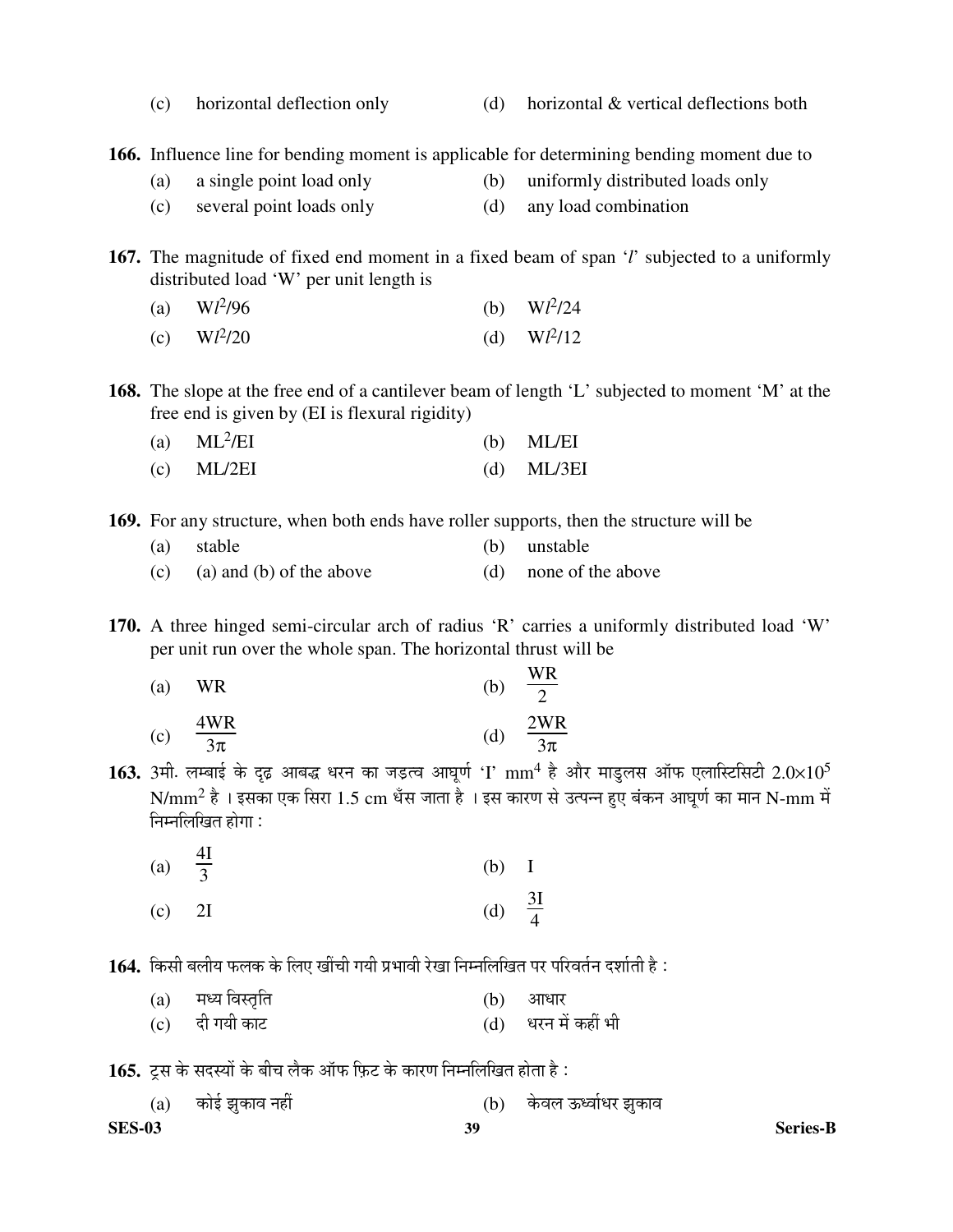(c) horizontal deflection only (d) horizontal & vertical deflections both

**166.** Influence line for bending moment is applicable for determining bending moment due to

- (a) a single point load only (b) uniformly distributed loads only
- (c) several point loads only (d) any load combination

**167.** The magnitude of fixed end moment in a fixed beam of span '*l*' subjected to a uniformly distributed load 'W' per unit length is

- (a)  $Wl^2$  $/96$  (b)  $Wl^2/24$
- (c)  $Wl^2$  $(1)$  W $l^2/12$

**168.** The slope at the free end of a cantilever beam of length 'L' subjected to moment 'M' at the free end is given by (EI is flexural rigidity)

| (a) $ML^2/EI$ |  | $(b)$ ML/EI |
|---------------|--|-------------|
|---------------|--|-------------|

(c) ML/2EI (d) ML/3EI

**169.** For any structure, when both ends have roller supports, then the structure will be

| (a) stable                   | (b) unstable          |
|------------------------------|-----------------------|
| (c) (a) and (b) of the above | (d) none of the above |

**170.** A three hinged semi-circular arch of radius 'R' carries a uniformly distributed load 'W' per unit run over the whole span. The horizontal thrust will be

 $\overline{\mathbf{W}}$ 

| (a) | WR            | (b) | $\frac{v \sqrt{v}}{v}$<br>$\bigcap$ |
|-----|---------------|-----|-------------------------------------|
| (c) | 4WR<br>$3\pi$ | d,  | 2WR<br>$3\pi$                       |

 ${\bf 163.}$  3मी. लम्बाई के दृढ़ आबद्ध धरन का जड़त्व आघूर्ण 'I'  ${\rm mm}^4$  है और माडुलस ऑफ एलास्टिसिटी  $2.0{\times}10^5$  ${\rm N/mm^2}$  है । इसका एक सिरा  $1.5~{\rm cm}$  धँस जाता है । इस कारण से उत्पन्न हुए बंकन आघूर्ण का मान  ${\rm N-mm}$  में निम्नलिखित होगा :

| (a) $\frac{4I}{3}$                   | $(b)$ I            |  |
|--------------------------------------|--------------------|--|
| $\begin{bmatrix} c \end{bmatrix}$ 2I | (d) $\frac{3I}{4}$ |  |

 $\bf 164.$  किसी बलीय फलक के लिए खींची गयी प्रभावी रेखा निम्नलिखित पर परिवर्तन दर्शाती है :

| (a) मध्य विस्तृति | (b) आधार            |
|-------------------|---------------------|
| (c) दी गयी काट    | (d) धरन में कहीं भी |

1**65.** ट्स के सदस्यों के बीच लैक ऑफ फ़िट के कारण निम्नलिखित होता है:

|               | (a) कोई झुकाव नहीं |    | (b) केवल ऊर्ध्वाधर झुकाव |                 |
|---------------|--------------------|----|--------------------------|-----------------|
| <b>SES-03</b> |                    | 39 |                          | <b>Series-B</b> |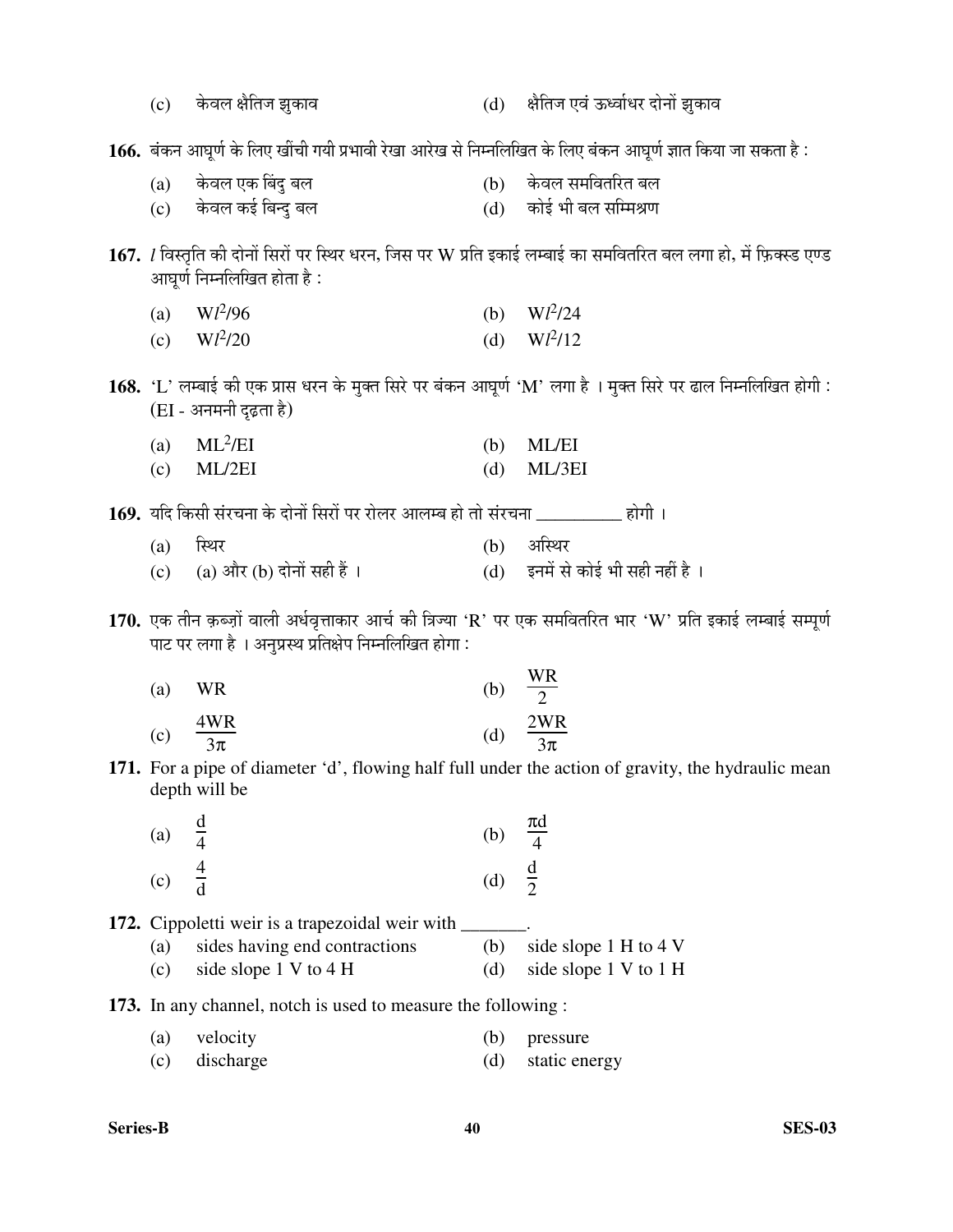| (c) | केवल क्षैतिज झुकाव                                                               |     | (d) क्षैतिज एवं ऊर्ध्वाधर दोनों झुकाव                                                                                   |
|-----|----------------------------------------------------------------------------------|-----|-------------------------------------------------------------------------------------------------------------------------|
|     |                                                                                  |     | 166. बंकन आघूर्ण के लिए खींची गयी प्रभावी रेखा आरेख से निम्नलिखित के लिए बंकन आघूर्ण ज्ञात किया जा सकता है:             |
| (a) | केवल एक बिंदु बल                                                                 |     | (b) केवल समवितरित बल                                                                                                    |
|     | (c) केवल कई बिन्दु बल                                                            |     | (d) कोई भी बल सम्मिश्रण                                                                                                 |
|     |                                                                                  |     |                                                                                                                         |
|     | आघूर्ण निम्नलिखित होता है :                                                      |     | 167. <i>l</i> विस्तृति की दोनों सिरों पर स्थिर धरन, जिस पर W प्रति इकाई लम्बाई का समवितरित बल लगा हो, में फ़िक्स्ड एण्ड |
| (a) | $Wl^2/96$                                                                        |     | (b) $Wl^2/24$                                                                                                           |
|     | (c) $Wl^2/20$                                                                    | (d) | $Wl^2/12$                                                                                                               |
|     |                                                                                  |     |                                                                                                                         |
|     | (EI - अनमनी दृढ़ता है)                                                           |     | 168. 'L' लम्बाई की एक प्रास धरन के मुक्त सिरे पर बंकन आघूर्ण 'M' लगा है । मुक्त सिरे पर ढाल निम्नलिखित होगी :           |
| (a) | $ML^2/EI$                                                                        | (b) | <b>ML/EI</b>                                                                                                            |
| (c) | ML/2EI                                                                           | (d) | ML/3EI                                                                                                                  |
|     |                                                                                  |     |                                                                                                                         |
|     | 169. यदि किसी संरचना के दोनों सिरों पर रोलर आलम्ब हो तो संरचना __________ होगी । |     |                                                                                                                         |
| (a) | स्थिर                                                                            | (b) | अस्थिर                                                                                                                  |
| (c) | (a) और (b) दोनों सही हैं ।                                                       |     | (d) इनमें से कोई भी सही नहीं है।                                                                                        |
|     | पाट पर लगा है । अनुप्रस्थ प्रतिक्षेप निम्नलिखित होगा:                            |     | 170. एक तीन क़ब्ज़ों वाली अर्धवृत्ताकार आर्च की त्रिज्या 'R' पर एक समवितरित भार 'W' प्रति इकाई लम्बाई सम्पूर्ण          |
| (a) | <b>WR</b>                                                                        |     | (b) $\frac{WR}{2}$                                                                                                      |
| (c) | $\frac{4WR}{3\pi}$                                                               | (d) | $\frac{2WR}{3\pi}$                                                                                                      |
|     | depth will be                                                                    |     | 171. For a pipe of diameter 'd', flowing half full under the action of gravity, the hydraulic mean                      |
| (a) | $rac{d}{4}$                                                                      | (b) | $\frac{\pi d}{4}$                                                                                                       |
| (c) |                                                                                  | (d) | $rac{d}{2}$                                                                                                             |
|     | 172. Cippoletti weir is a trapezoidal weir with _                                |     |                                                                                                                         |
| (a) | sides having end contractions                                                    | (b) | side slope 1 H to 4 V                                                                                                   |
| (c) | side slope 1 V to 4 H                                                            | (d) | side slope 1 V to 1 H                                                                                                   |
|     |                                                                                  |     |                                                                                                                         |
|     | <b>173.</b> In any channel, notch is used to measure the following :             |     |                                                                                                                         |
| (a) | velocity                                                                         | (b) | pressure                                                                                                                |
| (c) | discharge                                                                        | (d) | static energy                                                                                                           |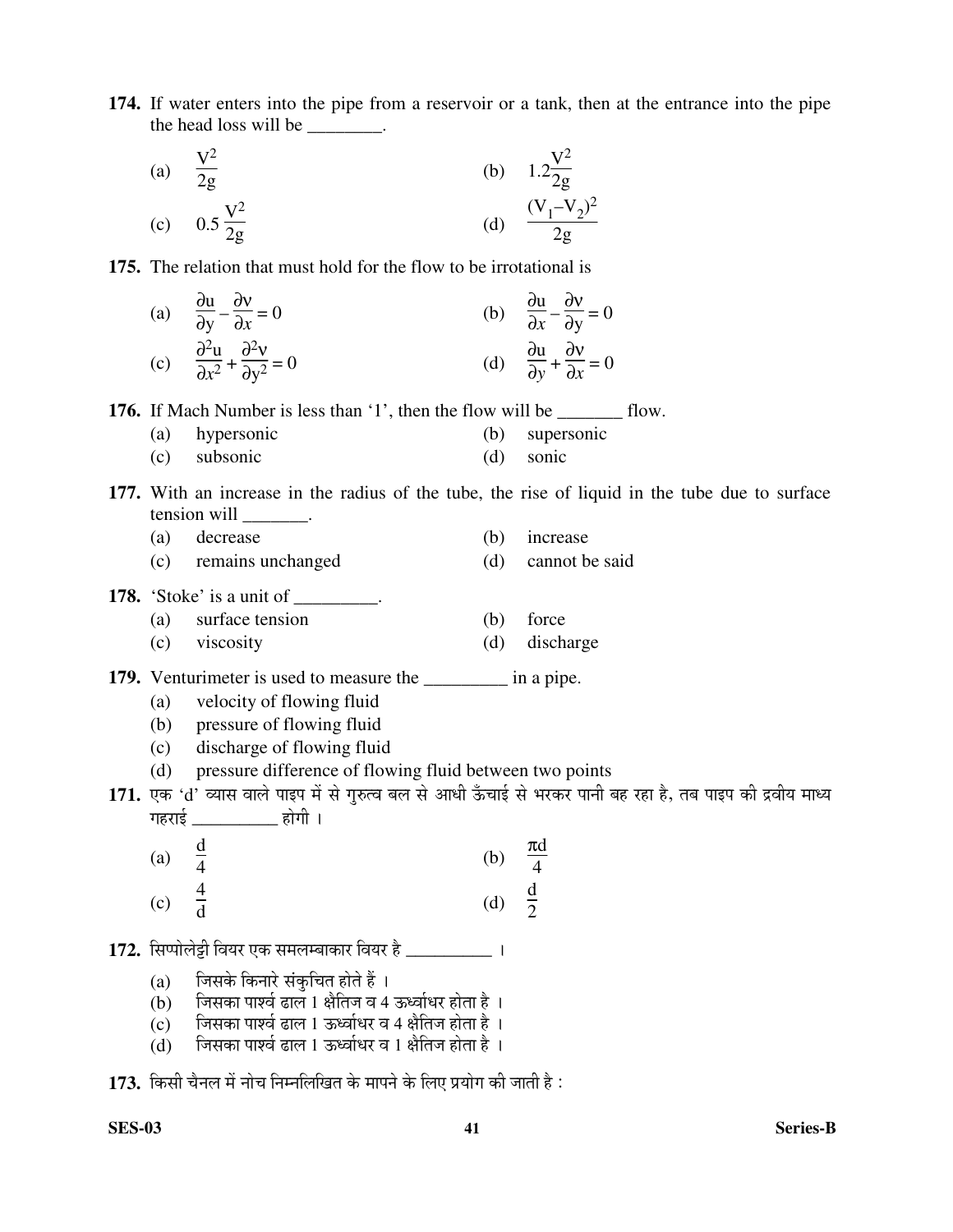**174.** If water enters into the pipe from a reservoir or a tank, then at the entrance into the pipe the head loss will be \_\_\_\_\_\_\_.

(a) 
$$
\frac{V^2}{2g}
$$
  
\n(b)  $1.2\frac{V^2}{2g}$   
\n(c)  $0.5\frac{V^2}{2g}$   
\n(d)  $\frac{(V_1 - V_2)^2}{2g}$ 

**175.** The relation that must hold for the flow to be irrotational is

(a) 
$$
\frac{\partial u}{\partial y} - \frac{\partial v}{\partial x} = 0
$$
  
\n(b)  $\frac{\partial u}{\partial x} - \frac{\partial v}{\partial y} = 0$   
\n(c)  $\frac{\partial^2 u}{\partial x^2} + \frac{\partial^2 v}{\partial y^2} = 0$   
\n(d)  $\frac{\partial u}{\partial y} + \frac{\partial v}{\partial x} = 0$ 

**176.** If Mach Number is less than '1', then the flow will be \_\_\_\_\_\_\_\_\_ flow.

- (a) hypersonic (b) supersonic
- (c) subsonic (d) sonic
- **177.** With an increase in the radius of the tube, the rise of liquid in the tube due to surface tension will  $\qquad \qquad$ .
	- (a) decrease (b) increase
	- (c) remains unchanged (d) cannot be said
- **178.** 'Stoke' is a unit of \_\_\_\_\_\_\_\_.
	- (a) surface tension (b) force
	- (c) viscosity (d) discharge
- **179.** Venturimeter is used to measure the \_\_\_\_\_\_\_\_\_\_ in a pipe.
	- (a) velocity of flowing fluid
	- (b) pressure of flowing fluid
	- (c) discharge of flowing fluid
	- (d) pressure difference of flowing fluid between two points

171. एक 'd' व्यास वाले पाइप में से गुरुत्व बल से आधी ऊँचाई से भरकर पानी बह रहा है, तब पाइप की द्रवीय माध्य गहराई \_\_\_\_\_\_\_\_\_\_ होगी ।

- (a) d 4  $(b)$ πd 4 (c)  $\frac{4}{1}$ d (d) d 2
- 1**72.** सिप्पोलेट्टी वियर एक समलम्बाकार वियर है \_\_\_\_\_\_\_\_\_\_\_ ।
	- (a) जिसके किनारे संकुचित होते हैं ।
	- $($ b $)$  जिसका पार्श्व ढाल 1 क्षैतिज व 4 ऊर्ध्वाधर होता है ।
	- $(c)$  जिसका पार्श्व ढाल 1 ऊर्ध्वाधर व 4 क्षैतिज होता है ।
	- $(d)$  जिसका पार्श्व ढाल 1 ऊर्ध्वाधर व 1 क्षैतिज होता है ।

173. किसी चैनल में नोच निम्नलिखित के मापने के लिए प्रयोग की जाती है: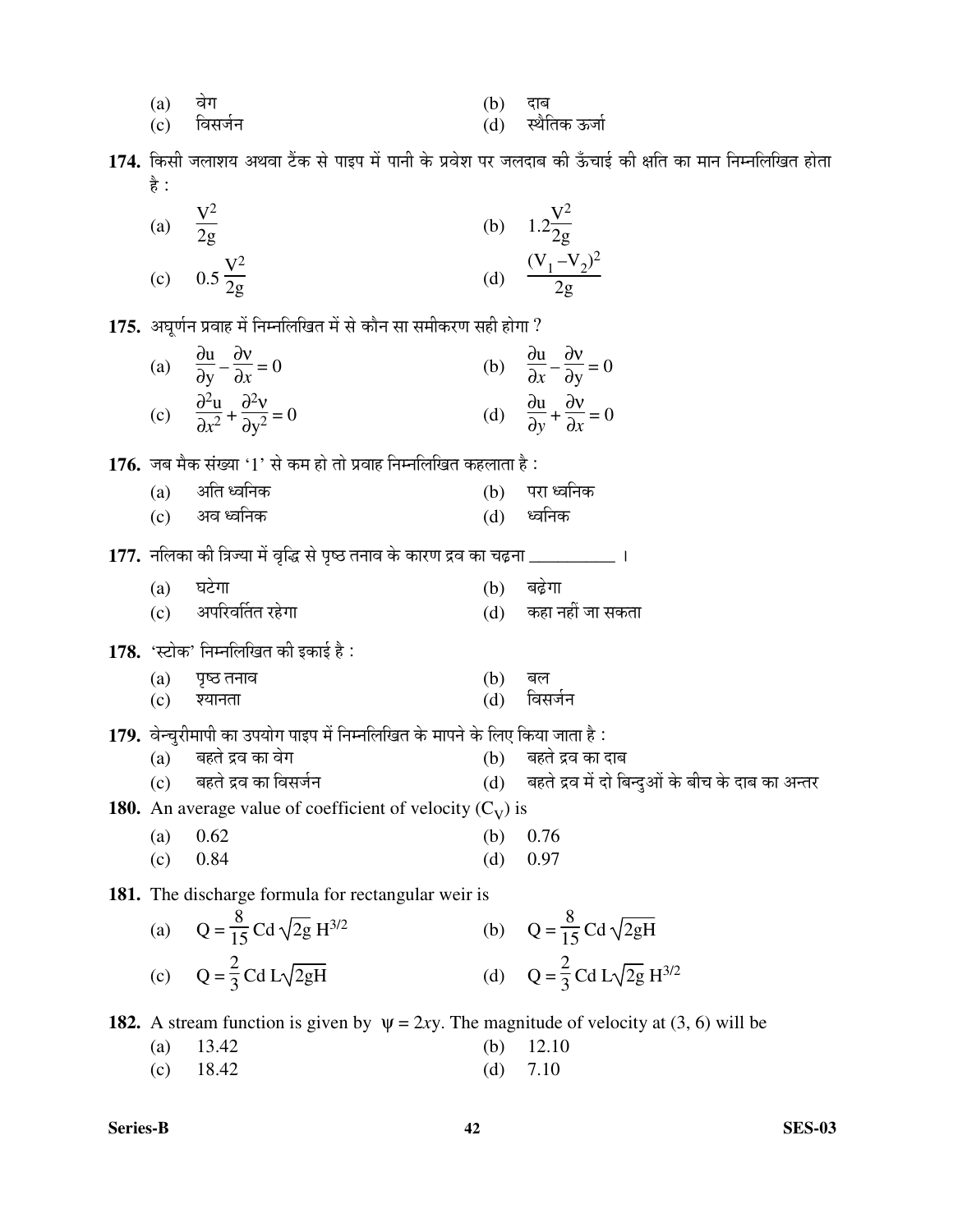| (a) | वेग         | (b) दाब |                   |
|-----|-------------|---------|-------------------|
|     | (c) विसर्जन |         | (d) स्थैतिक ऊर्जा |

174. किसी जलाशय अथवा टैंक से पाइप में पानी के प्रवेश पर जलदाब की ऊँचाई की क्षति का मान निम्नलिखित होता है :

| (a) $\frac{V^2}{2g}$                  |     | (b) $1.2\frac{V^2}{2g}$ |
|---------------------------------------|-----|-------------------------|
| (c) $0.5\frac{\text{V}^2}{2\text{g}}$ | (d) | $(V_1 - V_2)^2$<br>2g   |

175. अघर्णन प्रवाह में निम्नलिखित में से कौन सा समीकरण सही होगा ?

| (a) | $\frac{\partial u}{\partial y} - \frac{\partial v}{\partial x} = 0$         | (b) | $\frac{\partial u}{\partial x} - \frac{\partial v}{\partial y} = 0$     |
|-----|-----------------------------------------------------------------------------|-----|-------------------------------------------------------------------------|
| (c) | $\frac{\partial^2 u}{\partial x^2} + \frac{\partial^2 v}{\partial y^2} = 0$ |     | (d) $\frac{\partial u}{\partial y} + \frac{\partial v}{\partial x} = 0$ |

**176.** जब मैक संख्या '1' से कम हो तो प्रवाह निम्नलिखित कहलाता है :

| (a) अति ध्वनिक | $(b)$ परा ध्वनिक |
|----------------|------------------|
| (c) अव ध्वनिक  | (d) ध्वनिक       |

177. नलिका की त्रिज्या में वृद्धि से पृष्ठ तनाव के कारण द्रव का चढ़ना **\_\_\_\_\_\_\_\_\_\_**।

| $(a)$ घटेगा          | (b) बढ़ेगा           |
|----------------------|----------------------|
| (c) अपरिवर्तित रहेगा | (d) कहा नहीं जा सकता |

178. 'स्टोक' निम्नलिखित की इकाई है:

| (a) पृष्ठ तनाव | (b) बल |             |
|----------------|--------|-------------|
| (c) श्यानता    |        | (d) विसर्जन |

1**79.** वेन्चुरीमापी का उपयोग पाइप में निम्नलिखित के मापने के लिए किया जाता है :<br>(a) बहते द्रव का वेग

- (a) बहते द्रव का वेग (b) बहते द्रव का दाब<br>(c) बहते द्रव का विसर्जन (d) बहते द्रव में दो बि
	- $(d)$  बहते द्रव में दो बिन्दुओं के बीच के दाब का अन्तर

**180.** An average value of coefficient of velocity  $(C_V)$  is

- (a) 0.62 (b) 0.76
- (c) 0.84 (d) 0.97

**181.** The discharge formula for rectangular weir is

(a) 
$$
Q = \frac{8}{15} \text{Cd} \sqrt{2g} \text{ H}^{3/2}
$$
  
\n(b)  $Q = \frac{8}{15} \text{Cd} \sqrt{2gH}$   
\n(c)  $Q = \frac{2}{3} \text{Cd} \text{L}\sqrt{2gH}$   
\n(d)  $Q = \frac{2}{3} \text{Cd} \text{L}\sqrt{2g} \text{ H}^{3/2}$ 

**182.** A stream function is given by  $\psi = 2xy$ . The magnitude of velocity at (3, 6) will be

| (a) $13.42$ | (b) $12.10$ |
|-------------|-------------|
| (c) $18.42$ | (d) $7.10$  |

```
Series-B 42 SES-03
```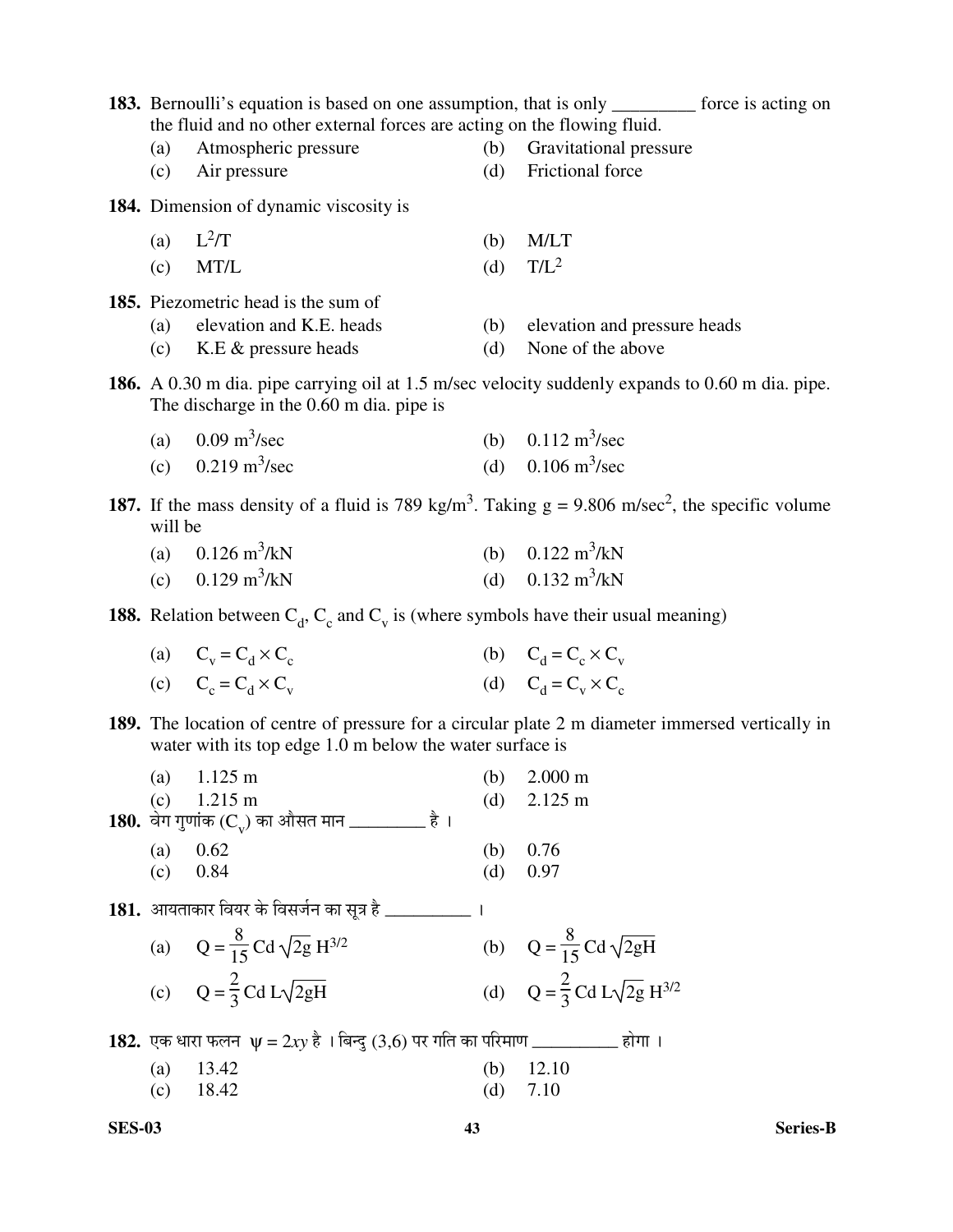|            | the fluid and no other external forces are acting on the flowing fluid.                          |            | 183. Bernoulli's equation is based on one assumption, that is only ________ force is acting on                             |
|------------|--------------------------------------------------------------------------------------------------|------------|----------------------------------------------------------------------------------------------------------------------------|
| (a)        | Atmospheric pressure                                                                             | (b)        | Gravitational pressure                                                                                                     |
| (c)        | Air pressure                                                                                     | (d)        | Frictional force                                                                                                           |
|            | <b>184.</b> Dimension of dynamic viscosity is                                                    |            |                                                                                                                            |
| (a)        | $L^2/T$                                                                                          | (b)        | M/LT                                                                                                                       |
| (c)        | MT/L                                                                                             | (d)        | $T/L^2$                                                                                                                    |
|            | 185. Piezometric head is the sum of                                                              |            |                                                                                                                            |
| (a)        | elevation and K.E. heads                                                                         | (b)        | elevation and pressure heads                                                                                               |
| (c)        | K.E $&$ pressure heads                                                                           | (d)        | None of the above                                                                                                          |
|            | The discharge in the 0.60 m dia. pipe is                                                         |            | <b>186.</b> A 0.30 m dia. pipe carrying oil at 1.5 m/sec velocity suddenly expands to 0.60 m dia. pipe.                    |
|            | (a) $0.09 \text{ m}^3/\text{sec}$                                                                |            | (b) $0.112 \text{ m}^3/\text{sec}$                                                                                         |
|            | (c) $0.219 \text{ m}^3/\text{sec}$                                                               |            | (d) $0.106 \text{ m}^3/\text{sec}$                                                                                         |
| will be    |                                                                                                  |            | 187. If the mass density of a fluid is 789 kg/m <sup>3</sup> . Taking $g = 9.806$ m/sec <sup>2</sup> , the specific volume |
|            | (a) $0.126 \text{ m}^3/\text{kN}$                                                                |            | (b) $0.122 \text{ m}^3/\text{kN}$                                                                                          |
|            | (c) $0.129 \text{ m}^3/\text{kN}$                                                                |            | (d) $0.132 \text{ m}^3/\text{kN}$                                                                                          |
|            | <b>188.</b> Relation between $C_d$ , $C_c$ and $C_v$ is (where symbols have their usual meaning) |            |                                                                                                                            |
|            | (a) $C_v = C_d \times C_c$                                                                       |            | (b) $C_d = C_c \times C_v$                                                                                                 |
|            | (c) $C_c = C_d \times C_v$                                                                       |            | (d) $C_d = C_v \times C_c$                                                                                                 |
|            | water with its top edge 1.0 m below the water surface is                                         |            | 189. The location of centre of pressure for a circular plate 2 m diameter immersed vertically in                           |
| (a)        | $1.125 \text{ m}$                                                                                | (b)        | $2.000 \text{ m}$                                                                                                          |
| (c)        | $1.215 \text{ m}$                                                                                | (d)        | $2.125 \text{ m}$                                                                                                          |
|            | <b>180.</b> वेग गुणांक (C,) का औसत मान __________ है।                                            |            |                                                                                                                            |
| (a)<br>(c) | 0.62<br>0.84                                                                                     | (b)<br>(d) | 0.76<br>0.97                                                                                                               |
|            |                                                                                                  |            |                                                                                                                            |
|            | 181. आयताकार वियर के विसर्जन का सूत्र है __________                                              |            |                                                                                                                            |
|            | (a) $Q = \frac{8}{15} Cd \sqrt{2g} H^{3/2}$                                                      |            | (b) $Q = \frac{8}{15} C d \sqrt{2gH}$                                                                                      |
|            | (c) $Q = \frac{2}{3} C d L \sqrt{2gH}$                                                           |            | (d) $Q = \frac{2}{3} C d L \sqrt{2g} H^{3/2}$                                                                              |
|            | <b>182.</b> एक धारा फलन $\psi = 2xy$ है। बिन्दु (3,6) पर गति का परिमाण __________ होगा।          |            |                                                                                                                            |
| (a)        | 13.42                                                                                            | (b)        | 12.10                                                                                                                      |
| (c)        | 18.42                                                                                            | (d)        | 7.10                                                                                                                       |
|            |                                                                                                  |            |                                                                                                                            |

**SES-03**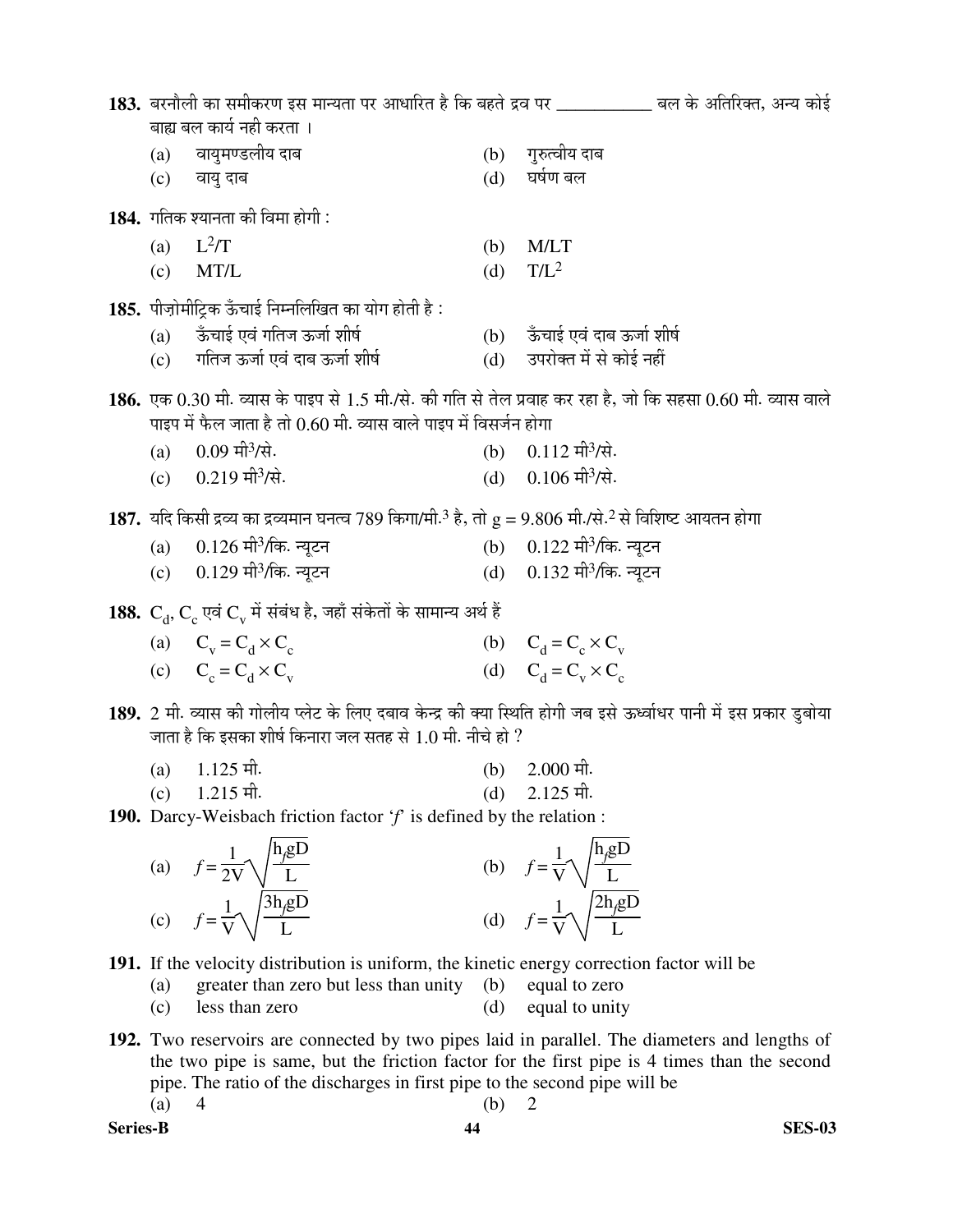|                           |                                                                                                                                |     | 183. बरनौली का समीकरण इस मान्यता पर आधारित है कि बहते द्रव पर ___________ बल के अतिरिक्त, अन्य कोई                 |  |
|---------------------------|--------------------------------------------------------------------------------------------------------------------------------|-----|--------------------------------------------------------------------------------------------------------------------|--|
| बाह्य बल कार्य नही करता । |                                                                                                                                |     |                                                                                                                    |  |
| (a)                       | वायुमण्डलीय दाब                                                                                                                | (b) | गुरुत्वीय दाब                                                                                                      |  |
| (c)                       | वायु दाब                                                                                                                       | (d) | घर्षण बल                                                                                                           |  |
|                           | 184. गतिक श्यानता की विमा होगी:                                                                                                |     |                                                                                                                    |  |
| (a)                       | $L^2/T$                                                                                                                        | (b) | M/LT                                                                                                               |  |
| (c)                       | MT/L                                                                                                                           | (d) | $T/L^2$                                                                                                            |  |
|                           | 185. पीज़ोमीट्रिक ऊँचाई निम्नलिखित का योग होती है:                                                                             |     |                                                                                                                    |  |
| (a)                       | ऊँचाई एवं गतिज ऊर्जा शीर्ष                                                                                                     |     | (b) ऊँचाई एवं दाब ऊर्जा शीर्ष                                                                                      |  |
| (c)                       | गतिज ऊर्जा एवं दाब ऊर्जा शीर्ष                                                                                                 | (d) | उपरोक्त में से कोई नहीं                                                                                            |  |
|                           |                                                                                                                                |     | 186. एक 0.30 मी. व्यास के पाइप से 1.5 मी./से. की गति से तेल प्रवाह कर रहा है, जो कि सहसा 0.60 मी. व्यास वाले       |  |
|                           | पाइप में फैल जाता है तो 0.60 मी. व्यास वाले पाइप में विसर्जन होगा                                                              |     |                                                                                                                    |  |
| (a)                       | 0.09 मी <sup>3</sup> /से.                                                                                                      |     | (b) $0.112 \text{ m}^3/\text{R}$ .                                                                                 |  |
| (c)                       | $0.219$ मी <sup>3</sup> /से.                                                                                                   | (d) | $0.106$ मी <sup>3</sup> /से.                                                                                       |  |
|                           |                                                                                                                                |     |                                                                                                                    |  |
|                           | 187. यदि किसी द्रव्य का द्रव्यमान घनत्व 789 किगा/मी. <sup>3</sup> है, तो $g = 9.806$ मी./से. <sup>2</sup> से विशिष्ट आयतन होगा |     |                                                                                                                    |  |
| (a)                       | $0.126$ मी $3$ /कि. न्यूटन                                                                                                     |     | (b) $0.122 \pi$ ीकि. न्यूटन                                                                                        |  |
|                           | (c) $0.129$ मी $\frac{3}{\pi}$ . न्यूटन                                                                                        |     | (d) $0.132 \pi$ ीकि. न्यूटन                                                                                        |  |
|                           | 188. $C_a$ , $C_c$ एवं $C_v$ में संबंध है, जहाँ संकेतों के सामान्य अर्थ हैं                                                    |     |                                                                                                                    |  |
|                           | (a) $C_v = C_d \times C_c$                                                                                                     |     | (b) $C_d = C_c \times C_v$                                                                                         |  |
|                           | (c) $C_c = C_d \times C_v$                                                                                                     |     | (d) $C_d = C_v \times C_c$                                                                                         |  |
|                           |                                                                                                                                |     |                                                                                                                    |  |
|                           |                                                                                                                                |     | 189. 2 मी. व्यास की गोलीय प्लेट के लिए दबाव केन्द्र की क्या स्थिति होगी जब इसे ऊर्ध्वाधर पानी में इस प्रकार डुबोया |  |
|                           | जाता है कि इसका शीर्ष किनारा जल सतह से 1.0 मी. नीचे हो ?                                                                       |     |                                                                                                                    |  |
| (a)                       | $1.125$ मी.                                                                                                                    | (b) | $2.000$ मी.                                                                                                        |  |
| (c)                       | $1.215$ मी.                                                                                                                    | (d) | $2.125$ मी.                                                                                                        |  |
|                           | <b>190.</b> Darcy-Weisbach friction factor $f$ is defined by the relation :                                                    |     |                                                                                                                    |  |
|                           | $h_{\rm m}$                                                                                                                    |     | $\mathbf{L}$ $\mathbf{D}$                                                                                          |  |

(a) 
$$
f = \frac{1}{2V} \sqrt{\frac{h_g D}{L}}
$$
  
\n(b)  $f = \frac{1}{V} \sqrt{\frac{h_g D}{L}}$   
\n(c)  $f = \frac{1}{V} \sqrt{\frac{3h_g D}{L}}$   
\n(d)  $f = \frac{1}{V} \sqrt{\frac{2h_g D}{L}}$ 

- **191.** If the velocity distribution is uniform, the kinetic energy correction factor will be
	- (a) greater than zero but less than unity (b) equal to zero<br>
	(c) less than zero (d) equal to unity
	- (c) less than zero (d) equal to unity
- **192.** Two reservoirs are connected by two pipes laid in parallel. The diameters and lengths of the two pipe is same, but the friction factor for the first pipe is 4 times than the second pipe. The ratio of the discharges in first pipe to the second pipe will be (a) 4 (b) 2

**Series-B 44 SES-03**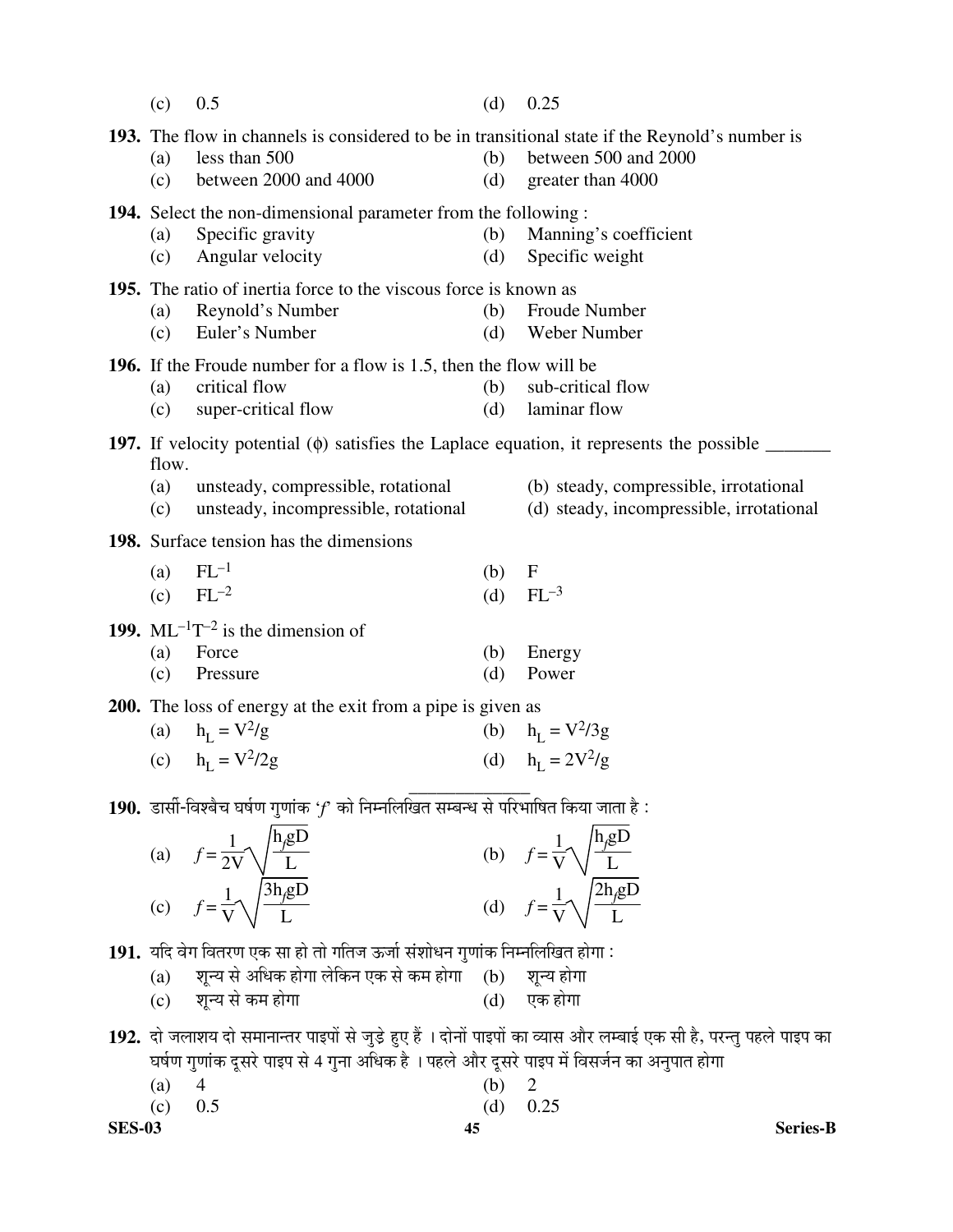|               | (c)                 | 0.5                                                                                                                                      | (d)        | 0.25                                                                                                               |
|---------------|---------------------|------------------------------------------------------------------------------------------------------------------------------------------|------------|--------------------------------------------------------------------------------------------------------------------|
|               | (a)<br>(c)          | 193. The flow in channels is considered to be in transitional state if the Reynold's number is<br>less than 500<br>between 2000 and 4000 | (b)<br>(d) | between 500 and 2000<br>greater than 4000                                                                          |
|               | (a)<br>(c)          | <b>194.</b> Select the non-dimensional parameter from the following:<br>Specific gravity<br>Angular velocity                             | (b)<br>(d) | Manning's coefficient<br>Specific weight                                                                           |
|               | (a)<br>(c)          | 195. The ratio of inertia force to the viscous force is known as<br>Reynold's Number<br>Euler's Number                                   | (b)<br>(d) | Froude Number<br>Weber Number                                                                                      |
|               | (a)<br>(c)          | <b>196.</b> If the Froude number for a flow is 1.5, then the flow will be<br>critical flow<br>super-critical flow                        | (b)<br>(d) | sub-critical flow<br>laminar flow                                                                                  |
|               |                     |                                                                                                                                          |            | <b>197.</b> If velocity potential $(\phi)$ satisfies the Laplace equation, it represents the possible $\qquad$     |
|               | flow.<br>(a)<br>(c) | unsteady, compressible, rotational<br>unsteady, incompressible, rotational                                                               |            | (b) steady, compressible, irrotational<br>(d) steady, incompressible, irrotational                                 |
|               |                     | 198. Surface tension has the dimensions                                                                                                  |            |                                                                                                                    |
|               | (a)<br>(c)          | $FL^{-1}$<br>$FL^{-2}$                                                                                                                   | (b)<br>(d) | $\mathbf F$<br>$FL^{-3}$                                                                                           |
|               |                     | 199. $ML^{-1}T^{-2}$ is the dimension of                                                                                                 |            |                                                                                                                    |
|               | (a)<br>(c)          | Force<br>Pressure                                                                                                                        | (b)<br>(d) | Energy<br>Power                                                                                                    |
|               |                     | 200. The loss of energy at the exit from a pipe is given as                                                                              |            |                                                                                                                    |
|               |                     | (a) $h_L = V^2/g$                                                                                                                        |            | (b) $h_L = V^2/3g$                                                                                                 |
|               |                     | (c) $h_{\text{L}} = V^2/2g$                                                                                                              |            | (d) $h_{I} = 2V^{2}/g$                                                                                             |
|               |                     | 190. डार्सी-विश्बैच घर्षण गुणांक ' $f$ को निम्नलिखित सम्बन्ध से परिभाषित किया जाता है:                                                   |            |                                                                                                                    |
|               |                     | (a) $f = \frac{1}{2V} \sqrt{\frac{h_g D}{L}}$<br>(c) $f = \frac{1}{V} \sqrt{\frac{3h_g D}{L}}$                                           |            | (b) $f = \frac{1}{V} \sqrt{\frac{h_{\beta} g D}{L}}$                                                               |
|               |                     |                                                                                                                                          |            | (d) $f = \frac{1}{V} \sqrt{\frac{2h_\text{g}D}{L}}$                                                                |
|               |                     | 191. यदि वेग वितरण एक सा हो तो गतिज ऊर्जा संशोधन गुणांक निम्नलिखित होगा :                                                                |            |                                                                                                                    |
|               | (a)                 | शून्य से अधिक होगा लेकिन एक से कम होगा (b) शून्य होगा<br>(c) शून्य से कम होगा                                                            |            | (d) एक होगा                                                                                                        |
|               |                     |                                                                                                                                          |            | 192. दो जलाशय दो समानान्तर पाइपों से जुड़े हुए हैं । दोनों पाइपों का व्यास और लम्बाई एक सी है, परन्तु पहले पाइप का |
|               |                     | घर्षण गुणांक दूसरे पाइप से 4 गुना अधिक है । पहले और दूसरे पाइप में विसर्जन का अनुपात होगा                                                |            |                                                                                                                    |
|               | (a)<br>(c)          | 4<br>0.5                                                                                                                                 | (b)<br>(d) | 2<br>0.25                                                                                                          |
| <b>SES-03</b> |                     | 45                                                                                                                                       |            | <b>Series-B</b>                                                                                                    |

Series-B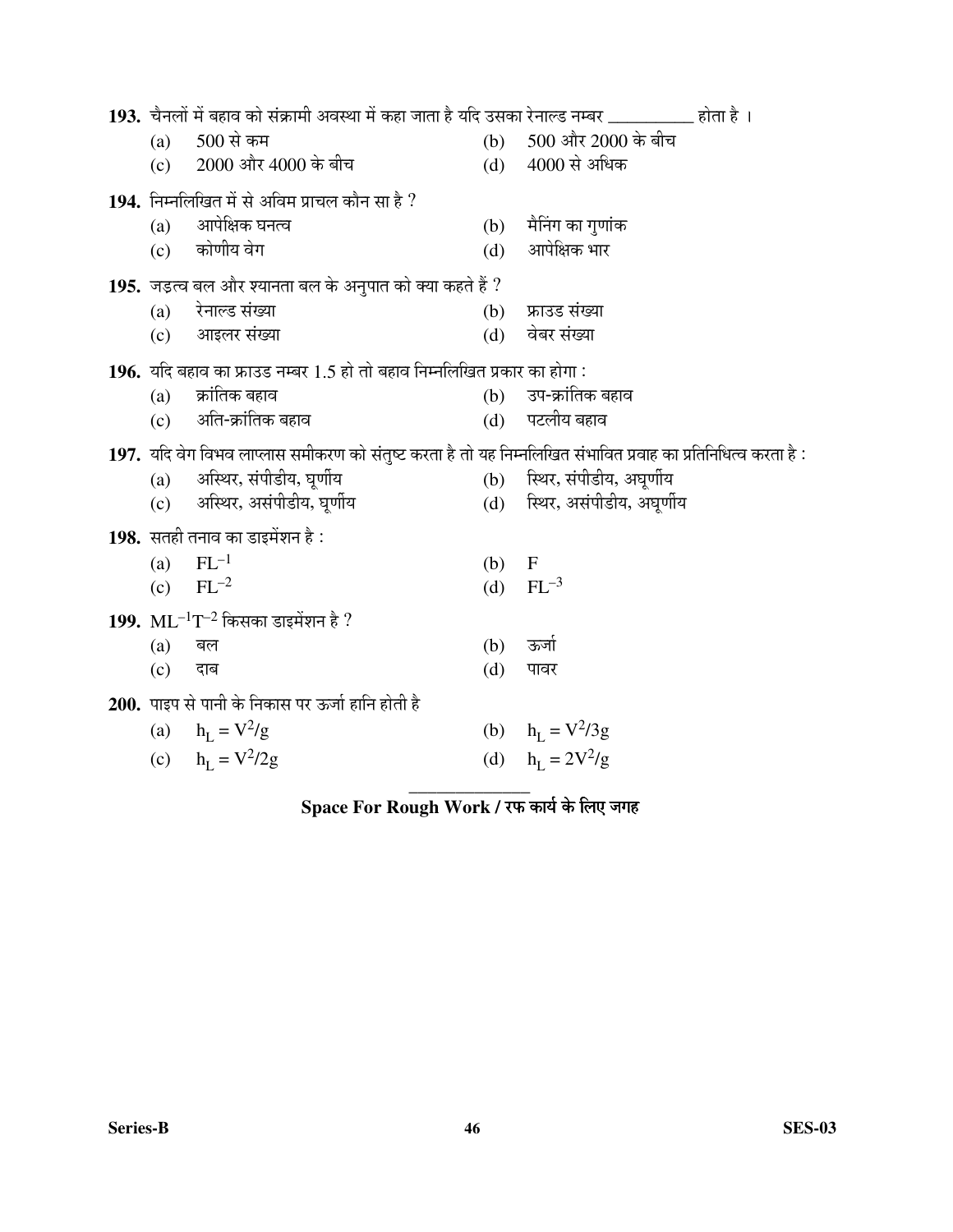| 193. चैनलों में बहाव को संक्रामी अवस्था में कहा जाता है यदि उसका रेनाल्ड नम्बर __________ होता है ।           |     |                               |
|---------------------------------------------------------------------------------------------------------------|-----|-------------------------------|
| $500$ से कम<br>(a)                                                                                            |     | (b) 500 और 2000 के बीच        |
| (c) 2000 और 4000 के बीच                                                                                       | (d) | 4000 से अधिक                  |
| 194. निम्नलिखित में से अविम प्राचल कौन सा है ?                                                                |     |                               |
| आपेक्षिक घनत्व<br>(a)                                                                                         | (b) | मैनिंग का गुणांक              |
| (c) कोणीय वेग                                                                                                 | (d) | आपेक्षिक भार                  |
| <b>195.</b> जड़त्व बल और श्यानता बल के अनुपात को क्या कहते हैं ?                                              |     |                               |
| रेनाल्ड संख्या<br>(a)                                                                                         | (b) | फ्राउड संख्या                 |
| आइलर संख्या<br>(c)                                                                                            | (d) | वेबर संख्या                   |
| 196. यदि बहाव का फ्राउड नम्बर 1.5 हो तो बहाव निम्नलिखित प्रकार का होगा:                                       |     |                               |
| क्रांतिक बहाव<br>(a)                                                                                          | (b) | उप-क्रांतिक बहाव              |
| अति-क्रांतिक बहाव<br>(c)                                                                                      | (d) | पटलीय बहाव                    |
| 197. यदि वेग विभव लाप्लास समीकरण को संतुष्ट करता है तो यह निम्नलिखित संभावित प्रवाह का प्रतिनिधित्व करता है : |     |                               |
| अस्थिर, संपीडीय, घूर्णीय<br>(a)                                                                               |     | (b) स्थिर, संपीडीय, अघूर्णीय  |
| अस्थिर, असंपीडीय, घूर्णीय<br>(c)                                                                              |     | (d) स्थिर, असंपीडीय, अघूर्णीय |
| 198. सतही तनाव का डाइमेंशन है :                                                                               |     |                               |
| $FL^{-1}$<br>(a)                                                                                              | (b) | $\mathbf F$                   |
| $FL^{-2}$<br>(c)                                                                                              | (d) | $FL^{-3}$                     |
| 199. $ML^{-1}T^{-2}$ किसका डाइमेंशन है ?                                                                      |     |                               |
| (a)<br>बल                                                                                                     | (b) | ऊर्जा                         |
| (c)<br>दाब                                                                                                    | (d) | पावर                          |
| 200. पाइप से पानी के निकास पर ऊर्जा हानि होती है                                                              |     |                               |
| (a) $h_{\rm L} = V^2/g$                                                                                       |     | (b) $h_L = V^2/3g$            |
| (c) $h_{L} = V^{2}/2g$                                                                                        |     | (d) $h_{I} = 2V^{2}/g$        |
|                                                                                                               |     |                               |

## $\bf{Space~For~Rough~Work}$  / रफ कार्य के लिए जगह